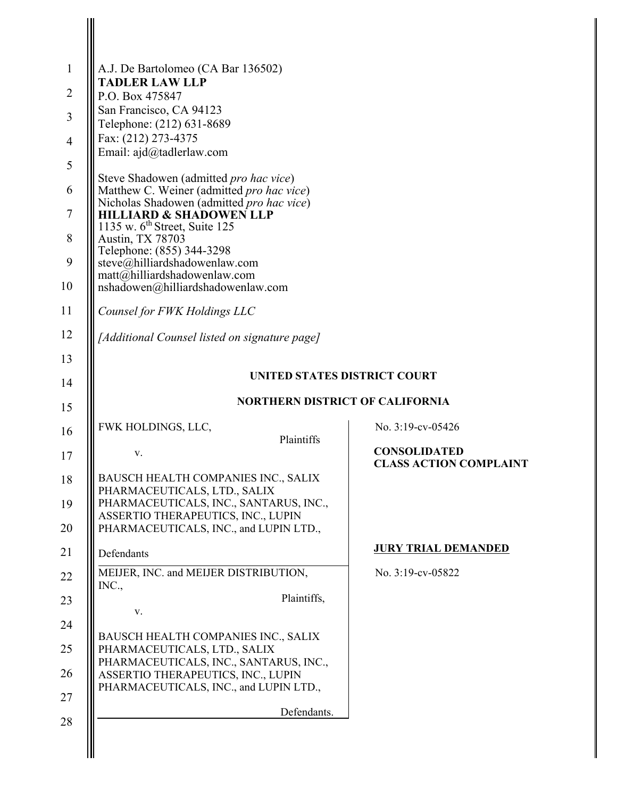| A.J. De Bartolomeo (CA Bar 136502)                                                                                     |                                        |                                                      |
|------------------------------------------------------------------------------------------------------------------------|----------------------------------------|------------------------------------------------------|
| <b>TADLER LAW LLP</b>                                                                                                  |                                        |                                                      |
| P.O. Box 475847<br>San Francisco, CA 94123                                                                             |                                        |                                                      |
| Telephone: (212) 631-8689<br>Fax: (212) 273-4375                                                                       |                                        |                                                      |
| Email: ajd@tadlerlaw.com                                                                                               |                                        |                                                      |
| Steve Shadowen (admitted pro hac vice)                                                                                 |                                        |                                                      |
| Matthew C. Weiner (admitted pro hac vice)<br>Nicholas Shadowen (admitted pro hac vice)                                 |                                        |                                                      |
| <b>HILLIARD &amp; SHADOWEN LLP</b><br>1135 w. $6^{\text{th}}$ Street, Suite 125                                        |                                        |                                                      |
| Austin, TX 78703<br>Telephone: (855) 344-3298                                                                          |                                        |                                                      |
| steve@hilliardshadowenlaw.com<br>$\text{matt}(\widetilde{\omega}h$ illiardshadowenlaw.com                              |                                        |                                                      |
| nshadowen@hilliardshadowenlaw.com                                                                                      |                                        |                                                      |
| Counsel for FWK Holdings LLC                                                                                           |                                        |                                                      |
| [Additional Counsel listed on signature page]                                                                          |                                        |                                                      |
|                                                                                                                        |                                        |                                                      |
|                                                                                                                        | UNITED STATES DISTRICT COURT           |                                                      |
|                                                                                                                        | <b>NORTHERN DISTRICT OF CALIFORNIA</b> |                                                      |
| FWK HOLDINGS, LLC,                                                                                                     | Plaintiffs                             | No. 3:19-cv-05426                                    |
| V.                                                                                                                     |                                        | <b>CONSOLIDATED</b><br><b>CLASS ACTION COMPLAINT</b> |
| BAUSCH HEALTH COMPANIES INC., SALIX                                                                                    |                                        |                                                      |
| PHARMACEUTICALS, LTD., SALIX<br>PHARMACEUTICALS, INC., SANTARUS, INC.,                                                 |                                        |                                                      |
|                                                                                                                        | ASSERTIO THERAPEUTICS, INC., LUPIN     |                                                      |
| PHARMACEUTICALS, INC., and LUPIN LTD.,                                                                                 |                                        | <b>JURY TRIAL DEMANDED</b>                           |
| Defendants                                                                                                             |                                        |                                                      |
| MEIJER, INC. and MEIJER DISTRIBUTION,                                                                                  |                                        | No. 3:19-cv-05822                                    |
| INC.,                                                                                                                  | Plaintiffs,                            |                                                      |
| V.                                                                                                                     |                                        |                                                      |
| BAUSCH HEALTH COMPANIES INC., SALIX<br>PHARMACEUTICALS, LTD., SALIX                                                    |                                        |                                                      |
| PHARMACEUTICALS, INC., SANTARUS, INC.,<br>ASSERTIO THERAPEUTICS, INC., LUPIN<br>PHARMACEUTICALS, INC., and LUPIN LTD., |                                        |                                                      |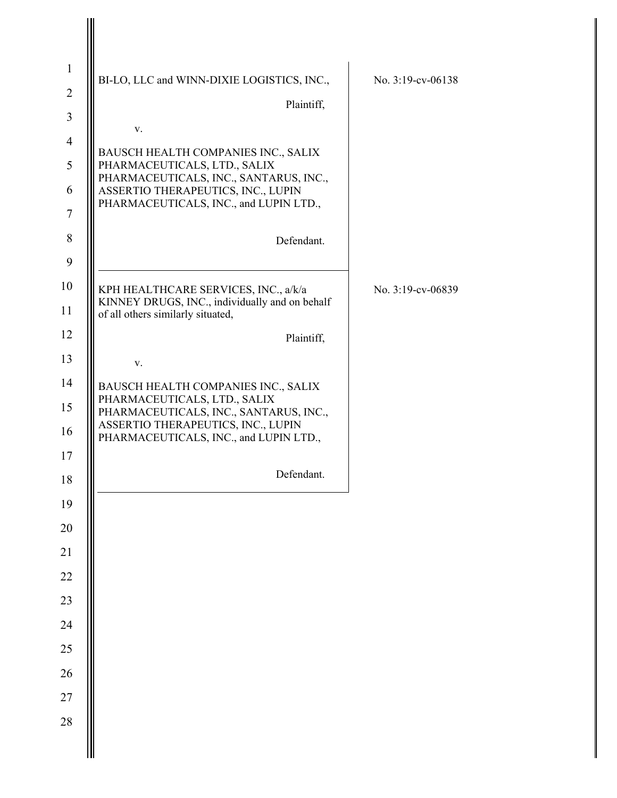| $\mathbf{1}$   |                                                                                        |                   |
|----------------|----------------------------------------------------------------------------------------|-------------------|
| $\overline{2}$ | BI-LO, LLC and WINN-DIXIE LOGISTICS, INC.,                                             | No. 3:19-cv-06138 |
| 3              | Plaintiff,                                                                             |                   |
| $\overline{4}$ | V.                                                                                     |                   |
| 5              | BAUSCH HEALTH COMPANIES INC., SALIX<br>PHARMACEUTICALS, LTD., SALIX                    |                   |
| 6              | PHARMACEUTICALS, INC., SANTARUS, INC.,<br>ASSERTIO THERAPEUTICS, INC., LUPIN           |                   |
| $\tau$         | PHARMACEUTICALS, INC., and LUPIN LTD.,                                                 |                   |
| 8              | Defendant.                                                                             |                   |
| 9              |                                                                                        |                   |
| 10             | KPH HEALTHCARE SERVICES, INC., a/k/a<br>KINNEY DRUGS, INC., individually and on behalf | No. 3:19-cv-06839 |
| 11             | of all others similarly situated,                                                      |                   |
| 12             | Plaintiff,                                                                             |                   |
| 13             | V.                                                                                     |                   |
| 14             | BAUSCH HEALTH COMPANIES INC., SALIX<br>PHARMACEUTICALS, LTD., SALIX                    |                   |
| 15             | PHARMACEUTICALS, INC., SANTARUS, INC.,<br>ASSERTIO THERAPEUTICS, INC., LUPIN           |                   |
| 16             | PHARMACEUTICALS, INC., and LUPIN LTD.,                                                 |                   |
| 17             | Defendant.                                                                             |                   |
| 18             |                                                                                        |                   |
| 19<br>$20\,$   |                                                                                        |                   |
| 21             |                                                                                        |                   |
| $22\,$         |                                                                                        |                   |
| 23             |                                                                                        |                   |
| 24             |                                                                                        |                   |
| $25\,$         |                                                                                        |                   |
| 26             |                                                                                        |                   |
| $27\,$         |                                                                                        |                   |
| 28             |                                                                                        |                   |
|                |                                                                                        |                   |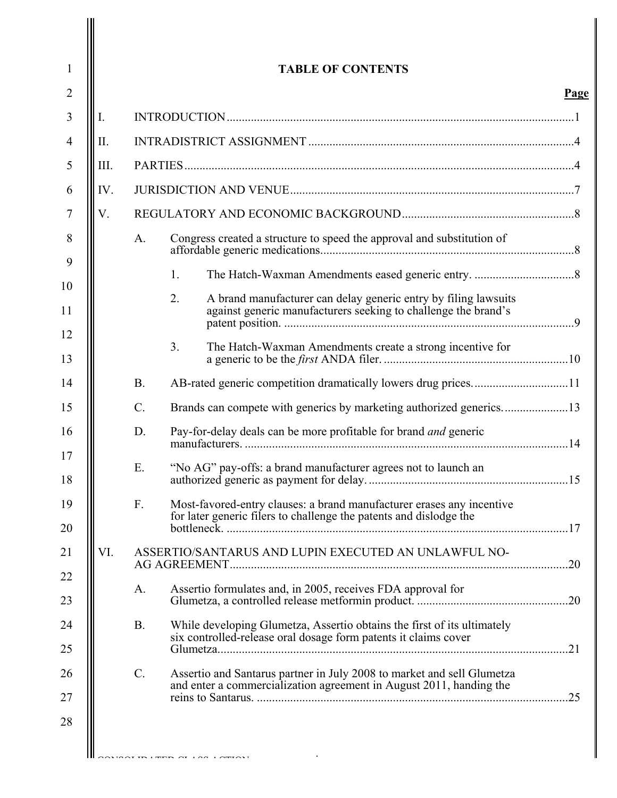|      |             | <b>TABLE OF CONTENTS</b>                                                                                                                      |      |
|------|-------------|-----------------------------------------------------------------------------------------------------------------------------------------------|------|
|      |             |                                                                                                                                               | Page |
| Ι.   |             |                                                                                                                                               |      |
| Π.   |             |                                                                                                                                               |      |
| III. |             |                                                                                                                                               |      |
| IV.  |             |                                                                                                                                               |      |
| V.   |             |                                                                                                                                               |      |
|      | A.          | Congress created a structure to speed the approval and substitution of                                                                        |      |
|      |             | 1.                                                                                                                                            |      |
|      |             | 2.<br>A brand manufacturer can delay generic entry by filing lawsuits<br>against generic manufacturers seeking to challenge the brand's       |      |
|      |             | 3.<br>The Hatch-Waxman Amendments create a strong incentive for                                                                               |      |
|      | <b>B.</b>   |                                                                                                                                               |      |
|      | $C_{\cdot}$ |                                                                                                                                               |      |
|      | D.          | Pay-for-delay deals can be more profitable for brand and generic                                                                              |      |
|      | Ε.          | "No AG" pay-offs: a brand manufacturer agrees not to launch an                                                                                |      |
|      | F.          | Most-favored-entry clauses: a brand manufacturer erases any incentive<br>for later generic filers to challenge the patents and dislodge the   |      |
| VI.  |             | ASSERTIO/SANTARUS AND LUPIN EXECUTED AN UNLAWFUL NO-                                                                                          |      |
|      | A.          | Assertio formulates and, in 2005, receives FDA approval for                                                                                   |      |
|      | <b>B.</b>   | While developing Glumetza, Assertio obtains the first of its ultimately<br>six controlled-release oral dosage form patents it claims cover    |      |
|      | $C$ .       | Assertio and Santarus partner in July 2008 to market and sell Glumetza<br>and enter a commercialization agreement in August 2011, handing the |      |

-i-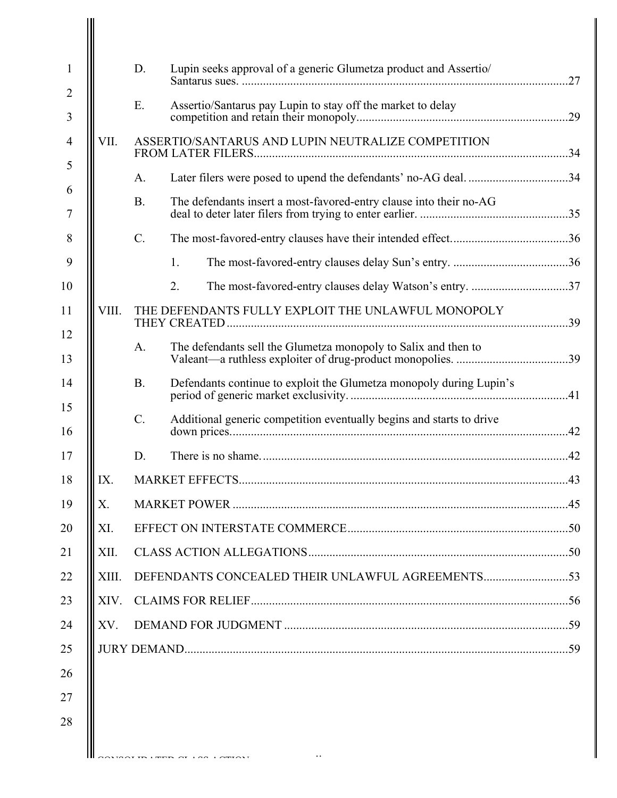|       | D.        | Lupin seeks approval of a generic Glumetza product and Assertio/     |  |
|-------|-----------|----------------------------------------------------------------------|--|
|       | E.        | Assertio/Santarus pay Lupin to stay off the market to delay          |  |
|       |           |                                                                      |  |
| VII.  |           | ASSERTIO/SANTARUS AND LUPIN NEUTRALIZE COMPETITION                   |  |
|       | A.        | Later filers were posed to upend the defendants' no-AG deal. 34      |  |
|       | <b>B.</b> | The defendants insert a most-favored-entry clause into their no-AG   |  |
|       | $C$ .     |                                                                      |  |
|       |           | 1.                                                                   |  |
|       |           | 2.                                                                   |  |
| VIII. |           | THE DEFENDANTS FULLY EXPLOIT THE UNLAWFUL MONOPOLY                   |  |
|       | A.        | The defendants sell the Glumetza monopoly to Salix and then to       |  |
|       | <b>B.</b> | Defendants continue to exploit the Glumetza monopoly during Lupin's  |  |
|       | $C$ .     | Additional generic competition eventually begins and starts to drive |  |
|       | D.        |                                                                      |  |
| IX.   |           |                                                                      |  |
| Х.    |           |                                                                      |  |
| XI.   |           |                                                                      |  |
| XII.  |           |                                                                      |  |
| XIII. |           |                                                                      |  |
| XIV.  |           |                                                                      |  |
|       |           |                                                                      |  |
| XV.   |           |                                                                      |  |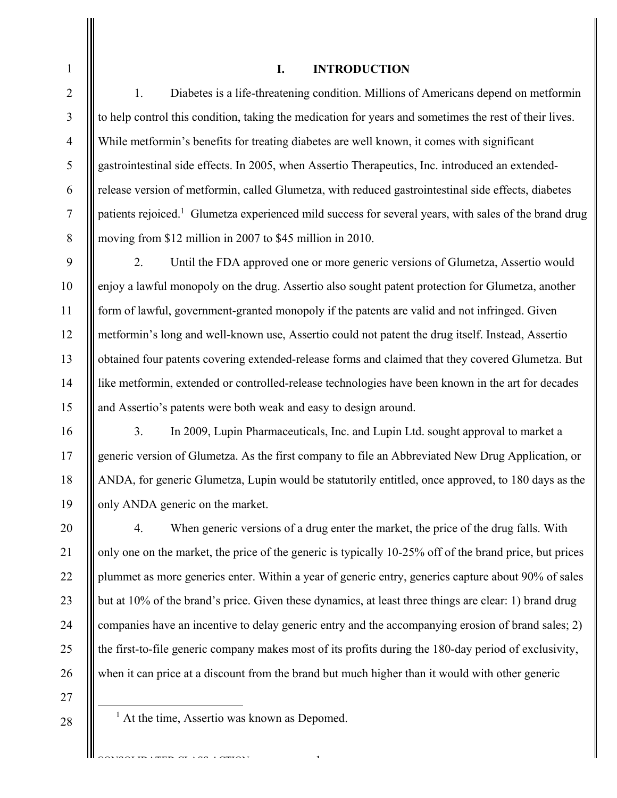## **I. INTRODUCTION**

1. Diabetes is a life-threatening condition. Millions of Americans depend on metformin to help control this condition, taking the medication for years and sometimes the rest of their lives. While metformin's benefits for treating diabetes are well known, it comes with significant gastrointestinal side effects. In 2005, when Assertio Therapeutics, Inc. introduced an extendedrelease version of metformin, called Glumetza, with reduced gastrointestinal side effects, diabetes patients rejoiced.<sup>1</sup> Glumetza experienced mild success for several years, with sales of the brand drug moving from \$12 million in 2007 to \$45 million in 2010.

2. Until the FDA approved one or more generic versions of Glumetza, Assertio would enjoy a lawful monopoly on the drug. Assertio also sought patent protection for Glumetza, another form of lawful, government-granted monopoly if the patents are valid and not infringed. Given metformin's long and well-known use, Assertio could not patent the drug itself. Instead, Assertio obtained four patents covering extended-release forms and claimed that they covered Glumetza. But like metformin, extended or controlled-release technologies have been known in the art for decades and Assertio's patents were both weak and easy to design around.

3. In 2009, Lupin Pharmaceuticals, Inc. and Lupin Ltd. sought approval to market a generic version of Glumetza. As the first company to file an Abbreviated New Drug Application, or ANDA, for generic Glumetza, Lupin would be statutorily entitled, once approved, to 180 days as the only ANDA generic on the market.

20 21 22 23 24 25 26 4. When generic versions of a drug enter the market, the price of the drug falls. With only one on the market, the price of the generic is typically 10-25% off of the brand price, but prices plummet as more generics enter. Within a year of generic entry, generics capture about 90% of sales but at 10% of the brand's price. Given these dynamics, at least three things are clear: 1) brand drug companies have an incentive to delay generic entry and the accompanying erosion of brand sales; 2) the first-to-file generic company makes most of its profits during the 180-day period of exclusivity, when it can price at a discount from the brand but much higher than it would with other generic

-1-

27 28

1

2

3

4

5

6

7

8

9

10

11

12

13

14

15

16

17

18

19

 $\overline{\phantom{0}1}$  $<sup>1</sup>$  At the time, Assertio was known as Depomed.</sup>

CONSTRUCT CONTRATED CONSTRUCT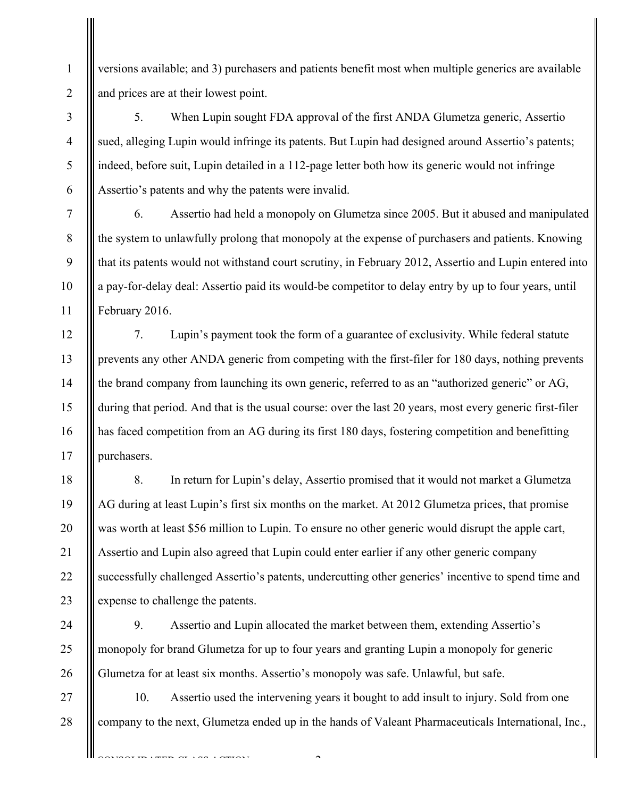versions available; and 3) purchasers and patients benefit most when multiple generics are available and prices are at their lowest point.

1

2

3

4

5

6

7

8

9

10

11

18

19

20

21

22

23

24

25

26

5. When Lupin sought FDA approval of the first ANDA Glumetza generic, Assertio sued, alleging Lupin would infringe its patents. But Lupin had designed around Assertio's patents; indeed, before suit, Lupin detailed in a 112-page letter both how its generic would not infringe Assertio's patents and why the patents were invalid.

6. Assertio had held a monopoly on Glumetza since 2005. But it abused and manipulated the system to unlawfully prolong that monopoly at the expense of purchasers and patients. Knowing that its patents would not withstand court scrutiny, in February 2012, Assertio and Lupin entered into a pay-for-delay deal: Assertio paid its would-be competitor to delay entry by up to four years, until February 2016.

12 13 14 15 16 17 7. Lupin's payment took the form of a guarantee of exclusivity. While federal statute prevents any other ANDA generic from competing with the first-filer for 180 days, nothing prevents the brand company from launching its own generic, referred to as an "authorized generic" or AG, during that period. And that is the usual course: over the last 20 years, most every generic first-filer has faced competition from an AG during its first 180 days, fostering competition and benefitting purchasers.

8. In return for Lupin's delay, Assertio promised that it would not market a Glumetza AG during at least Lupin's first six months on the market. At 2012 Glumetza prices, that promise was worth at least \$56 million to Lupin. To ensure no other generic would disrupt the apple cart, Assertio and Lupin also agreed that Lupin could enter earlier if any other generic company successfully challenged Assertio's patents, undercutting other generics' incentive to spend time and expense to challenge the patents.

9. Assertio and Lupin allocated the market between them, extending Assertio's monopoly for brand Glumetza for up to four years and granting Lupin a monopoly for generic Glumetza for at least six months. Assertio's monopoly was safe. Unlawful, but safe.

27 28 10. Assertio used the intervening years it bought to add insult to injury. Sold from one company to the next, Glumetza ended up in the hands of Valeant Pharmaceuticals International, Inc.,

 $\sim$ 

CONSOLIDATED CLASS ACTION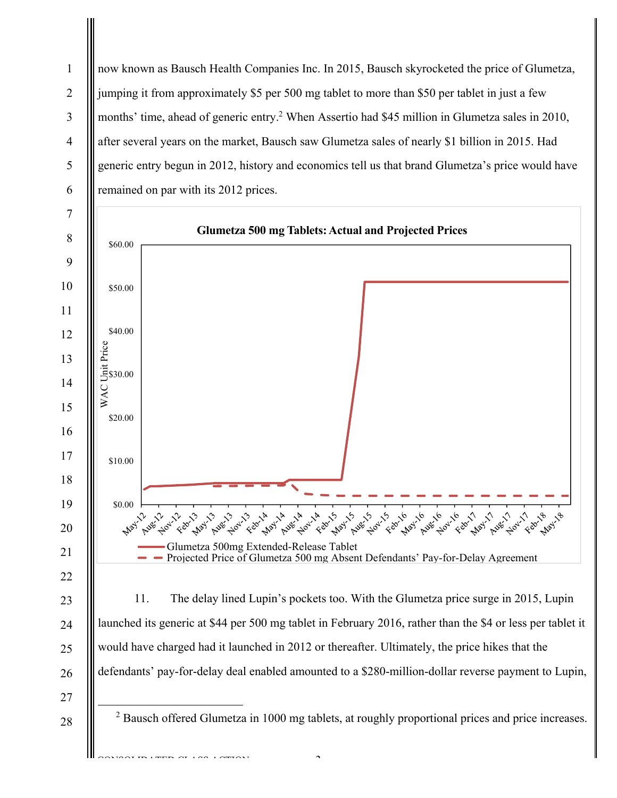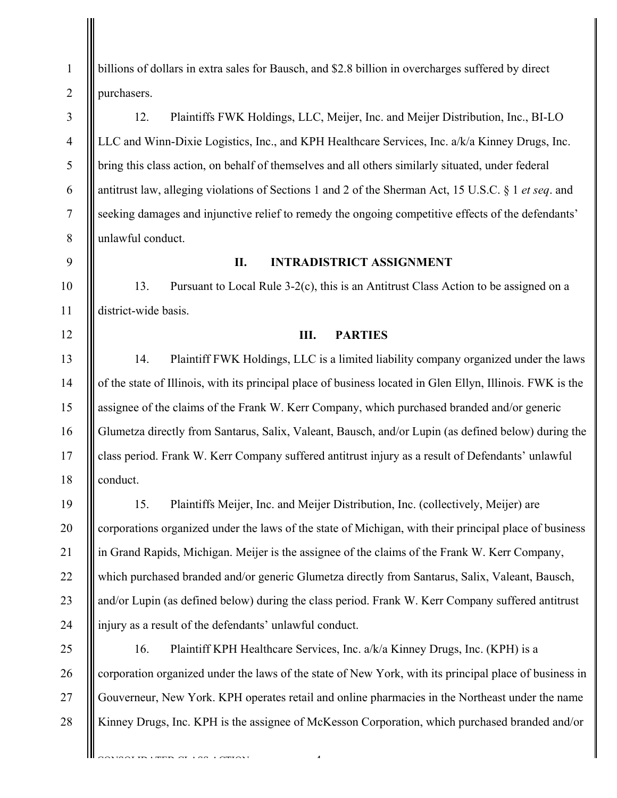billions of dollars in extra sales for Bausch, and \$2.8 billion in overcharges suffered by direct purchasers.

12. Plaintiffs FWK Holdings, LLC, Meijer, Inc. and Meijer Distribution, Inc., BI-LO LLC and Winn-Dixie Logistics, Inc., and KPH Healthcare Services, Inc. a/k/a Kinney Drugs, Inc. bring this class action, on behalf of themselves and all others similarly situated, under federal antitrust law, alleging violations of Sections 1 and 2 of the Sherman Act, 15 U.S.C. § 1 *et seq*. and seeking damages and injunctive relief to remedy the ongoing competitive effects of the defendants' unlawful conduct.

9

10

11

12

13

14

15

16

17

18

19

20

21

22

23

24

1

2

3

4

5

6

7

8

## **II. INTRADISTRICT ASSIGNMENT**

13. Pursuant to Local Rule 3-2(c), this is an Antitrust Class Action to be assigned on a district-wide basis.

### **III. PARTIES**

14. Plaintiff FWK Holdings, LLC is a limited liability company organized under the laws of the state of Illinois, with its principal place of business located in Glen Ellyn, Illinois. FWK is the assignee of the claims of the Frank W. Kerr Company, which purchased branded and/or generic Glumetza directly from Santarus, Salix, Valeant, Bausch, and/or Lupin (as defined below) during the class period. Frank W. Kerr Company suffered antitrust injury as a result of Defendants' unlawful conduct.

15. Plaintiffs Meijer, Inc. and Meijer Distribution, Inc. (collectively, Meijer) are corporations organized under the laws of the state of Michigan, with their principal place of business in Grand Rapids, Michigan. Meijer is the assignee of the claims of the Frank W. Kerr Company, which purchased branded and/or generic Glumetza directly from Santarus, Salix, Valeant, Bausch, and/or Lupin (as defined below) during the class period. Frank W. Kerr Company suffered antitrust injury as a result of the defendants' unlawful conduct.

25 26 27 28 16. Plaintiff KPH Healthcare Services, Inc. a/k/a Kinney Drugs, Inc. (KPH) is a corporation organized under the laws of the state of New York, with its principal place of business in Gouverneur, New York. KPH operates retail and online pharmacies in the Northeast under the name Kinney Drugs, Inc. KPH is the assignee of McKesson Corporation, which purchased branded and/or

 $\mathcal{A}_{\mathcal{A}}$ 

TIN LADIN OF LAS LABIAST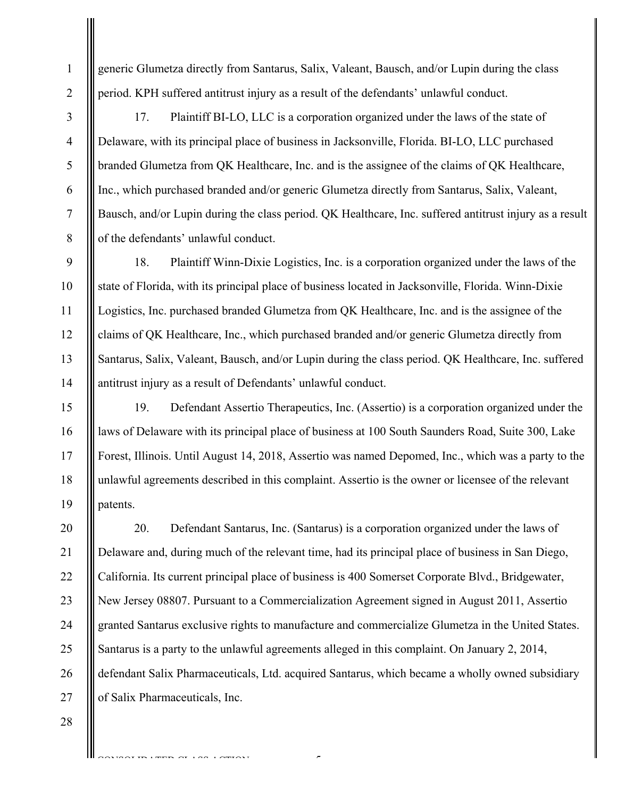generic Glumetza directly from Santarus, Salix, Valeant, Bausch, and/or Lupin during the class period. KPH suffered antitrust injury as a result of the defendants' unlawful conduct.

17. Plaintiff BI-LO, LLC is a corporation organized under the laws of the state of Delaware, with its principal place of business in Jacksonville, Florida. BI-LO, LLC purchased branded Glumetza from QK Healthcare, Inc. and is the assignee of the claims of QK Healthcare, Inc., which purchased branded and/or generic Glumetza directly from Santarus, Salix, Valeant, Bausch, and/or Lupin during the class period. QK Healthcare, Inc. suffered antitrust injury as a result of the defendants' unlawful conduct.

18. Plaintiff Winn-Dixie Logistics, Inc. is a corporation organized under the laws of the state of Florida, with its principal place of business located in Jacksonville, Florida. Winn-Dixie Logistics, Inc. purchased branded Glumetza from QK Healthcare, Inc. and is the assignee of the claims of QK Healthcare, Inc., which purchased branded and/or generic Glumetza directly from Santarus, Salix, Valeant, Bausch, and/or Lupin during the class period. QK Healthcare, Inc. suffered antitrust injury as a result of Defendants' unlawful conduct.

19. Defendant Assertio Therapeutics, Inc. (Assertio) is a corporation organized under the laws of Delaware with its principal place of business at 100 South Saunders Road, Suite 300, Lake Forest, Illinois. Until August 14, 2018, Assertio was named Depomed, Inc., which was a party to the unlawful agreements described in this complaint. Assertio is the owner or licensee of the relevant patents.

20 21 22 23 24 25 26 27 20. Defendant Santarus, Inc. (Santarus) is a corporation organized under the laws of Delaware and, during much of the relevant time, had its principal place of business in San Diego, California. Its current principal place of business is 400 Somerset Corporate Blvd., Bridgewater, New Jersey 08807. Pursuant to a Commercialization Agreement signed in August 2011, Assertio granted Santarus exclusive rights to manufacture and commercialize Glumetza in the United States. Santarus is a party to the unlawful agreements alleged in this complaint. On January 2, 2014, defendant Salix Pharmaceuticals, Ltd. acquired Santarus, which became a wholly owned subsidiary of Salix Pharmaceuticals, Inc.

-5-

 $\overline{C}$  consolidation  $\overline{C}$ 

15

16

17

18

19

28

1

2

3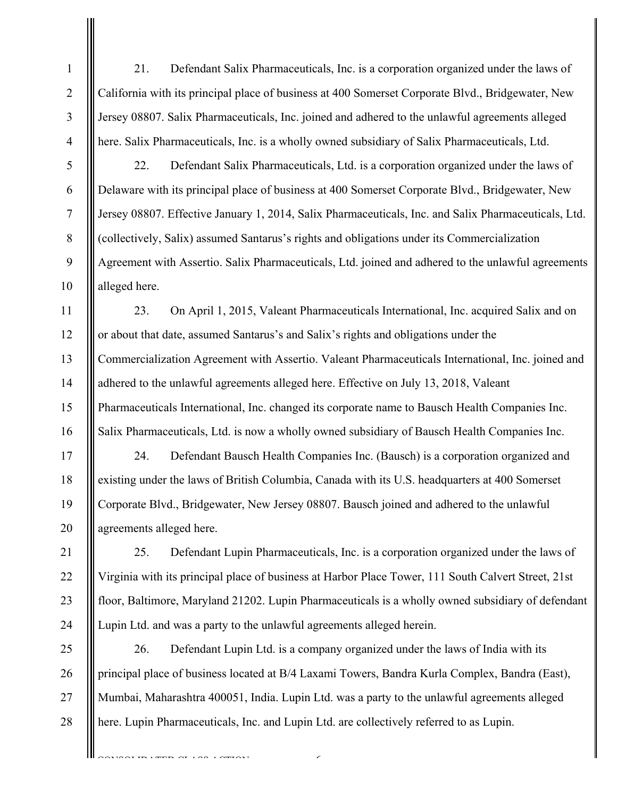21. Defendant Salix Pharmaceuticals, Inc. is a corporation organized under the laws of California with its principal place of business at 400 Somerset Corporate Blvd., Bridgewater, New Jersey 08807. Salix Pharmaceuticals, Inc. joined and adhered to the unlawful agreements alleged here. Salix Pharmaceuticals, Inc. is a wholly owned subsidiary of Salix Pharmaceuticals, Ltd.

5

1

2

3

4

6

7

8

9

10

11

12

13

14

15

16

17

18

19

20

21

22

23

24

22. Defendant Salix Pharmaceuticals, Ltd. is a corporation organized under the laws of Delaware with its principal place of business at 400 Somerset Corporate Blvd., Bridgewater, New Jersey 08807. Effective January 1, 2014, Salix Pharmaceuticals, Inc. and Salix Pharmaceuticals, Ltd. (collectively, Salix) assumed Santarus's rights and obligations under its Commercialization Agreement with Assertio. Salix Pharmaceuticals, Ltd. joined and adhered to the unlawful agreements alleged here.

23. On April 1, 2015, Valeant Pharmaceuticals International, Inc. acquired Salix and on or about that date, assumed Santarus's and Salix's rights and obligations under the Commercialization Agreement with Assertio. Valeant Pharmaceuticals International, Inc. joined and adhered to the unlawful agreements alleged here. Effective on July 13, 2018, Valeant Pharmaceuticals International, Inc. changed its corporate name to Bausch Health Companies Inc. Salix Pharmaceuticals, Ltd. is now a wholly owned subsidiary of Bausch Health Companies Inc.

24. Defendant Bausch Health Companies Inc. (Bausch) is a corporation organized and existing under the laws of British Columbia, Canada with its U.S. headquarters at 400 Somerset Corporate Blvd., Bridgewater, New Jersey 08807. Bausch joined and adhered to the unlawful agreements alleged here.

25. Defendant Lupin Pharmaceuticals, Inc. is a corporation organized under the laws of Virginia with its principal place of business at Harbor Place Tower, 111 South Calvert Street, 21st floor, Baltimore, Maryland 21202. Lupin Pharmaceuticals is a wholly owned subsidiary of defendant Lupin Ltd. and was a party to the unlawful agreements alleged herein.

25 28 26. Defendant Lupin Ltd. is a company organized under the laws of India with its principal place of business located at B/4 Laxami Towers, Bandra Kurla Complex, Bandra (East), Mumbai, Maharashtra 400051, India. Lupin Ltd. was a party to the unlawful agreements alleged here. Lupin Pharmaceuticals, Inc. and Lupin Ltd. are collectively referred to as Lupin.

 $\epsilon$ 

26 27

CONSTRUCTION CONTANT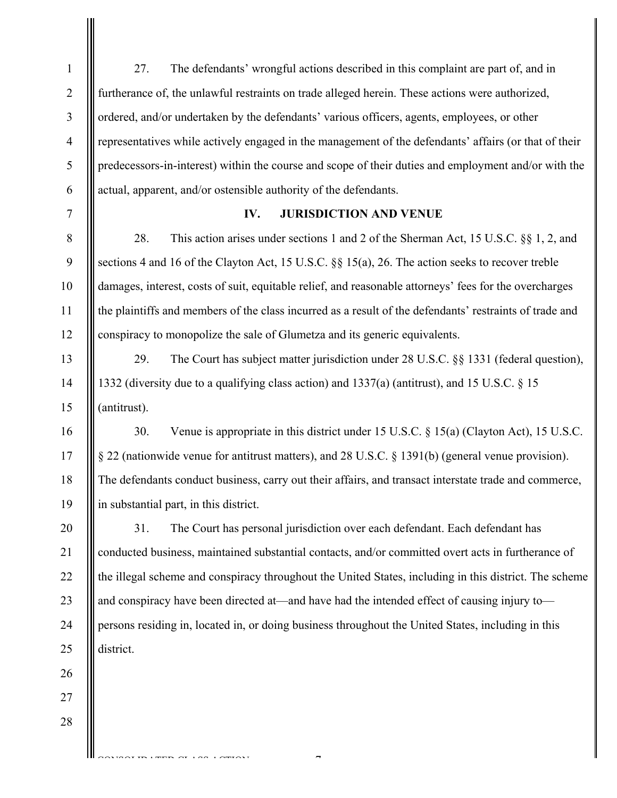27. The defendants' wrongful actions described in this complaint are part of, and in furtherance of, the unlawful restraints on trade alleged herein. These actions were authorized, ordered, and/or undertaken by the defendants' various officers, agents, employees, or other representatives while actively engaged in the management of the defendants' affairs (or that of their predecessors-in-interest) within the course and scope of their duties and employment and/or with the actual, apparent, and/or ostensible authority of the defendants.

7

8

9

10

11

12

13

14

15

16

17

18

19

1

2

3

4

5

6

### **IV. JURISDICTION AND VENUE**

28. This action arises under sections 1 and 2 of the Sherman Act, 15 U.S.C. §§ 1, 2, and sections 4 and 16 of the Clayton Act, 15 U.S.C. §§ 15(a), 26. The action seeks to recover treble damages, interest, costs of suit, equitable relief, and reasonable attorneys' fees for the overcharges the plaintiffs and members of the class incurred as a result of the defendants' restraints of trade and conspiracy to monopolize the sale of Glumetza and its generic equivalents.

29. The Court has subject matter jurisdiction under 28 U.S.C. §§ 1331 (federal question), 1332 (diversity due to a qualifying class action) and 1337(a) (antitrust), and 15 U.S.C. § 15 (antitrust).

30. Venue is appropriate in this district under 15 U.S.C. § 15(a) (Clayton Act), 15 U.S.C. § 22 (nationwide venue for antitrust matters), and 28 U.S.C. § 1391(b) (general venue provision). The defendants conduct business, carry out their affairs, and transact interstate trade and commerce, in substantial part, in this district.

20 21 22 23 31. The Court has personal jurisdiction over each defendant. Each defendant has conducted business, maintained substantial contacts, and/or committed overt acts in furtherance of the illegal scheme and conspiracy throughout the United States, including in this district. The scheme and conspiracy have been directed at—and have had the intended effect of causing injury to persons residing in, located in, or doing business throughout the United States, including in this district.

-7-

CONSTRUCTION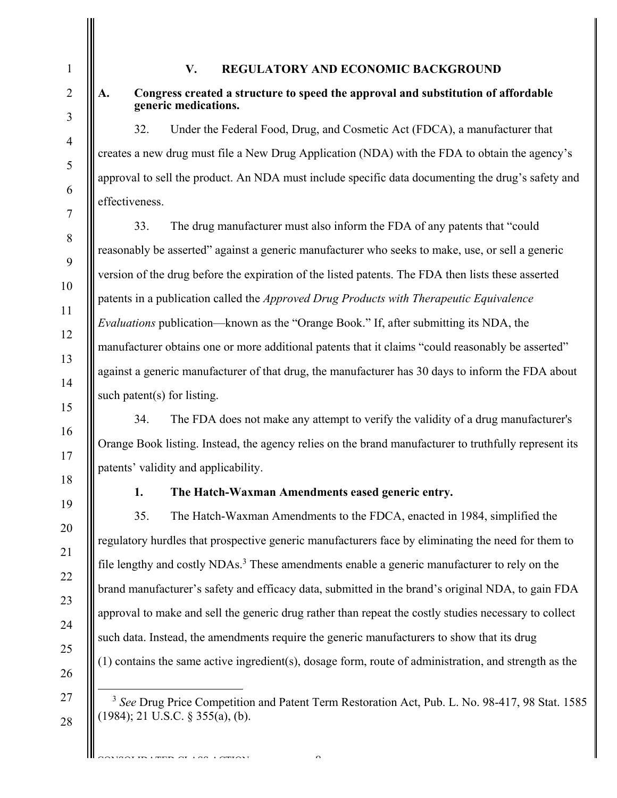# **V. REGULATORY AND ECONOMIC BACKGROUND**

1

2

3

4

5

6

7

8

9

10

11

12

13

14

15

16

17

18

19

20

21

22

23

24

## **A. Congress created a structure to speed the approval and substitution of affordable generic medications.**

32. Under the Federal Food, Drug, and Cosmetic Act (FDCA), a manufacturer that creates a new drug must file a New Drug Application (NDA) with the FDA to obtain the agency's approval to sell the product. An NDA must include specific data documenting the drug's safety and effectiveness.

33. The drug manufacturer must also inform the FDA of any patents that "could reasonably be asserted" against a generic manufacturer who seeks to make, use, or sell a generic version of the drug before the expiration of the listed patents. The FDA then lists these asserted patents in a publication called the *Approved Drug Products with Therapeutic Equivalence Evaluations* publication—known as the "Orange Book." If, after submitting its NDA, the manufacturer obtains one or more additional patents that it claims "could reasonably be asserted" against a generic manufacturer of that drug, the manufacturer has 30 days to inform the FDA about such patent(s) for listing.

34. The FDA does not make any attempt to verify the validity of a drug manufacturer's Orange Book listing. Instead, the agency relies on the brand manufacturer to truthfully represent its patents' validity and applicability.

# **1. The Hatch-Waxman Amendments eased generic entry.**

35. The Hatch-Waxman Amendments to the FDCA, enacted in 1984, simplified the regulatory hurdles that prospective generic manufacturers face by eliminating the need for them to file lengthy and costly NDAs.<sup>3</sup> These amendments enable a generic manufacturer to rely on the brand manufacturer's safety and efficacy data, submitted in the brand's original NDA, to gain FDA approval to make and sell the generic drug rather than repeat the costly studies necessary to collect such data. Instead, the amendments require the generic manufacturers to show that its drug (1) contains the same active ingredient(s), dosage form, route of administration, and strength as the

25 26 27

28

CONSOLIDATED CLASS COMPONE

 $\mathcal{L}_{\mathcal{L}}$ 

 <sup>3</sup> *See* Drug Price Competition and Patent Term Restoration Act, Pub. L. No. 98-417, 98 Stat. 1585 (1984); 21 U.S.C. § 355(a), (b).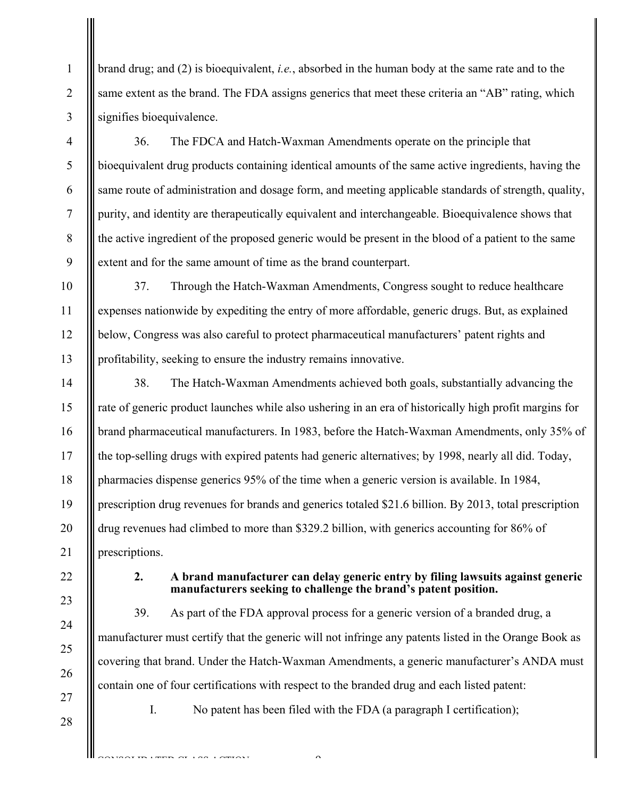brand drug; and (2) is bioequivalent, *i.e.*, absorbed in the human body at the same rate and to the same extent as the brand. The FDA assigns generics that meet these criteria an "AB" rating, which signifies bioequivalence.

36. The FDCA and Hatch-Waxman Amendments operate on the principle that bioequivalent drug products containing identical amounts of the same active ingredients, having the same route of administration and dosage form, and meeting applicable standards of strength, quality, purity, and identity are therapeutically equivalent and interchangeable. Bioequivalence shows that the active ingredient of the proposed generic would be present in the blood of a patient to the same extent and for the same amount of time as the brand counterpart.

37. Through the Hatch-Waxman Amendments, Congress sought to reduce healthcare expenses nationwide by expediting the entry of more affordable, generic drugs. But, as explained below, Congress was also careful to protect pharmaceutical manufacturers' patent rights and profitability, seeking to ensure the industry remains innovative.

14 15 16 17 18 19 20 21 38. The Hatch-Waxman Amendments achieved both goals, substantially advancing the rate of generic product launches while also ushering in an era of historically high profit margins for brand pharmaceutical manufacturers. In 1983, before the Hatch-Waxman Amendments, only 35% of the top-selling drugs with expired patents had generic alternatives; by 1998, nearly all did. Today, pharmacies dispense generics 95% of the time when a generic version is available. In 1984, prescription drug revenues for brands and generics totaled \$21.6 billion. By 2013, total prescription drug revenues had climbed to more than \$329.2 billion, with generics accounting for 86% of prescriptions.

23

22

24

25

26

27

28

1

2

3

4

5

6

7

8

9

10

11

12

13

## **2. A brand manufacturer can delay generic entry by filing lawsuits against generic manufacturers seeking to challenge the brand's patent position.**

39. As part of the FDA approval process for a generic version of a branded drug, a manufacturer must certify that the generic will not infringe any patents listed in the Orange Book as covering that brand. Under the Hatch-Waxman Amendments, a generic manufacturer's ANDA must contain one of four certifications with respect to the branded drug and each listed patent:

CONSOLIDATED CLASS COMPONE

I. No patent has been filed with the FDA (a paragraph I certification);

 $\mathcal{L}_{\mathcal{L}}$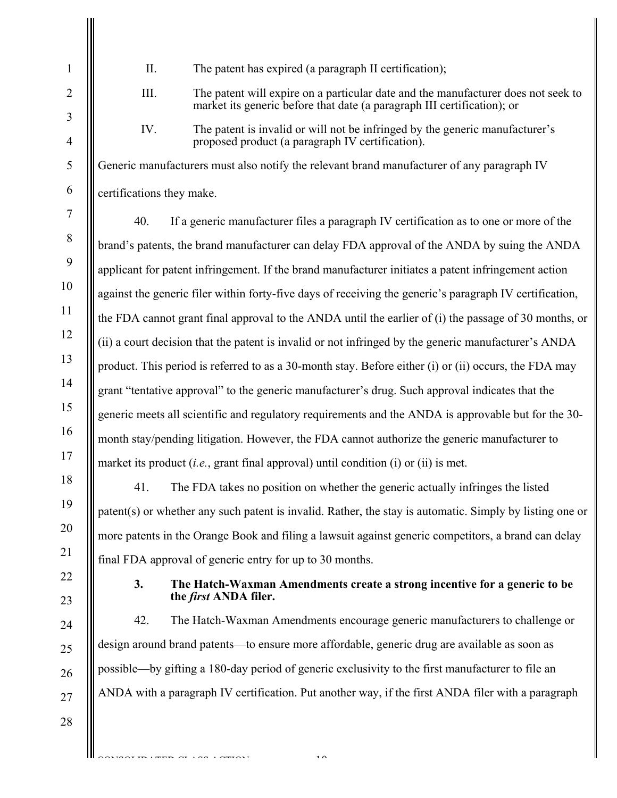- II. The patent has expired (a paragraph II certification);
- III. The patent will expire on a particular date and the manufacturer does not seek to market its generic before that date (a paragraph III certification); or
- IV. The patent is invalid or will not be infringed by the generic manufacturer's proposed product (a paragraph IV certification).

Generic manufacturers must also notify the relevant brand manufacturer of any paragraph IV certifications they make.

40. If a generic manufacturer files a paragraph IV certification as to one or more of the brand's patents, the brand manufacturer can delay FDA approval of the ANDA by suing the ANDA applicant for patent infringement. If the brand manufacturer initiates a patent infringement action against the generic filer within forty-five days of receiving the generic's paragraph IV certification, the FDA cannot grant final approval to the ANDA until the earlier of (i) the passage of 30 months, or (ii) a court decision that the patent is invalid or not infringed by the generic manufacturer's ANDA product. This period is referred to as a 30-month stay. Before either (i) or (ii) occurs, the FDA may grant "tentative approval" to the generic manufacturer's drug. Such approval indicates that the generic meets all scientific and regulatory requirements and the ANDA is approvable but for the 30 month stay/pending litigation. However, the FDA cannot authorize the generic manufacturer to market its product (*i.e.*, grant final approval) until condition (i) or (ii) is met.

41. The FDA takes no position on whether the generic actually infringes the listed patent(s) or whether any such patent is invalid. Rather, the stay is automatic. Simply by listing one or more patents in the Orange Book and filing a lawsuit against generic competitors, a brand can delay final FDA approval of generic entry for up to 30 months.

# **3. The Hatch-Waxman Amendments create a strong incentive for a generic to be the** *first* **ANDA filer.**

42. The Hatch-Waxman Amendments encourage generic manufacturers to challenge or design around brand patents—to ensure more affordable, generic drug are available as soon as possible—by gifting a 180-day period of generic exclusivity to the first manufacturer to file an ANDA with a paragraph IV certification. Put another way, if the first ANDA filer with a paragraph

-10-

CONSTRUCTION

28

1

 $\overline{2}$ 

3

4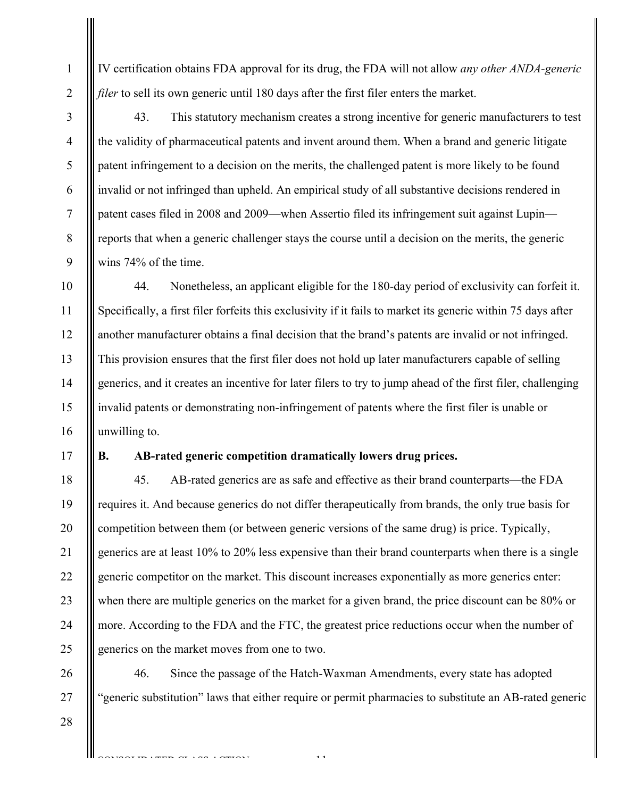IV certification obtains FDA approval for its drug, the FDA will not allow *any other ANDA-generic filer* to sell its own generic until 180 days after the first filer enters the market.

43. This statutory mechanism creates a strong incentive for generic manufacturers to test the validity of pharmaceutical patents and invent around them. When a brand and generic litigate patent infringement to a decision on the merits, the challenged patent is more likely to be found invalid or not infringed than upheld. An empirical study of all substantive decisions rendered in patent cases filed in 2008 and 2009—when Assertio filed its infringement suit against Lupin reports that when a generic challenger stays the course until a decision on the merits, the generic wins 74% of the time.

44. Nonetheless, an applicant eligible for the 180-day period of exclusivity can forfeit it. Specifically, a first filer forfeits this exclusivity if it fails to market its generic within 75 days after another manufacturer obtains a final decision that the brand's patents are invalid or not infringed. This provision ensures that the first filer does not hold up later manufacturers capable of selling generics, and it creates an incentive for later filers to try to jump ahead of the first filer, challenging invalid patents or demonstrating non-infringement of patents where the first filer is unable or unwilling to.

#### 17

1

2

3

4

5

6

7

8

9

10

11

12

13

14

15

16

# **B. AB-rated generic competition dramatically lowers drug prices.**

18 19 20 21 22 23 24 25 45. AB-rated generics are as safe and effective as their brand counterparts—the FDA requires it. And because generics do not differ therapeutically from brands, the only true basis for competition between them (or between generic versions of the same drug) is price. Typically, generics are at least 10% to 20% less expensive than their brand counterparts when there is a single generic competitor on the market. This discount increases exponentially as more generics enter: when there are multiple generics on the market for a given brand, the price discount can be 80% or more. According to the FDA and the FTC, the greatest price reductions occur when the number of generics on the market moves from one to two.

46. Since the passage of the Hatch-Waxman Amendments, every state has adopted "generic substitution" laws that either require or permit pharmacies to substitute an AB-rated generic

-11-

28

CONSTRUCT LAS LAMINAT

26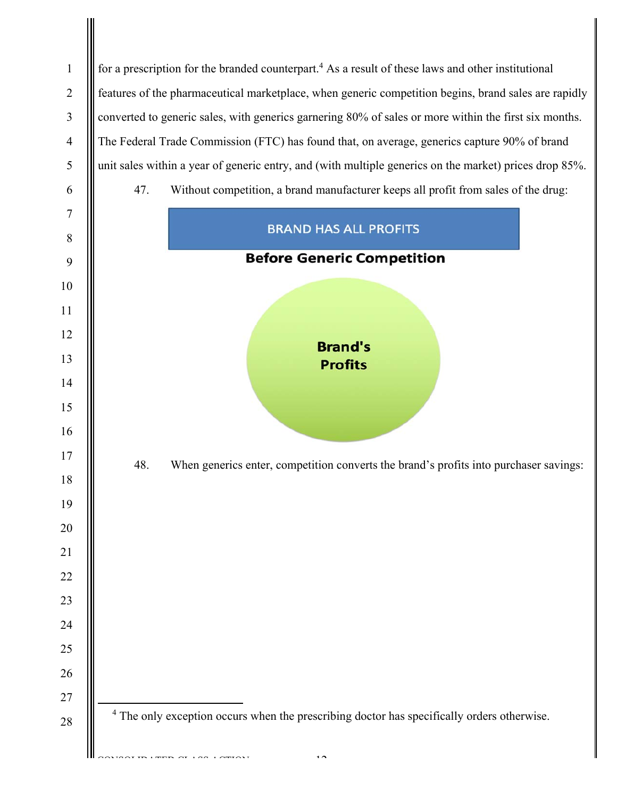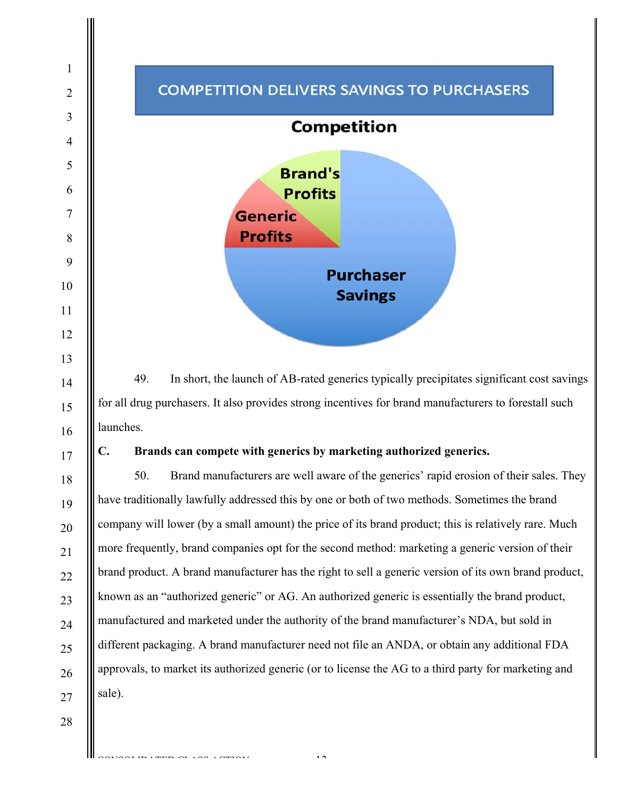

49. In short, the launch of AB-rated generics typically precipitates significant cost savings for all drug purchasers. It also provides strong incentives for brand manufacturers to forestall such launches.

# **C. Brands can compete with generics by marketing authorized generics.**

50. Brand manufacturers are well aware of the generics' rapid erosion of their sales. They have traditionally lawfully addressed this by one or both of two methods. Sometimes the brand company will lower (by a small amount) the price of its brand product; this is relatively rare. Much more frequently, brand companies opt for the second method: marketing a generic version of their brand product. A brand manufacturer has the right to sell a generic version of its own brand product, known as an "authorized generic" or AG. An authorized generic is essentially the brand product, manufactured and marketed under the authority of the brand manufacturer's NDA, but sold in different packaging. A brand manufacturer need not file an ANDA, or obtain any additional FDA approvals, to market its authorized generic (or to license the AG to a third party for marketing and sale).

 $\overline{1}$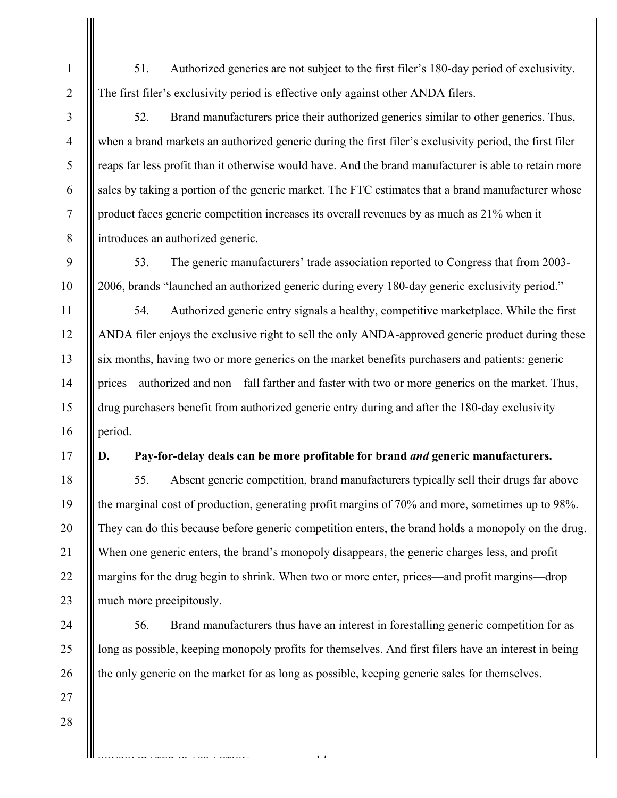51. Authorized generics are not subject to the first filer's 180-day period of exclusivity. The first filer's exclusivity period is effective only against other ANDA filers.

52. Brand manufacturers price their authorized generics similar to other generics. Thus, when a brand markets an authorized generic during the first filer's exclusivity period, the first filer reaps far less profit than it otherwise would have. And the brand manufacturer is able to retain more sales by taking a portion of the generic market. The FTC estimates that a brand manufacturer whose product faces generic competition increases its overall revenues by as much as 21% when it introduces an authorized generic.

53. The generic manufacturers' trade association reported to Congress that from 2003- 2006, brands "launched an authorized generic during every 180-day generic exclusivity period."

54. Authorized generic entry signals a healthy, competitive marketplace. While the first ANDA filer enjoys the exclusive right to sell the only ANDA-approved generic product during these six months, having two or more generics on the market benefits purchasers and patients: generic prices—authorized and non—fall farther and faster with two or more generics on the market. Thus, drug purchasers benefit from authorized generic entry during and after the 180-day exclusivity period.

19

20

21

22

23

24

25

26

27

28

# **D. Pay-for-delay deals can be more profitable for brand** *and* **generic manufacturers.**

55. Absent generic competition, brand manufacturers typically sell their drugs far above the marginal cost of production, generating profit margins of 70% and more, sometimes up to 98%. They can do this because before generic competition enters, the brand holds a monopoly on the drug. When one generic enters, the brand's monopoly disappears, the generic charges less, and profit margins for the drug begin to shrink. When two or more enter, prices—and profit margins—drop much more precipitously.

56. Brand manufacturers thus have an interest in forestalling generic competition for as long as possible, keeping monopoly profits for themselves. And first filers have an interest in being the only generic on the market for as long as possible, keeping generic sales for themselves.

-14-

CONSTRUCTION

1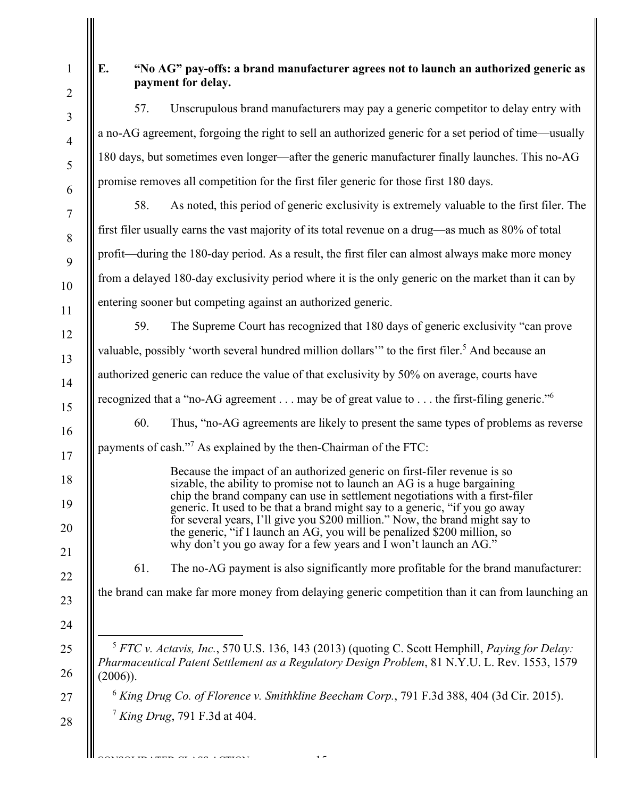| E.          |     | "No AG" pay-offs: a brand manufacturer agrees not to launch an authorized generic as<br>payment for delay.                                                                                                                                                                                                                                                                                                                                                                                                                                          |
|-------------|-----|-----------------------------------------------------------------------------------------------------------------------------------------------------------------------------------------------------------------------------------------------------------------------------------------------------------------------------------------------------------------------------------------------------------------------------------------------------------------------------------------------------------------------------------------------------|
|             | 57. | Unscrupulous brand manufacturers may pay a generic competitor to delay entry with                                                                                                                                                                                                                                                                                                                                                                                                                                                                   |
|             |     | a no-AG agreement, forgoing the right to sell an authorized generic for a set period of time—usually                                                                                                                                                                                                                                                                                                                                                                                                                                                |
|             |     | 180 days, but sometimes even longer—after the generic manufacturer finally launches. This no-AG                                                                                                                                                                                                                                                                                                                                                                                                                                                     |
|             |     | promise removes all competition for the first filer generic for those first 180 days.                                                                                                                                                                                                                                                                                                                                                                                                                                                               |
|             | 58. | As noted, this period of generic exclusivity is extremely valuable to the first filer. The                                                                                                                                                                                                                                                                                                                                                                                                                                                          |
|             |     | first filer usually earns the vast majority of its total revenue on a drug—as much as 80% of total                                                                                                                                                                                                                                                                                                                                                                                                                                                  |
|             |     | profit—during the 180-day period. As a result, the first filer can almost always make more money                                                                                                                                                                                                                                                                                                                                                                                                                                                    |
|             |     | from a delayed 180-day exclusivity period where it is the only generic on the market than it can by                                                                                                                                                                                                                                                                                                                                                                                                                                                 |
|             |     | entering sooner but competing against an authorized generic.                                                                                                                                                                                                                                                                                                                                                                                                                                                                                        |
|             | 59. | The Supreme Court has recognized that 180 days of generic exclusivity "can prove                                                                                                                                                                                                                                                                                                                                                                                                                                                                    |
|             |     | valuable, possibly 'worth several hundred million dollars'" to the first filer. <sup>5</sup> And because an                                                                                                                                                                                                                                                                                                                                                                                                                                         |
|             |     | authorized generic can reduce the value of that exclusivity by 50% on average, courts have                                                                                                                                                                                                                                                                                                                                                                                                                                                          |
|             |     | recognized that a "no-AG agreement may be of great value to the first-filing generic." <sup>6</sup>                                                                                                                                                                                                                                                                                                                                                                                                                                                 |
|             | 60. | Thus, "no-AG agreements are likely to present the same types of problems as reverse                                                                                                                                                                                                                                                                                                                                                                                                                                                                 |
|             |     | payments of cash." <sup>7</sup> As explained by the then-Chairman of the FTC:                                                                                                                                                                                                                                                                                                                                                                                                                                                                       |
|             |     | Because the impact of an authorized generic on first-filer revenue is so<br>sizable, the ability to promise not to launch an AG is a huge bargaining<br>chip the brand company can use in settlement negotiations with a first-filer<br>generic. It used to be that a brand might say to a generic, "if you go away<br>for several years, I'll give you \$200 million." Now, the brand might say to<br>the generic, "if I launch an AG, you will be penalized \$200 million, so<br>why don't you go away for a few years and I won't launch an AG." |
|             | 61. | The no-AG payment is also significantly more profitable for the brand manufacturer:                                                                                                                                                                                                                                                                                                                                                                                                                                                                 |
|             |     | the brand can make far more money from delaying generic competition than it can from launching an                                                                                                                                                                                                                                                                                                                                                                                                                                                   |
| $(2006)$ ). |     | <sup>5</sup> FTC v. Actavis, Inc., 570 U.S. 136, 143 (2013) (quoting C. Scott Hemphill, Paying for Delay:<br>Pharmaceutical Patent Settlement as a Regulatory Design Problem, 81 N.Y.U. L. Rev. 1553, 1579                                                                                                                                                                                                                                                                                                                                          |
|             |     | $6$ King Drug Co. of Florence v. Smithkline Beecham Corp., 791 F.3d 388, 404 (3d Cir. 2015).                                                                                                                                                                                                                                                                                                                                                                                                                                                        |
|             |     | $7$ King Drug, 791 F.3d at 404.                                                                                                                                                                                                                                                                                                                                                                                                                                                                                                                     |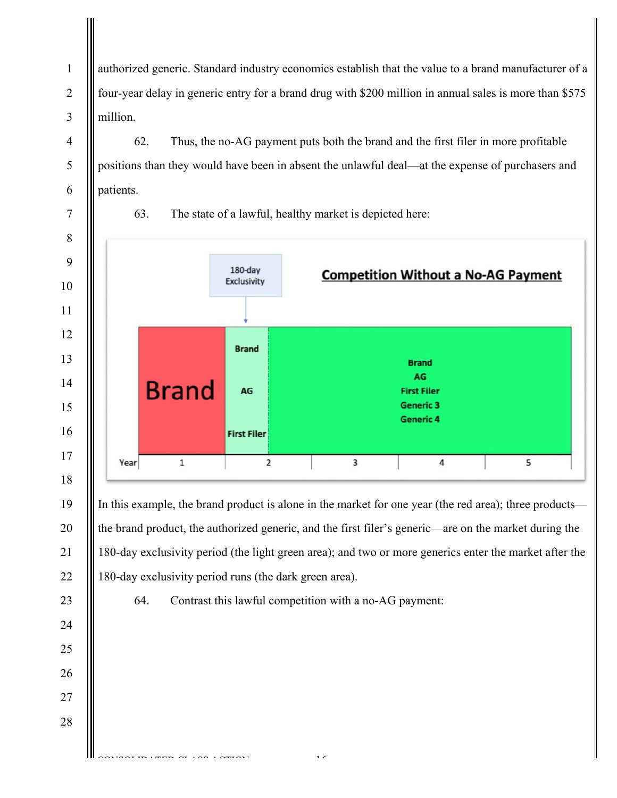authorized generic. Standard industry economics establish that the value to a brand manufacturer of a four-year delay in generic entry for a brand drug with \$200 million in annual sales is more than \$575 million.

62. Thus, the no-AG payment puts both the brand and the first filer in more profitable positions than they would have been in absent the unlawful deal—at the expense of purchasers and patients.





-16-

CONSTRUCT CAR LAMIN'S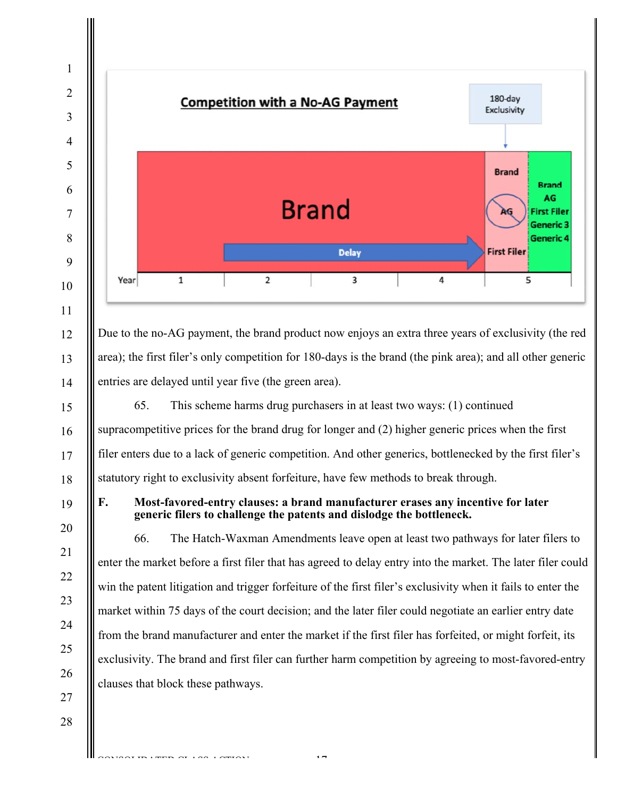

CONSTRUCTION

-17-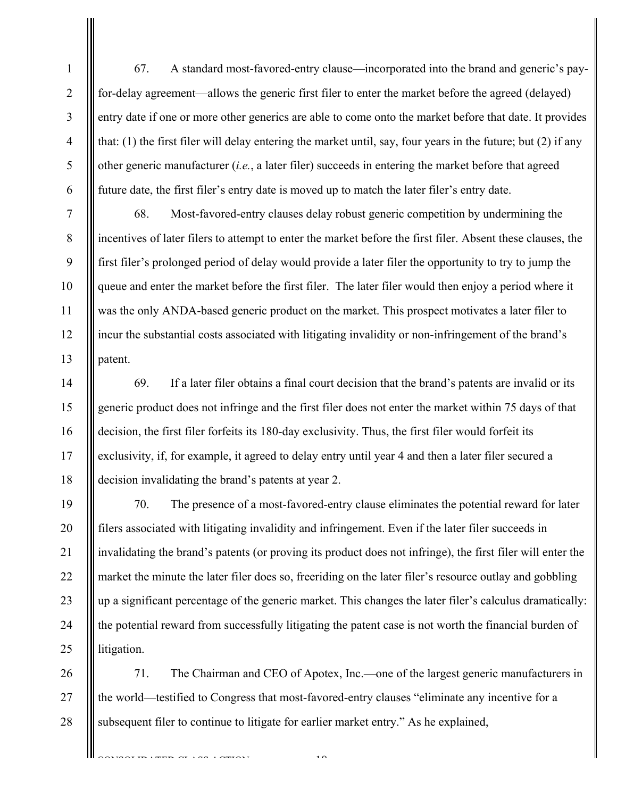67. A standard most-favored-entry clause—incorporated into the brand and generic's payfor-delay agreement—allows the generic first filer to enter the market before the agreed (delayed) entry date if one or more other generics are able to come onto the market before that date. It provides that: (1) the first filer will delay entering the market until, say, four years in the future; but (2) if any other generic manufacturer (*i.e.*, a later filer) succeeds in entering the market before that agreed future date, the first filer's entry date is moved up to match the later filer's entry date.

1

2

3

4

5

6

7

8

9

10

11

12

13

14

15

16

17

18

68. Most-favored-entry clauses delay robust generic competition by undermining the incentives of later filers to attempt to enter the market before the first filer. Absent these clauses, the first filer's prolonged period of delay would provide a later filer the opportunity to try to jump the queue and enter the market before the first filer. The later filer would then enjoy a period where it was the only ANDA-based generic product on the market. This prospect motivates a later filer to incur the substantial costs associated with litigating invalidity or non-infringement of the brand's patent.

69. If a later filer obtains a final court decision that the brand's patents are invalid or its generic product does not infringe and the first filer does not enter the market within 75 days of that decision, the first filer forfeits its 180-day exclusivity. Thus, the first filer would forfeit its exclusivity, if, for example, it agreed to delay entry until year 4 and then a later filer secured a decision invalidating the brand's patents at year 2.

19 20 21 22 23 24 25 70. The presence of a most-favored-entry clause eliminates the potential reward for later filers associated with litigating invalidity and infringement. Even if the later filer succeeds in invalidating the brand's patents (or proving its product does not infringe), the first filer will enter the market the minute the later filer does so, freeriding on the later filer's resource outlay and gobbling up a significant percentage of the generic market. This changes the later filer's calculus dramatically: the potential reward from successfully litigating the patent case is not worth the financial burden of litigation.

26 27 28 71. The Chairman and CEO of Apotex, Inc.—one of the largest generic manufacturers in the world—testified to Congress that most-favored-entry clauses "eliminate any incentive for a subsequent filer to continue to litigate for earlier market entry." As he explained,

CONSTRUCT CAN LAMINIT

 $\overline{18}$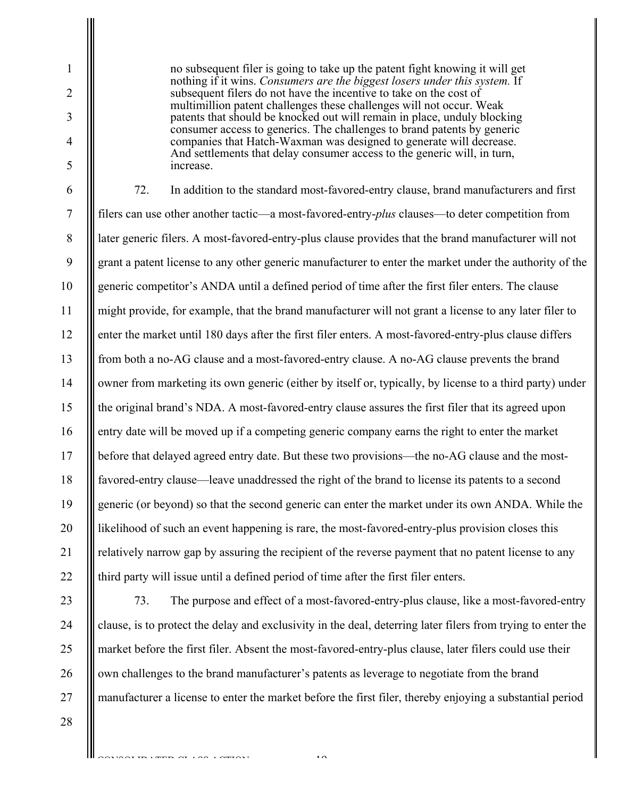no subsequent filer is going to take up the patent fight knowing it will get nothing if it wins. *Consumers are the biggest losers under this system.* If subsequent filers do not have the incentive to take on the cost of multimillion patent challenges these challenges will not occur. Weak patents that should be knocked out will remain in place, unduly blocking consumer access to generics. The challenges to brand patents by generic companies that Hatch-Waxman was designed to generate will decrease. And settlements that delay consumer access to the generic will, in turn, increase.

6 7 8 9 10 11 12 13 14 15 16 17 18 19 20 21 22 72. In addition to the standard most-favored-entry clause, brand manufacturers and first filers can use other another tactic—a most-favored-entry-*plus* clauses—to deter competition from later generic filers. A most-favored-entry-plus clause provides that the brand manufacturer will not grant a patent license to any other generic manufacturer to enter the market under the authority of the generic competitor's ANDA until a defined period of time after the first filer enters. The clause might provide, for example, that the brand manufacturer will not grant a license to any later filer to enter the market until 180 days after the first filer enters. A most-favored-entry-plus clause differs from both a no-AG clause and a most-favored-entry clause. A no-AG clause prevents the brand owner from marketing its own generic (either by itself or, typically, by license to a third party) under the original brand's NDA. A most-favored-entry clause assures the first filer that its agreed upon entry date will be moved up if a competing generic company earns the right to enter the market before that delayed agreed entry date. But these two provisions—the no-AG clause and the mostfavored-entry clause—leave unaddressed the right of the brand to license its patents to a second generic (or beyond) so that the second generic can enter the market under its own ANDA. While the likelihood of such an event happening is rare, the most-favored-entry-plus provision closes this relatively narrow gap by assuring the recipient of the reverse payment that no patent license to any third party will issue until a defined period of time after the first filer enters.

23 24 25

26

27

1

2

3

4

5

73. The purpose and effect of a most-favored-entry-plus clause, like a most-favored-entry clause, is to protect the delay and exclusivity in the deal, deterring later filers from trying to enter the market before the first filer. Absent the most-favored-entry-plus clause, later filers could use their own challenges to the brand manufacturer's patents as leverage to negotiate from the brand manufacturer a license to enter the market before the first filer, thereby enjoying a substantial period

 $\overline{1}$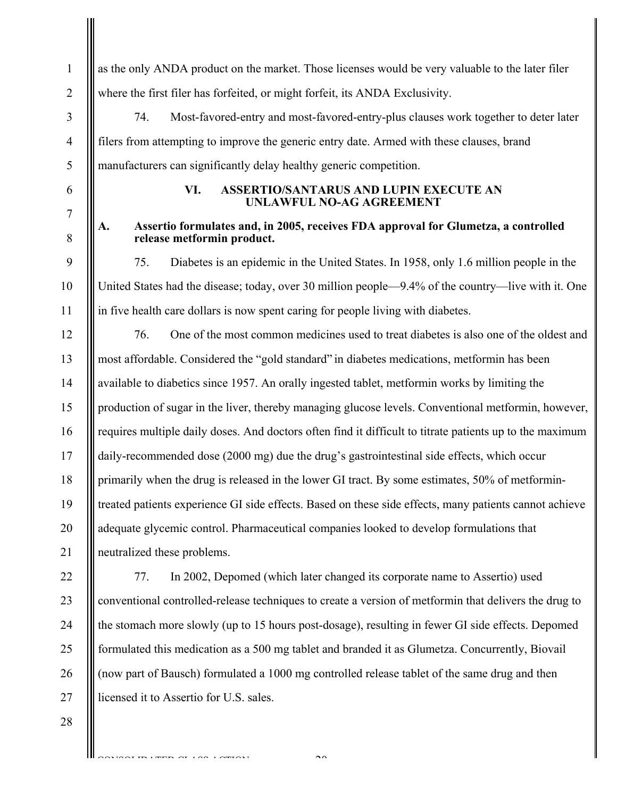as the only ANDA product on the market. Those licenses would be very valuable to the later filer where the first filer has forfeited, or might forfeit, its ANDA Exclusivity. 74. Most-favored-entry and most-favored-entry-plus clauses work together to deter later filers from attempting to improve the generic entry date. Armed with these clauses, brand manufacturers can significantly delay healthy generic competition. **VI. ASSERTIO/SANTARUS AND LUPIN EXECUTE AN UNLAWFUL NO-AG AGREEMENT** 

# **A. Assertio formulates and, in 2005, receives FDA approval for Glumetza, a controlled release metformin product.**

75. Diabetes is an epidemic in the United States. In 1958, only 1.6 million people in the United States had the disease; today, over 30 million people—9.4% of the country—live with it. One in five health care dollars is now spent caring for people living with diabetes.

12 13 14 15 16 17 18 19 20 21 76. One of the most common medicines used to treat diabetes is also one of the oldest and most affordable. Considered the "gold standard" in diabetes medications, metformin has been available to diabetics since 1957. An orally ingested tablet, metformin works by limiting the production of sugar in the liver, thereby managing glucose levels. Conventional metformin, however, requires multiple daily doses. And doctors often find it difficult to titrate patients up to the maximum daily-recommended dose (2000 mg) due the drug's gastrointestinal side effects, which occur primarily when the drug is released in the lower GI tract. By some estimates, 50% of metformintreated patients experience GI side effects. Based on these side effects, many patients cannot achieve adequate glycemic control. Pharmaceutical companies looked to develop formulations that neutralized these problems.

22 23 24 25 26 27 77. In 2002, Depomed (which later changed its corporate name to Assertio) used conventional controlled-release techniques to create a version of metformin that delivers the drug to the stomach more slowly (up to 15 hours post-dosage), resulting in fewer GI side effects. Depomed formulated this medication as a 500 mg tablet and branded it as Glumetza. Concurrently, Biovail (now part of Bausch) formulated a 1000 mg controlled release tablet of the same drug and then licensed it to Assertio for U.S. sales.

 $\sim$ 

CONSTRUCTION

28

1

2

3

4

5

6

7

8

9

10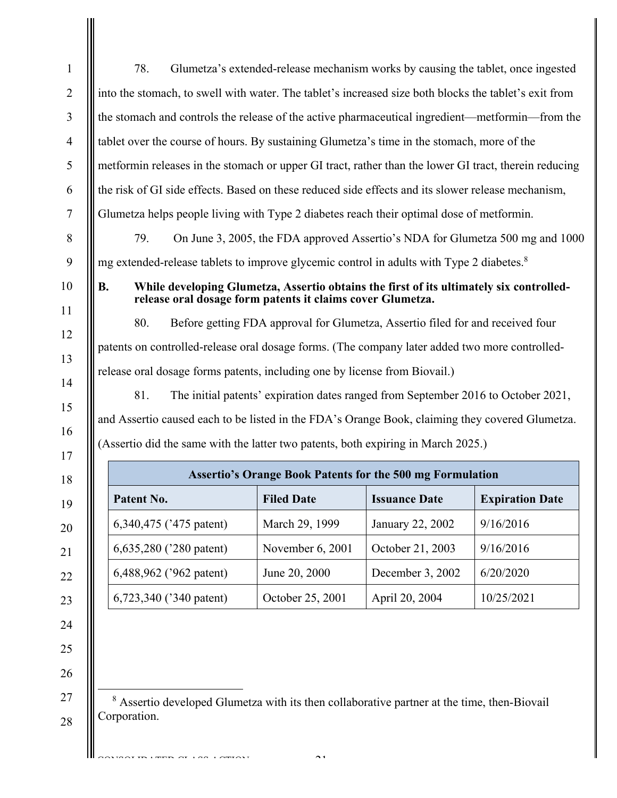|                                                                                                 |            |                         | Glumetza's extended-release mechanism works by causing the tablet, once ingested                                                                      |                      |                        |
|-------------------------------------------------------------------------------------------------|------------|-------------------------|-------------------------------------------------------------------------------------------------------------------------------------------------------|----------------------|------------------------|
|                                                                                                 |            |                         | into the stomach, to swell with water. The tablet's increased size both blocks the tablet's exit from                                                 |                      |                        |
| the stomach and controls the release of the active pharmaceutical ingredient—metformin—from the |            |                         |                                                                                                                                                       |                      |                        |
|                                                                                                 |            |                         | tablet over the course of hours. By sustaining Glumetza's time in the stomach, more of the                                                            |                      |                        |
|                                                                                                 |            |                         | metformin releases in the stomach or upper GI tract, rather than the lower GI tract, therein reducing                                                 |                      |                        |
|                                                                                                 |            |                         | the risk of GI side effects. Based on these reduced side effects and its slower release mechanism,                                                    |                      |                        |
|                                                                                                 |            |                         | Glumetza helps people living with Type 2 diabetes reach their optimal dose of metformin.                                                              |                      |                        |
|                                                                                                 | 79.        |                         | On June 3, 2005, the FDA approved Assertio's NDA for Glumetza 500 mg and 1000                                                                         |                      |                        |
|                                                                                                 |            |                         | mg extended-release tablets to improve glycemic control in adults with Type 2 diabetes. <sup>8</sup>                                                  |                      |                        |
| <b>B.</b>                                                                                       |            |                         | While developing Glumetza, Assertio obtains the first of its ultimately six controlled-<br>release oral dosage form patents it claims cover Glumetza. |                      |                        |
|                                                                                                 |            |                         |                                                                                                                                                       |                      |                        |
|                                                                                                 | 80.        |                         | Before getting FDA approval for Glumetza, Assertio filed for and received four                                                                        |                      |                        |
|                                                                                                 |            |                         | patents on controlled-release oral dosage forms. (The company later added two more controlled-                                                        |                      |                        |
|                                                                                                 |            |                         | release oral dosage forms patents, including one by license from Biovail.)                                                                            |                      |                        |
|                                                                                                 | 81.        |                         | The initial patents' expiration dates ranged from September 2016 to October 2021,                                                                     |                      |                        |
|                                                                                                 |            |                         | and Assertio caused each to be listed in the FDA's Orange Book, claiming they covered Glumetza.                                                       |                      |                        |
|                                                                                                 |            |                         | (Assertio did the same with the latter two patents, both expiring in March 2025.)                                                                     |                      |                        |
|                                                                                                 |            |                         | <b>Assertio's Orange Book Patents for the 500 mg Formulation</b>                                                                                      |                      |                        |
|                                                                                                 | Patent No. |                         | <b>Filed Date</b>                                                                                                                                     | <b>Issuance Date</b> | <b>Expiration Date</b> |
|                                                                                                 |            | 6,340,475 ('475 patent) | March 29, 1999                                                                                                                                        | January 22, 2002     | 9/16/2016              |
|                                                                                                 |            | 6,635,280 ('280 patent) | November 6, 2001                                                                                                                                      | October 21, 2003     | 9/16/2016              |
|                                                                                                 |            | 6,488,962 ('962 patent) | June 20, 2000                                                                                                                                         | December 3, 2002     | 6/20/2020              |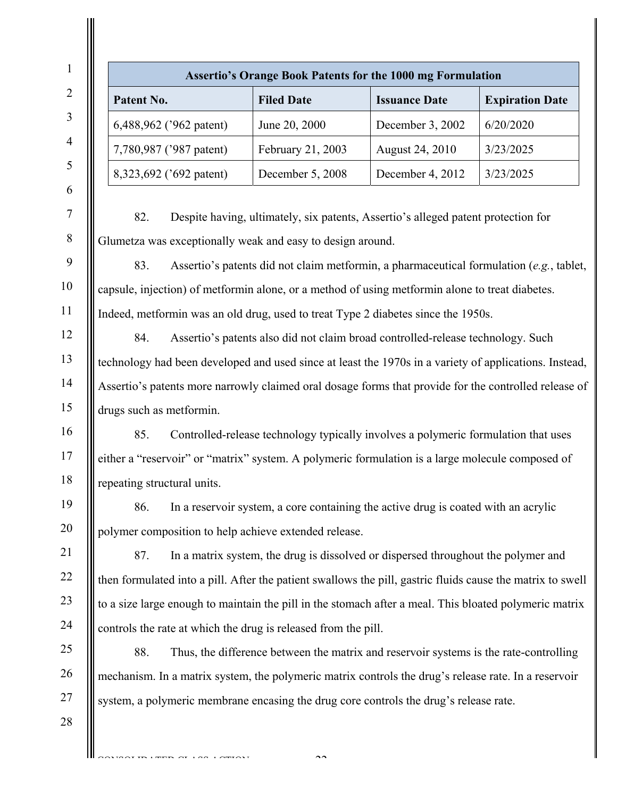|                                                                                                                                                                                                                                                                                                                                                                                                                                                                                                                        | <b>Assertio's Orange Book Patents for the 1000 mg Formulation</b>                                                                                                                                                                                               |                      |                        |
|------------------------------------------------------------------------------------------------------------------------------------------------------------------------------------------------------------------------------------------------------------------------------------------------------------------------------------------------------------------------------------------------------------------------------------------------------------------------------------------------------------------------|-----------------------------------------------------------------------------------------------------------------------------------------------------------------------------------------------------------------------------------------------------------------|----------------------|------------------------|
| Patent No.                                                                                                                                                                                                                                                                                                                                                                                                                                                                                                             | <b>Filed Date</b>                                                                                                                                                                                                                                               | <b>Issuance Date</b> | <b>Expiration Date</b> |
| 6,488,962 ('962 patent)                                                                                                                                                                                                                                                                                                                                                                                                                                                                                                | June 20, 2000                                                                                                                                                                                                                                                   | December 3, 2002     | 6/20/2020              |
| 7,780,987 ('987 patent)                                                                                                                                                                                                                                                                                                                                                                                                                                                                                                | February 21, 2003                                                                                                                                                                                                                                               | August 24, 2010      | 3/23/2025              |
| 8,323,692 ('692 patent)                                                                                                                                                                                                                                                                                                                                                                                                                                                                                                | December 5, 2008                                                                                                                                                                                                                                                | December 4, 2012     | 3/23/2025              |
| 82.<br>Glumetza was exceptionally weak and easy to design around.<br>83.<br>capsule, injection) of metformin alone, or a method of using metformin alone to treat diabetes.<br>Indeed, metformin was an old drug, used to treat Type 2 diabetes since the 1950s.<br>84.<br>technology had been developed and used since at least the 1970s in a variety of applications. Instead,<br>Assertio's patents more narrowly claimed oral dosage forms that provide for the controlled release of<br>drugs such as metformin. | Despite having, ultimately, six patents, Assertio's alleged patent protection for<br>Assertio's patents did not claim metformin, a pharmaceutical formulation (e.g., tablet,<br>Assertio's patents also did not claim broad controlled-release technology. Such |                      |                        |
| 85.                                                                                                                                                                                                                                                                                                                                                                                                                                                                                                                    | Controlled-release technology typically involves a polymeric formulation that uses                                                                                                                                                                              |                      |                        |
| either a "reservoir" or "matrix" system. A polymeric formulation is a large molecule composed of                                                                                                                                                                                                                                                                                                                                                                                                                       |                                                                                                                                                                                                                                                                 |                      |                        |
| repeating structural units.                                                                                                                                                                                                                                                                                                                                                                                                                                                                                            |                                                                                                                                                                                                                                                                 |                      |                        |
| 86.                                                                                                                                                                                                                                                                                                                                                                                                                                                                                                                    | In a reservoir system, a core containing the active drug is coated with an acrylic                                                                                                                                                                              |                      |                        |
| polymer composition to help achieve extended release.                                                                                                                                                                                                                                                                                                                                                                                                                                                                  |                                                                                                                                                                                                                                                                 |                      |                        |
| 87.                                                                                                                                                                                                                                                                                                                                                                                                                                                                                                                    | In a matrix system, the drug is dissolved or dispersed throughout the polymer and                                                                                                                                                                               |                      |                        |
| then formulated into a pill. After the patient swallows the pill, gastric fluids cause the matrix to swell<br>to a size large enough to maintain the pill in the stomach after a meal. This bloated polymeric matrix                                                                                                                                                                                                                                                                                                   |                                                                                                                                                                                                                                                                 |                      |                        |
| controls the rate at which the drug is released from the pill.                                                                                                                                                                                                                                                                                                                                                                                                                                                         |                                                                                                                                                                                                                                                                 |                      |                        |
| 88.                                                                                                                                                                                                                                                                                                                                                                                                                                                                                                                    | Thus, the difference between the matrix and reservoir systems is the rate-controlling                                                                                                                                                                           |                      |                        |
| mechanism. In a matrix system, the polymeric matrix controls the drug's release rate. In a reservoir                                                                                                                                                                                                                                                                                                                                                                                                                   |                                                                                                                                                                                                                                                                 |                      |                        |
|                                                                                                                                                                                                                                                                                                                                                                                                                                                                                                                        |                                                                                                                                                                                                                                                                 |                      |                        |

CONSOLIDATED CLASS COMPONE

 $\sim$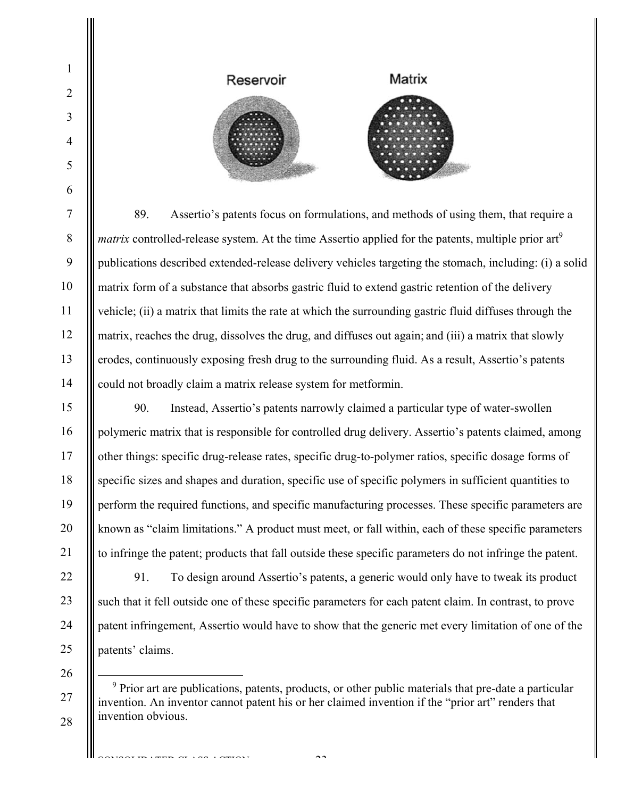

89. Assertio's patents focus on formulations, and methods of using them, that require a *matrix* controlled-release system. At the time Assertio applied for the patents, multiple prior art<sup>9</sup> publications described extended-release delivery vehicles targeting the stomach, including: (i) a solid matrix form of a substance that absorbs gastric fluid to extend gastric retention of the delivery vehicle; (ii) a matrix that limits the rate at which the surrounding gastric fluid diffuses through the matrix, reaches the drug, dissolves the drug, and diffuses out again; and (iii) a matrix that slowly erodes, continuously exposing fresh drug to the surrounding fluid. As a result, Assertio's patents could not broadly claim a matrix release system for metformin.

90. Instead, Assertio's patents narrowly claimed a particular type of water-swollen polymeric matrix that is responsible for controlled drug delivery. Assertio's patents claimed, among other things: specific drug-release rates, specific drug-to-polymer ratios, specific dosage forms of specific sizes and shapes and duration, specific use of specific polymers in sufficient quantities to perform the required functions, and specific manufacturing processes. These specific parameters are known as "claim limitations." A product must meet, or fall within, each of these specific parameters to infringe the patent; products that fall outside these specific parameters do not infringe the patent.

91. To design around Assertio's patents, a generic would only have to tweak its product

<sup>9</sup> Prior art are publications, patents, products, or other public materials that pre-date a particular invention. An inventor cannot patent his or her claimed invention if the "prior art" renders that invention obvious.

such that it fell outside one of these specific parameters for each patent claim. In contrast, to prove

patent infringement, Assertio would have to show that the generic met every limitation of one of the

patents' claims.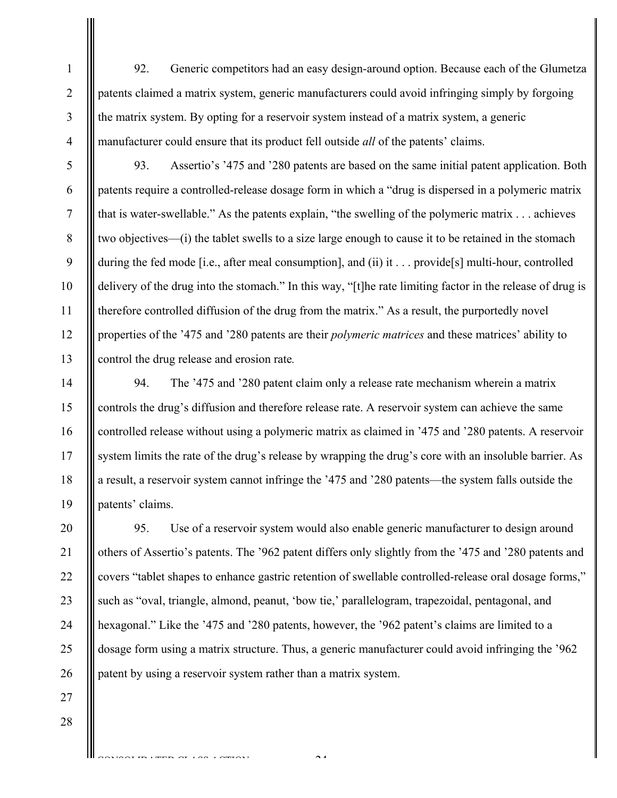92. Generic competitors had an easy design-around option. Because each of the Glumetza patents claimed a matrix system, generic manufacturers could avoid infringing simply by forgoing the matrix system. By opting for a reservoir system instead of a matrix system, a generic manufacturer could ensure that its product fell outside *all* of the patents' claims.

5 6 7 8 9 10 11 12 13 93. Assertio's '475 and '280 patents are based on the same initial patent application. Both patents require a controlled-release dosage form in which a "drug is dispersed in a polymeric matrix that is water-swellable." As the patents explain, "the swelling of the polymeric matrix . . . achieves two objectives—(i) the tablet swells to a size large enough to cause it to be retained in the stomach during the fed mode [i.e., after meal consumption], and (ii) it . . . provide [s] multi-hour, controlled delivery of the drug into the stomach." In this way, "[t]he rate limiting factor in the release of drug is therefore controlled diffusion of the drug from the matrix." As a result, the purportedly novel properties of the '475 and '280 patents are their *polymeric matrices* and these matrices' ability to control the drug release and erosion rate*.* 

19 94. The '475 and '280 patent claim only a release rate mechanism wherein a matrix controls the drug's diffusion and therefore release rate. A reservoir system can achieve the same controlled release without using a polymeric matrix as claimed in '475 and '280 patents. A reservoir system limits the rate of the drug's release by wrapping the drug's core with an insoluble barrier. As a result, a reservoir system cannot infringe the '475 and '280 patents—the system falls outside the patents' claims.

20 21 22 23 24 25 26 95. Use of a reservoir system would also enable generic manufacturer to design around others of Assertio's patents. The '962 patent differs only slightly from the '475 and '280 patents and covers "tablet shapes to enhance gastric retention of swellable controlled-release oral dosage forms," such as "oval, triangle, almond, peanut, 'bow tie,' parallelogram, trapezoidal, pentagonal, and hexagonal." Like the '475 and '280 patents, however, the '962 patent's claims are limited to a dosage form using a matrix structure. Thus, a generic manufacturer could avoid infringing the '962 patent by using a reservoir system rather than a matrix system.

 $\mathcal{L}^4$ 

CONSOLIDATED CLASS ACTION

27

28

1

2

3

4

14

15

16

17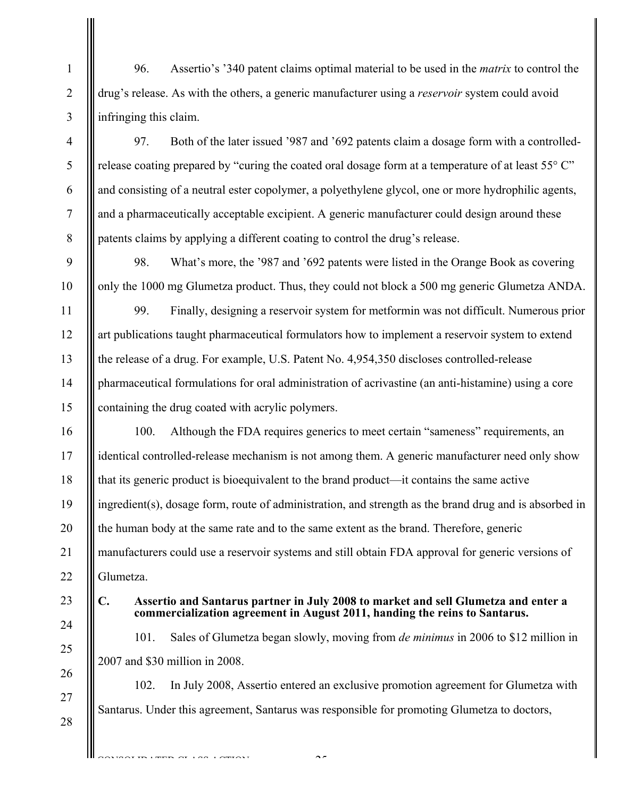96. Assertio's '340 patent claims optimal material to be used in the *matrix* to control the drug's release. As with the others, a generic manufacturer using a *reservoir* system could avoid infringing this claim.

97. Both of the later issued '987 and '692 patents claim a dosage form with a controlledrelease coating prepared by "curing the coated oral dosage form at a temperature of at least  $55^{\circ}$  C" and consisting of a neutral ester copolymer, a polyethylene glycol, one or more hydrophilic agents, and a pharmaceutically acceptable excipient. A generic manufacturer could design around these patents claims by applying a different coating to control the drug's release.

98. What's more, the '987 and '692 patents were listed in the Orange Book as covering only the 1000 mg Glumetza product. Thus, they could not block a 500 mg generic Glumetza ANDA.

99. Finally, designing a reservoir system for metformin was not difficult. Numerous prior art publications taught pharmaceutical formulators how to implement a reservoir system to extend the release of a drug. For example, U.S. Patent No. 4,954,350 discloses controlled-release pharmaceutical formulations for oral administration of acrivastine (an anti-histamine) using a core containing the drug coated with acrylic polymers.

16 17 18 19 20 21 22 100. Although the FDA requires generics to meet certain "sameness" requirements, an identical controlled-release mechanism is not among them. A generic manufacturer need only show that its generic product is bioequivalent to the brand product—it contains the same active ingredient(s), dosage form, route of administration, and strength as the brand drug and is absorbed in the human body at the same rate and to the same extent as the brand. Therefore, generic manufacturers could use a reservoir systems and still obtain FDA approval for generic versions of Glumetza.

23 24

25

26

27

28

CONSOLIDATED CLASS COMPONE

1

2

3

4

5

6

7

8

9

10

11

12

13

14

15

# **C. Assertio and Santarus partner in July 2008 to market and sell Glumetza and enter a commercialization agreement in August 2011, handing the reins to Santarus.**

101. Sales of Glumetza began slowly, moving from *de minimus* in 2006 to \$12 million in 2007 and \$30 million in 2008.

102. In July 2008, Assertio entered an exclusive promotion agreement for Glumetza with Santarus. Under this agreement, Santarus was responsible for promoting Glumetza to doctors,

-25-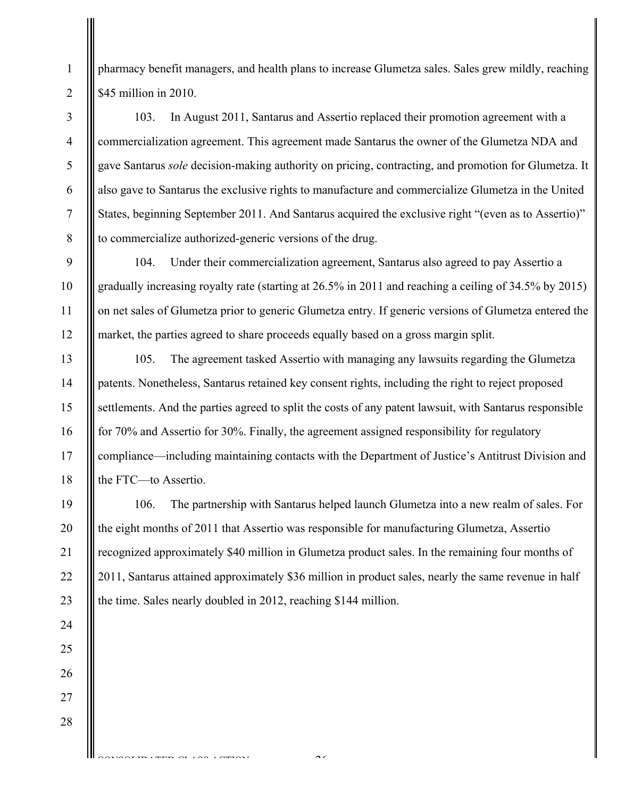pharmacy benefit managers, and health plans to increase Glumetza sales. Sales grew mildly, reaching \$45 million in 2010.

103. In August 2011, Santarus and Assertio replaced their promotion agreement with a commercialization agreement. This agreement made Santarus the owner of the Glumetza NDA and gave Santarus *sole* decision-making authority on pricing, contracting, and promotion for Glumetza. It also gave to Santarus the exclusive rights to manufacture and commercialize Glumetza in the United States, beginning September 2011. And Santarus acquired the exclusive right "(even as to Assertio)" to commercialize authorized-generic versions of the drug.

104. Under their commercialization agreement, Santarus also agreed to pay Assertio a gradually increasing royalty rate (starting at 26.5% in 2011 and reaching a ceiling of 34.5% by 2015) on net sales of Glumetza prior to generic Glumetza entry. If generic versions of Glumetza entered the market, the parties agreed to share proceeds equally based on a gross margin split.

105. The agreement tasked Assertio with managing any lawsuits regarding the Glumetza patents. Nonetheless, Santarus retained key consent rights, including the right to reject proposed settlements. And the parties agreed to split the costs of any patent lawsuit, with Santarus responsible for 70% and Assertio for 30%. Finally, the agreement assigned responsibility for regulatory compliance—including maintaining contacts with the Department of Justice's Antitrust Division and the FTC—to Assertio.

106. The partnership with Santarus helped launch Glumetza into a new realm of sales. For the eight months of 2011 that Assertio was responsible for manufacturing Glumetza, Assertio recognized approximately \$40 million in Glumetza product sales. In the remaining four months of 2011, Santarus attained approximately \$36 million in product sales, nearly the same revenue in half the time. Sales nearly doubled in 2012, reaching \$144 million.

 $\sim$ 

20

21

22

23

24

25

26

27

28

CONSOLIDATED CLASS COMPONE

1

2

3

4

5

6

7

8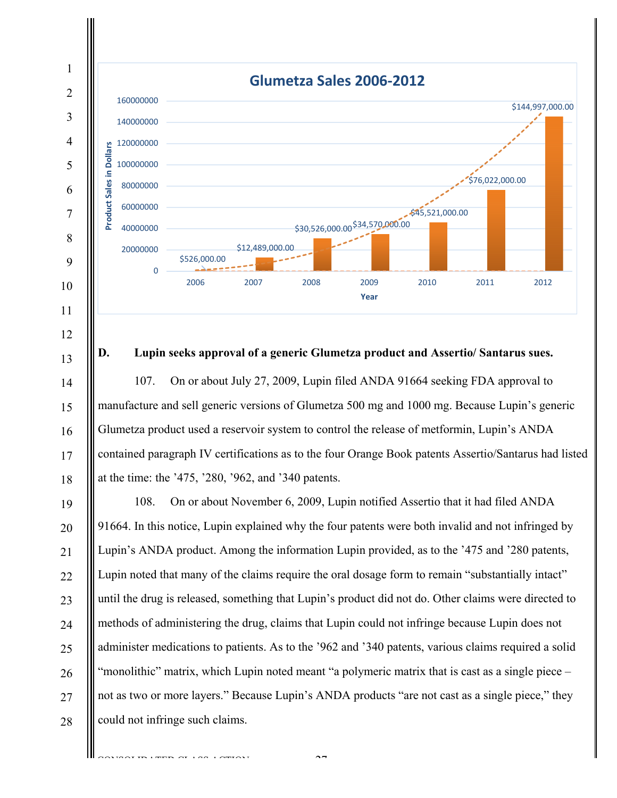

#### **D. Lupin seeks approval of a generic Glumetza product and Assertio/ Santarus sues.**

13

14

15

16

17

18

107. On or about July 27, 2009, Lupin filed ANDA 91664 seeking FDA approval to manufacture and sell generic versions of Glumetza 500 mg and 1000 mg. Because Lupin's generic Glumetza product used a reservoir system to control the release of metformin, Lupin's ANDA contained paragraph IV certifications as to the four Orange Book patents Assertio/Santarus had listed at the time: the '475, '280, '962, and '340 patents.

19 20 21 22 23 24 25 26 27 28 108. On or about November 6, 2009, Lupin notified Assertio that it had filed ANDA 91664. In this notice, Lupin explained why the four patents were both invalid and not infringed by Lupin's ANDA product. Among the information Lupin provided, as to the '475 and '280 patents, Lupin noted that many of the claims require the oral dosage form to remain "substantially intact" until the drug is released, something that Lupin's product did not do. Other claims were directed to methods of administering the drug, claims that Lupin could not infringe because Lupin does not administer medications to patients. As to the '962 and '340 patents, various claims required a solid "monolithic" matrix, which Lupin noted meant "a polymeric matrix that is cast as a single piece – not as two or more layers." Because Lupin's ANDA products "are not cast as a single piece," they could not infringe such claims.

 $\overline{CD}$  ( $\overline{CD}$   $\overline{CD}$   $\overline{CD}$   $\overline{CD}$   $\overline{CD}$   $\overline{CD}$ )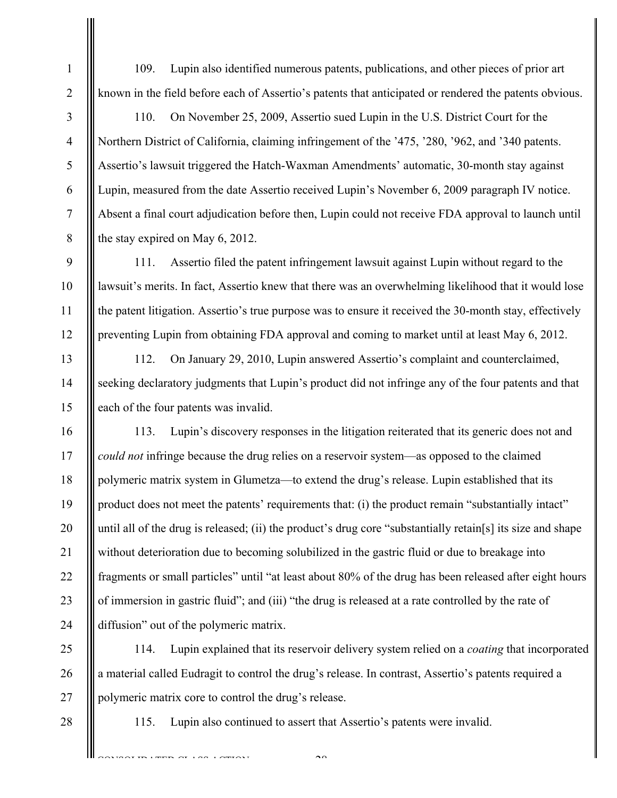109. Lupin also identified numerous patents, publications, and other pieces of prior art known in the field before each of Assertio's patents that anticipated or rendered the patents obvious.

110. On November 25, 2009, Assertio sued Lupin in the U.S. District Court for the Northern District of California, claiming infringement of the '475, '280, '962, and '340 patents. Assertio's lawsuit triggered the Hatch-Waxman Amendments' automatic, 30-month stay against Lupin, measured from the date Assertio received Lupin's November 6, 2009 paragraph IV notice. Absent a final court adjudication before then, Lupin could not receive FDA approval to launch until the stay expired on May 6, 2012.

111. Assertio filed the patent infringement lawsuit against Lupin without regard to the lawsuit's merits. In fact, Assertio knew that there was an overwhelming likelihood that it would lose the patent litigation. Assertio's true purpose was to ensure it received the 30-month stay, effectively preventing Lupin from obtaining FDA approval and coming to market until at least May 6, 2012.

112. On January 29, 2010, Lupin answered Assertio's complaint and counterclaimed, seeking declaratory judgments that Lupin's product did not infringe any of the four patents and that each of the four patents was invalid.

16 17 18 19 20 21 22 23 24 113. Lupin's discovery responses in the litigation reiterated that its generic does not and *could not* infringe because the drug relies on a reservoir system—as opposed to the claimed polymeric matrix system in Glumetza—to extend the drug's release. Lupin established that its product does not meet the patents' requirements that: (i) the product remain "substantially intact" until all of the drug is released; (ii) the product's drug core "substantially retain[s] its size and shape without deterioration due to becoming solubilized in the gastric fluid or due to breakage into fragments or small particles" until "at least about 80% of the drug has been released after eight hours of immersion in gastric fluid"; and (iii) "the drug is released at a rate controlled by the rate of diffusion" out of the polymeric matrix.

114. Lupin explained that its reservoir delivery system relied on a *coating* that incorporated a material called Eudragit to control the drug's release. In contrast, Assertio's patents required a polymeric matrix core to control the drug's release.

28

25

26

27

1

2

3

4

5

6

7

8

9

10

11

12

13

14

15

115. Lupin also continued to assert that Assertio's patents were invalid.

 $\sim$ 

DE LAND AT LAND LANDATE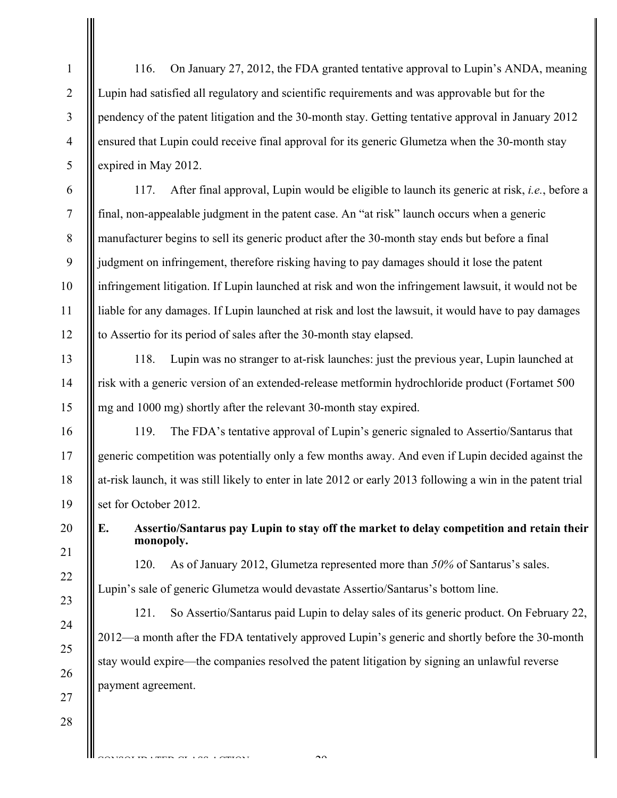116. On January 27, 2012, the FDA granted tentative approval to Lupin's ANDA, meaning Lupin had satisfied all regulatory and scientific requirements and was approvable but for the pendency of the patent litigation and the 30-month stay. Getting tentative approval in January 2012 ensured that Lupin could receive final approval for its generic Glumetza when the 30-month stay expired in May 2012.

117. After final approval, Lupin would be eligible to launch its generic at risk, *i.e.*, before a final, non-appealable judgment in the patent case. An "at risk" launch occurs when a generic manufacturer begins to sell its generic product after the 30-month stay ends but before a final judgment on infringement, therefore risking having to pay damages should it lose the patent infringement litigation. If Lupin launched at risk and won the infringement lawsuit, it would not be liable for any damages. If Lupin launched at risk and lost the lawsuit, it would have to pay damages to Assertio for its period of sales after the 30-month stay elapsed.

118. Lupin was no stranger to at-risk launches: just the previous year, Lupin launched at risk with a generic version of an extended-release metformin hydrochloride product (Fortamet 500 mg and 1000 mg) shortly after the relevant 30-month stay expired.

119. The FDA's tentative approval of Lupin's generic signaled to Assertio/Santarus that generic competition was potentially only a few months away. And even if Lupin decided against the at-risk launch, it was still likely to enter in late 2012 or early 2013 following a win in the patent trial set for October 2012.

20 21

23

24

25

26

27

28

1

2

3

4

5

6

7

8

9

10

11

12

13

14

15

16

17

18

19

**E. Assertio/Santarus pay Lupin to stay off the market to delay competition and retain their monopoly.** 

22

120. As of January 2012, Glumetza represented more than *50%* of Santarus's sales.

Lupin's sale of generic Glumetza would devastate Assertio/Santarus's bottom line.

121. So Assertio/Santarus paid Lupin to delay sales of its generic product. On February 22, 2012—a month after the FDA tentatively approved Lupin's generic and shortly before the 30-month stay would expire—the companies resolved the patent litigation by signing an unlawful reverse payment agreement.

 $\sim$ 

CONSTRUCTION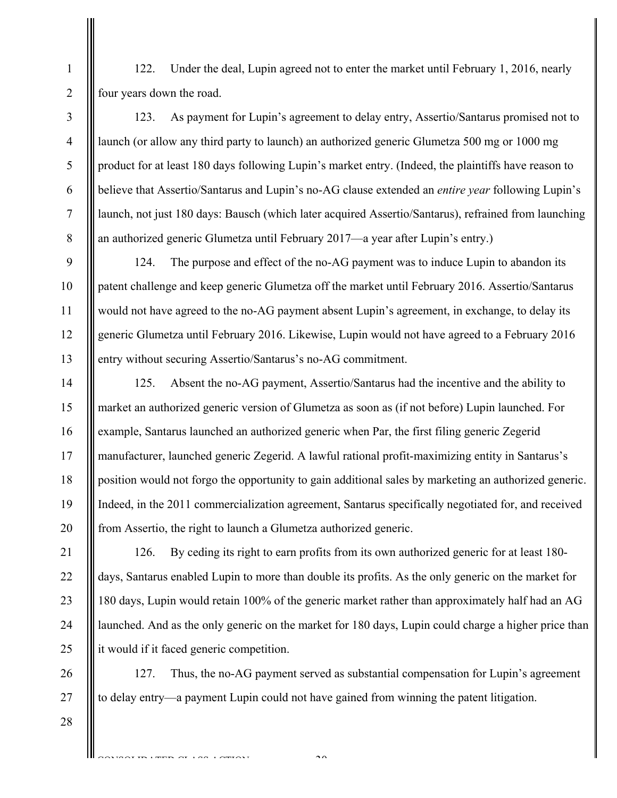122. Under the deal, Lupin agreed not to enter the market until February 1, 2016, nearly four years down the road.

123. As payment for Lupin's agreement to delay entry, Assertio/Santarus promised not to launch (or allow any third party to launch) an authorized generic Glumetza 500 mg or 1000 mg product for at least 180 days following Lupin's market entry. (Indeed, the plaintiffs have reason to believe that Assertio/Santarus and Lupin's no-AG clause extended an *entire year* following Lupin's launch, not just 180 days: Bausch (which later acquired Assertio/Santarus), refrained from launching an authorized generic Glumetza until February 2017—a year after Lupin's entry.)

124. The purpose and effect of the no-AG payment was to induce Lupin to abandon its patent challenge and keep generic Glumetza off the market until February 2016. Assertio/Santarus would not have agreed to the no-AG payment absent Lupin's agreement, in exchange, to delay its generic Glumetza until February 2016. Likewise, Lupin would not have agreed to a February 2016 entry without securing Assertio/Santarus's no-AG commitment.

14 15 16 17 18 19 20 125. Absent the no-AG payment, Assertio/Santarus had the incentive and the ability to market an authorized generic version of Glumetza as soon as (if not before) Lupin launched. For example, Santarus launched an authorized generic when Par, the first filing generic Zegerid manufacturer, launched generic Zegerid. A lawful rational profit-maximizing entity in Santarus's position would not forgo the opportunity to gain additional sales by marketing an authorized generic. Indeed, in the 2011 commercialization agreement, Santarus specifically negotiated for, and received from Assertio, the right to launch a Glumetza authorized generic.

126. By ceding its right to earn profits from its own authorized generic for at least 180 days, Santarus enabled Lupin to more than double its profits. As the only generic on the market for 180 days, Lupin would retain 100% of the generic market rather than approximately half had an AG launched. And as the only generic on the market for 180 days, Lupin could charge a higher price than it would if it faced generic competition.

127. Thus, the no-AG payment served as substantial compensation for Lupin's agreement to delay entry—a payment Lupin could not have gained from winning the patent litigation.

 $\mathcal{L}^{\circ}$ 

28

CONSTRUCT CONSTRUCTS

1

2

3

4

5

6

7

8

9

10

11

12

13

21

22

23

24

25

26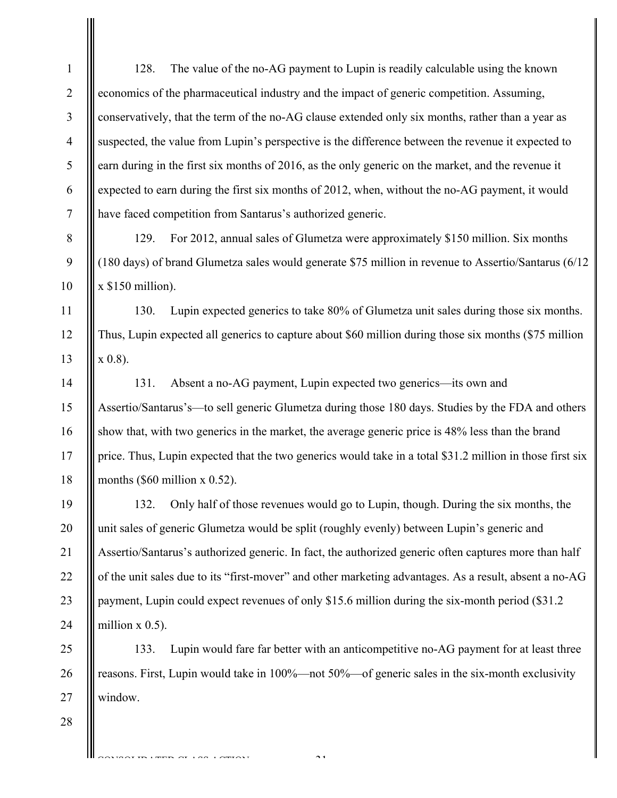| $\mathbf{1}$   | 128.<br>The value of the no-AG payment to Lupin is readily calculable using the known                     |
|----------------|-----------------------------------------------------------------------------------------------------------|
| $\overline{2}$ | economics of the pharmaceutical industry and the impact of generic competition. Assuming,                 |
| 3              | conservatively, that the term of the no-AG clause extended only six months, rather than a year as         |
| $\overline{4}$ | suspected, the value from Lupin's perspective is the difference between the revenue it expected to        |
| 5              | earn during in the first six months of 2016, as the only generic on the market, and the revenue it        |
| 6              | expected to earn during the first six months of 2012, when, without the no-AG payment, it would           |
| 7              | have faced competition from Santarus's authorized generic.                                                |
| 8              | 129.<br>For 2012, annual sales of Glumetza were approximately \$150 million. Six months                   |
| 9              | (180 days) of brand Glumetza sales would generate \$75 million in revenue to Assertio/Santarus (6/12      |
| 10             | $x$ \$150 million).                                                                                       |
| 11             | 130.<br>Lupin expected generics to take 80% of Glumetza unit sales during those six months.               |
| 12             | Thus, Lupin expected all generics to capture about \$60 million during those six months (\$75 million     |
| 13             | $x(0.8)$ .                                                                                                |
| 14             | Absent a no-AG payment, Lupin expected two generics-its own and<br>131.                                   |
| 15             | Assertio/Santarus's—to sell generic Glumetza during those 180 days. Studies by the FDA and others         |
| 16             | show that, with two generics in the market, the average generic price is 48% less than the brand          |
| 17             | price. Thus, Lupin expected that the two generics would take in a total \$31.2 million in those first six |
| 18             | months $(\$60$ million x 0.52).                                                                           |
| 19             | Only half of those revenues would go to Lupin, though. During the six months, the<br>132.                 |
| 20             | unit sales of generic Glumetza would be split (roughly evenly) between Lupin's generic and                |
| 21             | Assertio/Santarus's authorized generic. In fact, the authorized generic often captures more than half     |
| 22             | of the unit sales due to its "first-mover" and other marketing advantages. As a result, absent a no-AG    |
| 23             | payment, Lupin could expect revenues of only \$15.6 million during the six-month period (\$31.2)          |
| 24             | million $x$ 0.5).                                                                                         |
| 25             | Lupin would fare far better with an anticompetitive no-AG payment for at least three<br>133.              |
| 26             | reasons. First, Lupin would take in 100%—not 50%—of generic sales in the six-month exclusivity            |
| 27             | window.                                                                                                   |
| 28             |                                                                                                           |
|                | $\sim$ $\sim$                                                                                             |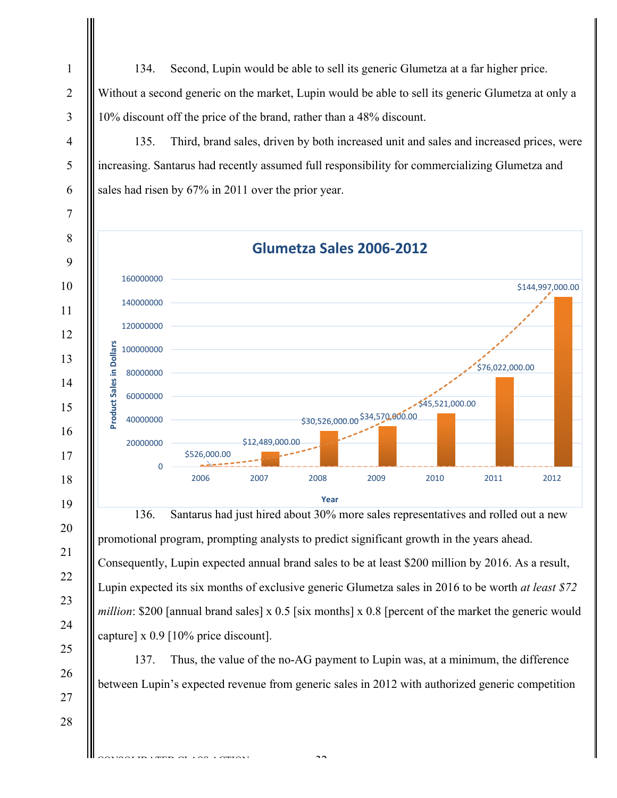134. Second, Lupin would be able to sell its generic Glumetza at a far higher price. Without a second generic on the market, Lupin would be able to sell its generic Glumetza at only a 10% discount off the price of the brand, rather than a 48% discount.

135. Third, brand sales, driven by both increased unit and sales and increased prices, were increasing. Santarus had recently assumed full responsibility for commercializing Glumetza and sales had risen by 67% in 2011 over the prior year.

**Glumetza Sales 2006‐2012**  160000000 \$144,997,000.00 140000000 120000000 **Product Sales in Dollars**  Product Sales in Dollars 100000000 \$76,022,000.00 80000000 60000000 \$45,521,000.00 \$30,526,000.00 \$34,570,000.00 40000000 20000000 \$12,489,000.00 \$526,000.00  $\Omega$ 2006 2007 2008 2009 2010 2011 2012 **Year**

136. Santarus had just hired about 30% more sales representatives and rolled out a new promotional program, prompting analysts to predict significant growth in the years ahead. Consequently, Lupin expected annual brand sales to be at least \$200 million by 2016. As a result, Lupin expected its six months of exclusive generic Glumetza sales in 2016 to be worth *at least \$72 million*: \$200 [annual brand sales] x 0.5 [six months] x 0.8 [percent of the market the generic would capture] x 0.9 [10% price discount].

137. Thus, the value of the no-AG payment to Lupin was, at a minimum, the difference between Lupin's expected revenue from generic sales in 2012 with authorized generic competition

 $\sim$ 

CONSTRUCTION

1

2

3

4

5

6

7

8

9

10

11

12

13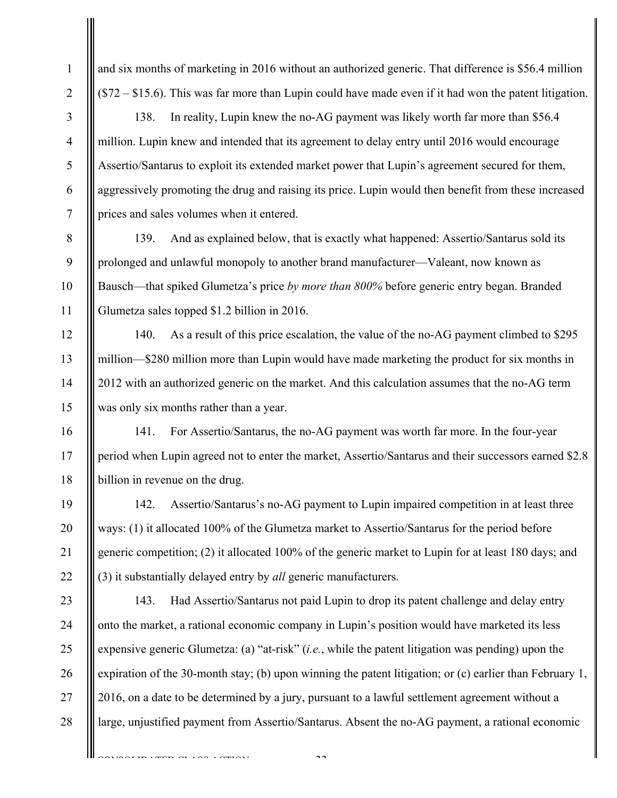and six months of marketing in 2016 without an authorized generic. That difference is \$56.4 million (\$72 – \$15.6). This was far more than Lupin could have made even if it had won the patent litigation.

138. In reality, Lupin knew the no-AG payment was likely worth far more than \$56.4 million. Lupin knew and intended that its agreement to delay entry until 2016 would encourage Assertio/Santarus to exploit its extended market power that Lupin's agreement secured for them, aggressively promoting the drug and raising its price. Lupin would then benefit from these increased prices and sales volumes when it entered.

139. And as explained below, that is exactly what happened: Assertio/Santarus sold its prolonged and unlawful monopoly to another brand manufacturer—Valeant, now known as Bausch—that spiked Glumetza's price *by more than 800%* before generic entry began. Branded Glumetza sales topped \$1.2 billion in 2016.

140. As a result of this price escalation, the value of the no-AG payment climbed to \$295 million—\$280 million more than Lupin would have made marketing the product for six months in 2012 with an authorized generic on the market. And this calculation assumes that the no-AG term was only six months rather than a year.

141. For Assertio/Santarus, the no-AG payment was worth far more. In the four-year period when Lupin agreed not to enter the market, Assertio/Santarus and their successors earned \$2.8 billion in revenue on the drug.

142. Assertio/Santarus's no-AG payment to Lupin impaired competition in at least three ways: (1) it allocated 100% of the Glumetza market to Assertio/Santarus for the period before generic competition; (2) it allocated 100% of the generic market to Lupin for at least 180 days; and (3) it substantially delayed entry by *all* generic manufacturers.

25 26 27 28 143. Had Assertio/Santarus not paid Lupin to drop its patent challenge and delay entry onto the market, a rational economic company in Lupin's position would have marketed its less expensive generic Glumetza: (a) "at-risk" (*i.e.*, while the patent litigation was pending) upon the expiration of the 30-month stay; (b) upon winning the patent litigation; or (c) earlier than February 1, 2016, on a date to be determined by a jury, pursuant to a lawful settlement agreement without a large, unjustified payment from Assertio/Santarus. Absent the no-AG payment, a rational economic

 $\sim$ 

CONSOLIDATED CLASS ACTION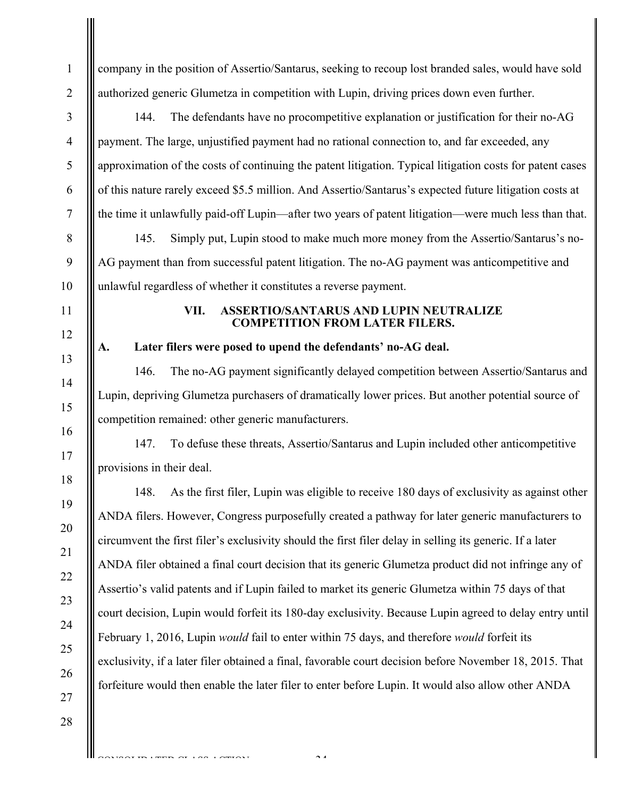company in the position of Assertio/Santarus, seeking to recoup lost branded sales, would have sold authorized generic Glumetza in competition with Lupin, driving prices down even further.

144. The defendants have no procompetitive explanation or justification for their no-AG payment. The large, unjustified payment had no rational connection to, and far exceeded, any approximation of the costs of continuing the patent litigation. Typical litigation costs for patent cases of this nature rarely exceed \$5.5 million. And Assertio/Santarus's expected future litigation costs at the time it unlawfully paid-off Lupin—after two years of patent litigation—were much less than that.

145. Simply put, Lupin stood to make much more money from the Assertio/Santarus's no-AG payment than from successful patent litigation. The no-AG payment was anticompetitive and unlawful regardless of whether it constitutes a reverse payment.

### **VII. ASSERTIO/SANTARUS AND LUPIN NEUTRALIZE COMPETITION FROM LATER FILERS.**

# **A. Later filers were posed to upend the defendants' no-AG deal.**

146. The no-AG payment significantly delayed competition between Assertio/Santarus and Lupin, depriving Glumetza purchasers of dramatically lower prices. But another potential source of competition remained: other generic manufacturers.

147. To defuse these threats, Assertio/Santarus and Lupin included other anticompetitive provisions in their deal.

148. As the first filer, Lupin was eligible to receive 180 days of exclusivity as against other ANDA filers. However, Congress purposefully created a pathway for later generic manufacturers to circumvent the first filer's exclusivity should the first filer delay in selling its generic. If a later ANDA filer obtained a final court decision that its generic Glumetza product did not infringe any of Assertio's valid patents and if Lupin failed to market its generic Glumetza within 75 days of that court decision, Lupin would forfeit its 180-day exclusivity. Because Lupin agreed to delay entry until February 1, 2016, Lupin *would* fail to enter within 75 days, and therefore *would* forfeit its exclusivity, if a later filer obtained a final, favorable court decision before November 18, 2015. That forfeiture would then enable the later filer to enter before Lupin. It would also allow other ANDA

 $\mathcal{L}$ 

CONSOLIDATED CLASS ACTION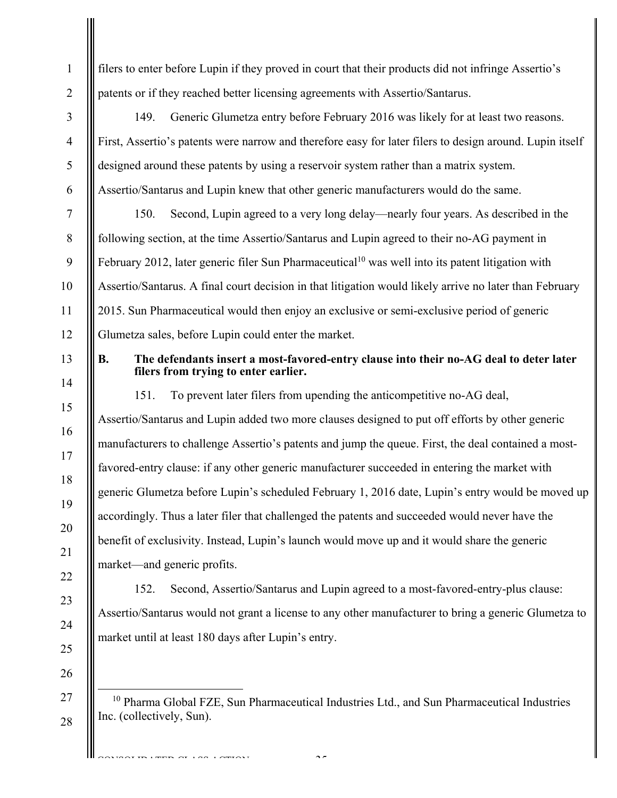filers to enter before Lupin if they proved in court that their products did not infringe Assertio's patents or if they reached better licensing agreements with Assertio/Santarus.

149. Generic Glumetza entry before February 2016 was likely for at least two reasons. First, Assertio's patents were narrow and therefore easy for later filers to design around. Lupin itself designed around these patents by using a reservoir system rather than a matrix system. Assertio/Santarus and Lupin knew that other generic manufacturers would do the same.

150. Second, Lupin agreed to a very long delay—nearly four years. As described in the following section, at the time Assertio/Santarus and Lupin agreed to their no-AG payment in February 2012, later generic filer Sun Pharmaceutical<sup>10</sup> was well into its patent litigation with Assertio/Santarus. A final court decision in that litigation would likely arrive no later than February 2015. Sun Pharmaceutical would then enjoy an exclusive or semi-exclusive period of generic Glumetza sales, before Lupin could enter the market.

# **B. The defendants insert a most-favored-entry clause into their no-AG deal to deter later filers from trying to enter earlier.**

151. To prevent later filers from upending the anticompetitive no-AG deal, Assertio/Santarus and Lupin added two more clauses designed to put off efforts by other generic manufacturers to challenge Assertio's patents and jump the queue. First, the deal contained a mostfavored-entry clause: if any other generic manufacturer succeeded in entering the market with generic Glumetza before Lupin's scheduled February 1, 2016 date, Lupin's entry would be moved up accordingly. Thus a later filer that challenged the patents and succeeded would never have the benefit of exclusivity. Instead, Lupin's launch would move up and it would share the generic market—and generic profits.

152. Second, Assertio/Santarus and Lupin agreed to a most-favored-entry-plus clause: Assertio/Santarus would not grant a license to any other manufacturer to bring a generic Glumetza to market until at least 180 days after Lupin's entry.

26 27

28

CONSOLIDATED CLASS COMPONE

1

2

3

4

5

6

7

8

9

10

11

12

13

14

15

16

17

18

19

20

21

22

23

24

25

-35-

<sup>&</sup>lt;sup>10</sup> Pharma Global FZE, Sun Pharmaceutical Industries Ltd., and Sun Pharmaceutical Industries Inc. (collectively, Sun).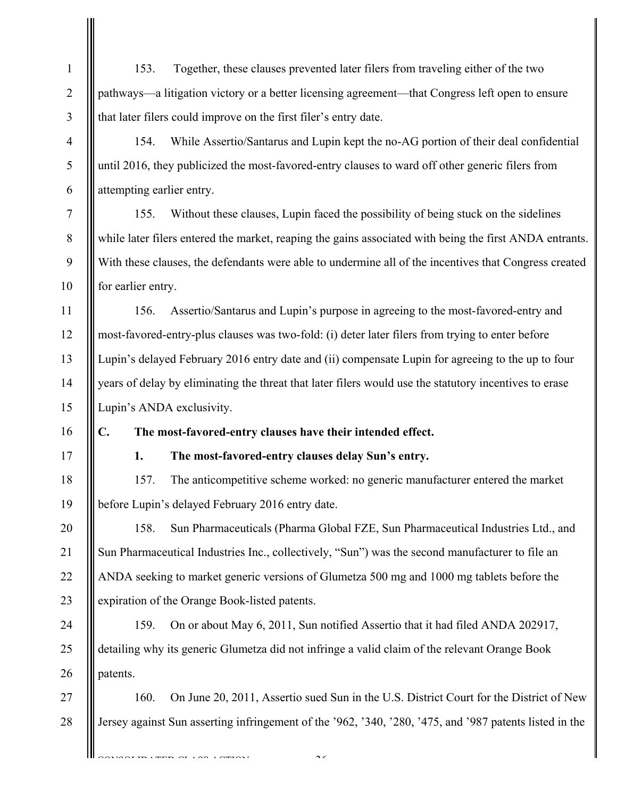1 2 3 4 5 6 7 8 9 10 11 12 13 14 15 16 17 18 19 20 21 22 23 24 25 26 27 28 TRIMPROTION CONTOUR 153. Together, these clauses prevented later filers from traveling either of the two pathways—a litigation victory or a better licensing agreement—that Congress left open to ensure that later filers could improve on the first filer's entry date. 154. While Assertio/Santarus and Lupin kept the no-AG portion of their deal confidential until 2016, they publicized the most-favored-entry clauses to ward off other generic filers from attempting earlier entry. 155. Without these clauses, Lupin faced the possibility of being stuck on the sidelines while later filers entered the market, reaping the gains associated with being the first ANDA entrants. With these clauses, the defendants were able to undermine all of the incentives that Congress created for earlier entry. 156. Assertio/Santarus and Lupin's purpose in agreeing to the most-favored-entry and most-favored-entry-plus clauses was two-fold: (i) deter later filers from trying to enter before Lupin's delayed February 2016 entry date and (ii) compensate Lupin for agreeing to the up to four years of delay by eliminating the threat that later filers would use the statutory incentives to erase Lupin's ANDA exclusivity. **C. The most-favored-entry clauses have their intended effect. 1. The most-favored-entry clauses delay Sun's entry.**  157. The anticompetitive scheme worked: no generic manufacturer entered the market before Lupin's delayed February 2016 entry date. 158. Sun Pharmaceuticals (Pharma Global FZE, Sun Pharmaceutical Industries Ltd., and Sun Pharmaceutical Industries Inc., collectively, "Sun") was the second manufacturer to file an ANDA seeking to market generic versions of Glumetza 500 mg and 1000 mg tablets before the expiration of the Orange Book-listed patents. 159. On or about May 6, 2011, Sun notified Assertio that it had filed ANDA 202917, detailing why its generic Glumetza did not infringe a valid claim of the relevant Orange Book patents. 160. On June 20, 2011, Assertio sued Sun in the U.S. District Court for the District of New Jersey against Sun asserting infringement of the '962, '340, '280, '475, and '987 patents listed in the

 $\sim$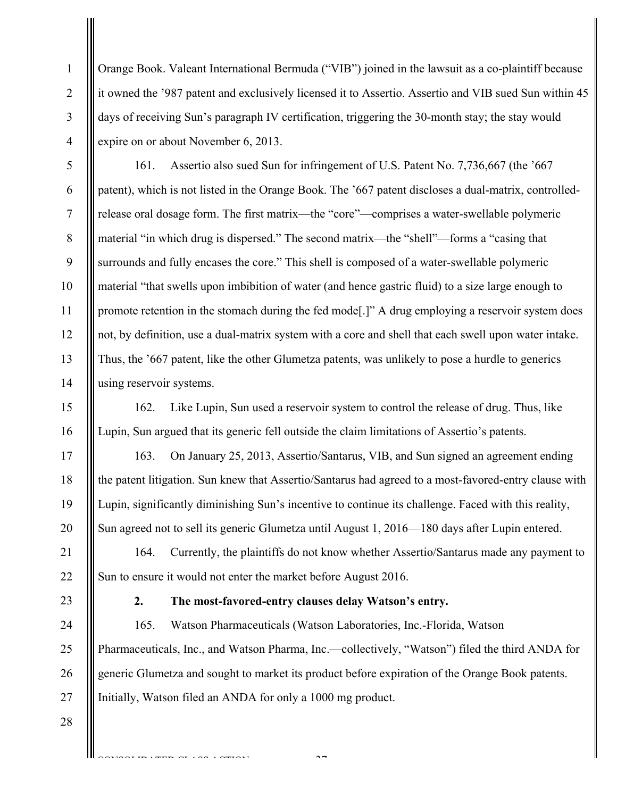Orange Book. Valeant International Bermuda ("VIB") joined in the lawsuit as a co-plaintiff because it owned the '987 patent and exclusively licensed it to Assertio. Assertio and VIB sued Sun within 45 days of receiving Sun's paragraph IV certification, triggering the 30-month stay; the stay would expire on or about November 6, 2013.

161. Assertio also sued Sun for infringement of U.S. Patent No. 7,736,667 (the '667 patent), which is not listed in the Orange Book. The '667 patent discloses a dual-matrix, controlledrelease oral dosage form. The first matrix—the "core"—comprises a water-swellable polymeric material "in which drug is dispersed." The second matrix—the "shell"—forms a "casing that surrounds and fully encases the core." This shell is composed of a water-swellable polymeric material "that swells upon imbibition of water (and hence gastric fluid) to a size large enough to promote retention in the stomach during the fed mode[.]" A drug employing a reservoir system does not, by definition, use a dual-matrix system with a core and shell that each swell upon water intake. Thus, the '667 patent, like the other Glumetza patents, was unlikely to pose a hurdle to generics using reservoir systems.

162. Like Lupin, Sun used a reservoir system to control the release of drug. Thus, like Lupin, Sun argued that its generic fell outside the claim limitations of Assertio's patents.

163. On January 25, 2013, Assertio/Santarus, VIB, and Sun signed an agreement ending the patent litigation. Sun knew that Assertio/Santarus had agreed to a most-favored-entry clause with Lupin, significantly diminishing Sun's incentive to continue its challenge. Faced with this reality, Sun agreed not to sell its generic Glumetza until August 1, 2016—180 days after Lupin entered.

164. Currently, the plaintiffs do not know whether Assertio/Santarus made any payment to Sun to ensure it would not enter the market before August 2016.

1

2

3

4

5

6

7

8

9

10

11

12

13

14

15

16

17

18

19

20

21

22

23

24

25

26

# **2. The most-favored-entry clauses delay Watson's entry.**

165. Watson Pharmaceuticals (Watson Laboratories, Inc.-Florida, Watson Pharmaceuticals, Inc., and Watson Pharma, Inc.—collectively, "Watson") filed the third ANDA for generic Glumetza and sought to market its product before expiration of the Orange Book patents. Initially, Watson filed an ANDA for only a 1000 mg product.

 $\mathcal{L}$ 

CONSTRUCT CONSTRUCTS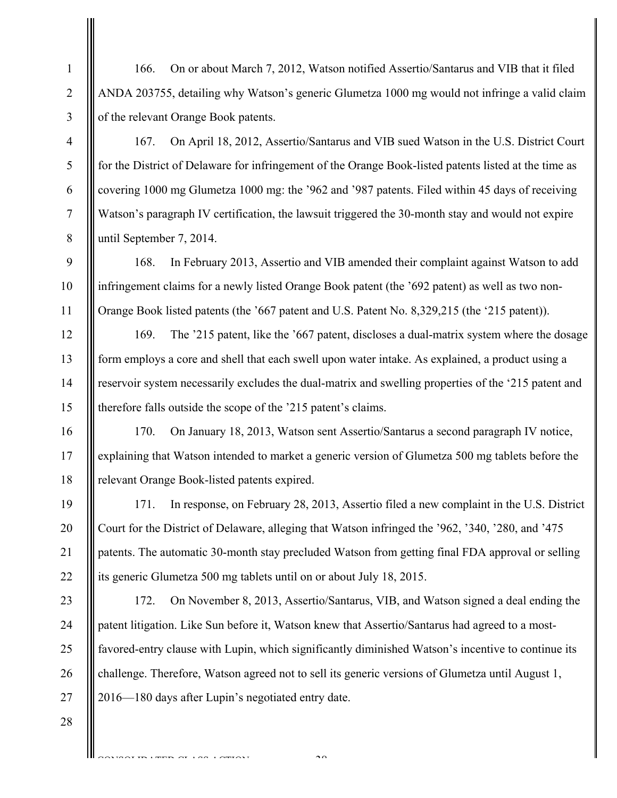166. On or about March 7, 2012, Watson notified Assertio/Santarus and VIB that it filed ANDA 203755, detailing why Watson's generic Glumetza 1000 mg would not infringe a valid claim of the relevant Orange Book patents.

167. On April 18, 2012, Assertio/Santarus and VIB sued Watson in the U.S. District Court for the District of Delaware for infringement of the Orange Book-listed patents listed at the time as covering 1000 mg Glumetza 1000 mg: the '962 and '987 patents. Filed within 45 days of receiving Watson's paragraph IV certification, the lawsuit triggered the 30-month stay and would not expire until September 7, 2014.

168. In February 2013, Assertio and VIB amended their complaint against Watson to add infringement claims for a newly listed Orange Book patent (the '692 patent) as well as two non-Orange Book listed patents (the '667 patent and U.S. Patent No. 8,329,215 (the '215 patent)).

169. The '215 patent, like the '667 patent, discloses a dual-matrix system where the dosage form employs a core and shell that each swell upon water intake. As explained, a product using a reservoir system necessarily excludes the dual-matrix and swelling properties of the '215 patent and therefore falls outside the scope of the '215 patent's claims.

170. On January 18, 2013, Watson sent Assertio/Santarus a second paragraph IV notice, explaining that Watson intended to market a generic version of Glumetza 500 mg tablets before the relevant Orange Book-listed patents expired.

171. In response, on February 28, 2013, Assertio filed a new complaint in the U.S. District Court for the District of Delaware, alleging that Watson infringed the '962, '340, '280, and '475 patents. The automatic 30-month stay precluded Watson from getting final FDA approval or selling its generic Glumetza 500 mg tablets until on or about July 18, 2015.

24 25 26 172. On November 8, 2013, Assertio/Santarus, VIB, and Watson signed a deal ending the patent litigation. Like Sun before it, Watson knew that Assertio/Santarus had agreed to a mostfavored-entry clause with Lupin, which significantly diminished Watson's incentive to continue its challenge. Therefore, Watson agreed not to sell its generic versions of Glumetza until August 1, 2016—180 days after Lupin's negotiated entry date.

27 28

1

2

3

4

5

6

7

8

9

10

11

12

13

14

15

16

17

18

19

20

21

22

23

CONSTRUCT LAN LAMINAT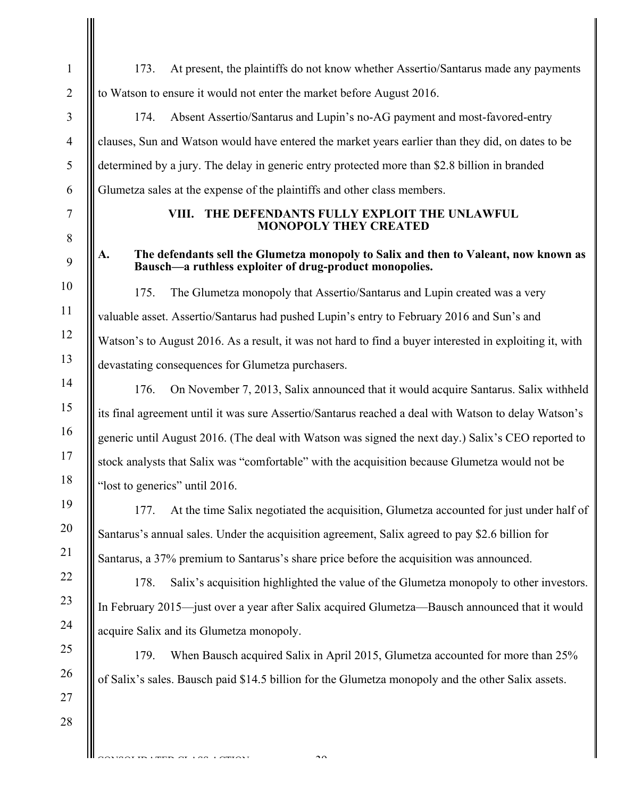173. At present, the plaintiffs do not know whether Assertio/Santarus made any payments to Watson to ensure it would not enter the market before August 2016.

174. Absent Assertio/Santarus and Lupin's no-AG payment and most-favored-entry clauses, Sun and Watson would have entered the market years earlier than they did, on dates to be determined by a jury. The delay in generic entry protected more than \$2.8 billion in branded Glumetza sales at the expense of the plaintiffs and other class members.

## **VIII. THE DEFENDANTS FULLY EXPLOIT THE UNLAWFUL MONOPOLY THEY CREATED**

## **A. The defendants sell the Glumetza monopoly to Salix and then to Valeant, now known as Bausch—a ruthless exploiter of drug-product monopolies.**

175. The Glumetza monopoly that Assertio/Santarus and Lupin created was a very valuable asset. Assertio/Santarus had pushed Lupin's entry to February 2016 and Sun's and Watson's to August 2016. As a result, it was not hard to find a buyer interested in exploiting it, with devastating consequences for Glumetza purchasers.

176. On November 7, 2013, Salix announced that it would acquire Santarus. Salix withheld its final agreement until it was sure Assertio/Santarus reached a deal with Watson to delay Watson's generic until August 2016. (The deal with Watson was signed the next day.) Salix's CEO reported to stock analysts that Salix was "comfortable" with the acquisition because Glumetza would not be "lost to generics" until 2016.

177. At the time Salix negotiated the acquisition, Glumetza accounted for just under half of Santarus's annual sales. Under the acquisition agreement, Salix agreed to pay \$2.6 billion for Santarus, a 37% premium to Santarus's share price before the acquisition was announced.

178. Salix's acquisition highlighted the value of the Glumetza monopoly to other investors. In February 2015—just over a year after Salix acquired Glumetza—Bausch announced that it would acquire Salix and its Glumetza monopoly.

179. When Bausch acquired Salix in April 2015, Glumetza accounted for more than 25% of Salix's sales. Bausch paid \$14.5 billion for the Glumetza monopoly and the other Salix assets.

 $\mathcal{L}_{\mathcal{D}}$ 

CONSTRUCTION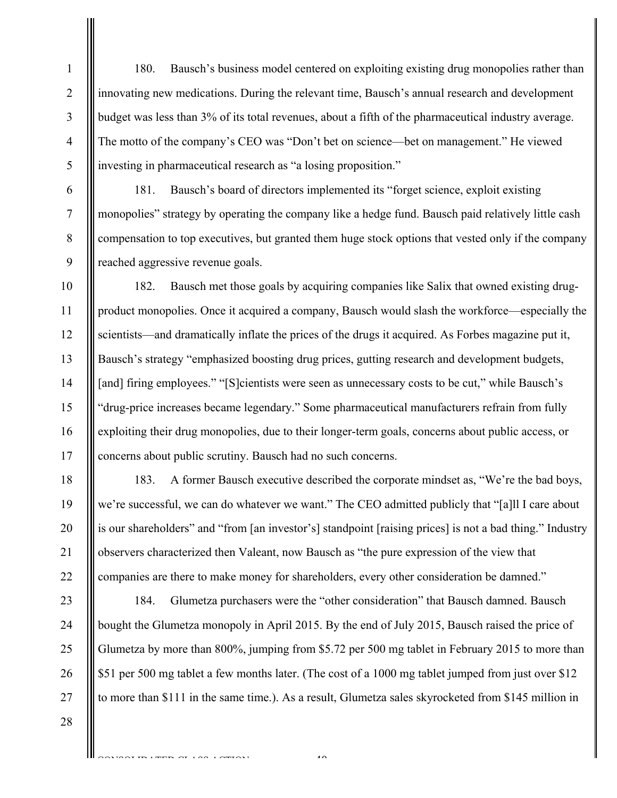180. Bausch's business model centered on exploiting existing drug monopolies rather than innovating new medications. During the relevant time, Bausch's annual research and development budget was less than 3% of its total revenues, about a fifth of the pharmaceutical industry average. The motto of the company's CEO was "Don't bet on science—bet on management." He viewed investing in pharmaceutical research as "a losing proposition."

181. Bausch's board of directors implemented its "forget science, exploit existing monopolies" strategy by operating the company like a hedge fund. Bausch paid relatively little cash compensation to top executives, but granted them huge stock options that vested only if the company reached aggressive revenue goals.

10 11 12 13 14 15 16 17 182. Bausch met those goals by acquiring companies like Salix that owned existing drugproduct monopolies. Once it acquired a company, Bausch would slash the workforce—especially the scientists—and dramatically inflate the prices of the drugs it acquired. As Forbes magazine put it, Bausch's strategy "emphasized boosting drug prices, gutting research and development budgets, [and] firing employees." "[S]cientists were seen as unnecessary costs to be cut," while Bausch's "drug-price increases became legendary." Some pharmaceutical manufacturers refrain from fully exploiting their drug monopolies, due to their longer-term goals, concerns about public access, or concerns about public scrutiny. Bausch had no such concerns.

183. A former Bausch executive described the corporate mindset as, "We're the bad boys, we're successful, we can do whatever we want." The CEO admitted publicly that "[a]ll I care about is our shareholders" and "from [an investor's] standpoint [raising prices] is not a bad thing." Industry observers characterized then Valeant, now Bausch as "the pure expression of the view that companies are there to make money for shareholders, every other consideration be damned."

23 24 25 26 27 184. Glumetza purchasers were the "other consideration" that Bausch damned. Bausch bought the Glumetza monopoly in April 2015. By the end of July 2015, Bausch raised the price of Glumetza by more than 800%, jumping from \$5.72 per 500 mg tablet in February 2015 to more than \$51 per 500 mg tablet a few months later. (The cost of a 1000 mg tablet jumped from just over \$12 to more than \$111 in the same time.). As a result, Glumetza sales skyrocketed from \$145 million in

 $\overline{40}$ 

28

1

2

3

4

5

6

7

8

9

18

19

20

21

22

CONSTRUCT CONSTRUCTS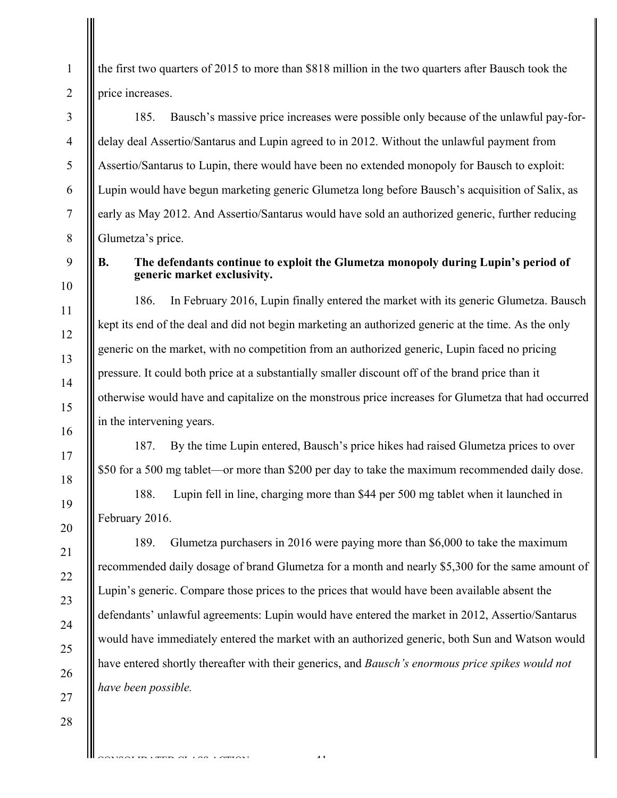the first two quarters of 2015 to more than \$818 million in the two quarters after Bausch took the price increases.

185. Bausch's massive price increases were possible only because of the unlawful pay-fordelay deal Assertio/Santarus and Lupin agreed to in 2012. Without the unlawful payment from Assertio/Santarus to Lupin, there would have been no extended monopoly for Bausch to exploit: Lupin would have begun marketing generic Glumetza long before Bausch's acquisition of Salix, as early as May 2012. And Assertio/Santarus would have sold an authorized generic, further reducing Glumetza's price.

1

# **B. The defendants continue to exploit the Glumetza monopoly during Lupin's period of generic market exclusivity.**

186. In February 2016, Lupin finally entered the market with its generic Glumetza. Bausch kept its end of the deal and did not begin marketing an authorized generic at the time. As the only generic on the market, with no competition from an authorized generic, Lupin faced no pricing pressure. It could both price at a substantially smaller discount off of the brand price than it otherwise would have and capitalize on the monstrous price increases for Glumetza that had occurred in the intervening years.

187. By the time Lupin entered, Bausch's price hikes had raised Glumetza prices to over \$50 for a 500 mg tablet—or more than \$200 per day to take the maximum recommended daily dose.

188. Lupin fell in line, charging more than \$44 per 500 mg tablet when it launched in February 2016.

189. Glumetza purchasers in 2016 were paying more than \$6,000 to take the maximum recommended daily dosage of brand Glumetza for a month and nearly \$5,300 for the same amount of Lupin's generic. Compare those prices to the prices that would have been available absent the defendants' unlawful agreements: Lupin would have entered the market in 2012, Assertio/Santarus would have immediately entered the market with an authorized generic, both Sun and Watson would have entered shortly thereafter with their generics, and *Bausch's enormous price spikes would not have been possible.* 

-41-

CONSTRUCTION

27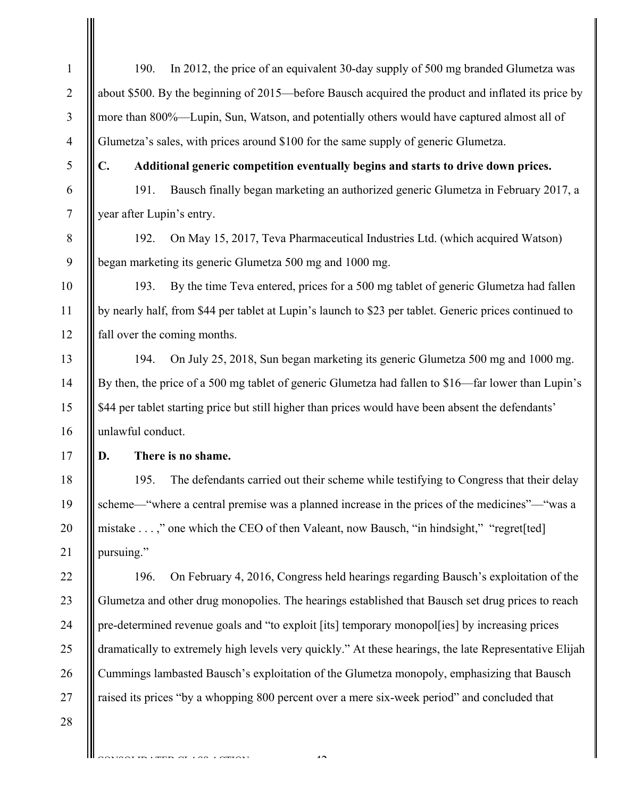| $\mathbf{1}$   | In 2012, the price of an equivalent 30-day supply of 500 mg branded Glumetza was<br>190.               |
|----------------|--------------------------------------------------------------------------------------------------------|
| $\overline{2}$ | about \$500. By the beginning of 2015—before Bausch acquired the product and inflated its price by     |
| 3              | more than 800%—Lupin, Sun, Watson, and potentially others would have captured almost all of            |
| 4              | Glumetza's sales, with prices around \$100 for the same supply of generic Glumetza.                    |
| 5              | $\mathbf{C}$ .<br>Additional generic competition eventually begins and starts to drive down prices.    |
| 6              | Bausch finally began marketing an authorized generic Glumetza in February 2017, a<br>191.              |
| $\tau$         | year after Lupin's entry.                                                                              |
| $8\,$          | On May 15, 2017, Teva Pharmaceutical Industries Ltd. (which acquired Watson)<br>192.                   |
| 9              | began marketing its generic Glumetza 500 mg and 1000 mg.                                               |
| 10             | By the time Teva entered, prices for a 500 mg tablet of generic Glumetza had fallen<br>193.            |
| 11             | by nearly half, from \$44 per tablet at Lupin's launch to \$23 per tablet. Generic prices continued to |
| 12             | fall over the coming months.                                                                           |
| 13             | On July 25, 2018, Sun began marketing its generic Glumetza 500 mg and 1000 mg.<br>194.                 |
| 14             | By then, the price of a 500 mg tablet of generic Glumetza had fallen to \$16—far lower than Lupin's    |
| 15             | \$44 per tablet starting price but still higher than prices would have been absent the defendants'     |
| 16             | unlawful conduct.                                                                                      |
| 17             | There is no shame.<br>D.                                                                               |
| 18             | The defendants carried out their scheme while testifying to Congress that their delay<br>195.          |
| 19             | scheme—"where a central premise was a planned increase in the prices of the medicines"—"was a          |
| 20             | mistake ," one which the CEO of then Valeant, now Bausch, "in hindsight," "regret[ted]                 |
| 21             | pursuing."                                                                                             |
| 22             | On February 4, 2016, Congress held hearings regarding Bausch's exploitation of the<br>196.             |
| 23             | Glumetza and other drug monopolies. The hearings established that Bausch set drug prices to reach      |
| 24             | pre-determined revenue goals and "to exploit [its] temporary monopol[ies] by increasing prices         |
| 25             | dramatically to extremely high levels very quickly." At these hearings, the late Representative Elijah |
| 26             | Cummings lambasted Bausch's exploitation of the Glumetza monopoly, emphasizing that Bausch             |
| 27             | raised its prices "by a whopping 800 percent over a mere six-week period" and concluded that           |
| 28             |                                                                                                        |
|                |                                                                                                        |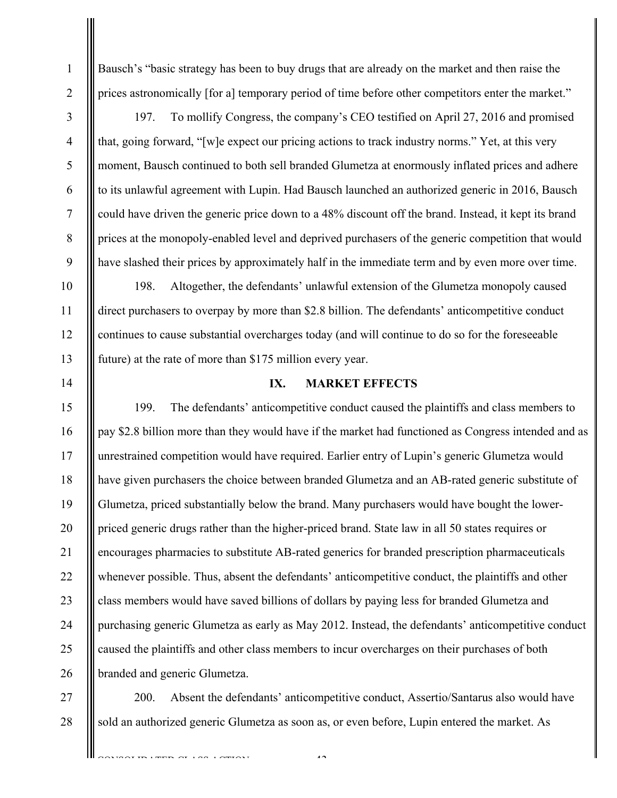Bausch's "basic strategy has been to buy drugs that are already on the market and then raise the prices astronomically [for a] temporary period of time before other competitors enter the market."

1

2

3

4

5

6

7

8

9

10

11

12

13

14

15

16

17

18

19

20

21

22

23

24

25

26

197. To mollify Congress, the company's CEO testified on April 27, 2016 and promised that, going forward, "[w]e expect our pricing actions to track industry norms." Yet, at this very moment, Bausch continued to both sell branded Glumetza at enormously inflated prices and adhere to its unlawful agreement with Lupin. Had Bausch launched an authorized generic in 2016, Bausch could have driven the generic price down to a 48% discount off the brand. Instead, it kept its brand prices at the monopoly-enabled level and deprived purchasers of the generic competition that would have slashed their prices by approximately half in the immediate term and by even more over time.

198. Altogether, the defendants' unlawful extension of the Glumetza monopoly caused direct purchasers to overpay by more than \$2.8 billion. The defendants' anticompetitive conduct continues to cause substantial overcharges today (and will continue to do so for the foreseeable future) at the rate of more than \$175 million every year.

**IX. MARKET EFFECTS** 

199. The defendants' anticompetitive conduct caused the plaintiffs and class members to pay \$2.8 billion more than they would have if the market had functioned as Congress intended and as unrestrained competition would have required. Earlier entry of Lupin's generic Glumetza would have given purchasers the choice between branded Glumetza and an AB-rated generic substitute of Glumetza, priced substantially below the brand. Many purchasers would have bought the lowerpriced generic drugs rather than the higher-priced brand. State law in all 50 states requires or encourages pharmacies to substitute AB-rated generics for branded prescription pharmaceuticals whenever possible. Thus, absent the defendants' anticompetitive conduct, the plaintiffs and other class members would have saved billions of dollars by paying less for branded Glumetza and purchasing generic Glumetza as early as May 2012. Instead, the defendants' anticompetitive conduct caused the plaintiffs and other class members to incur overcharges on their purchases of both branded and generic Glumetza.

27 28 200. Absent the defendants' anticompetitive conduct, Assertio/Santarus also would have sold an authorized generic Glumetza as soon as, or even before, Lupin entered the market. As

 $\overline{4}$ 

CONSTRUCT CASE CONTANT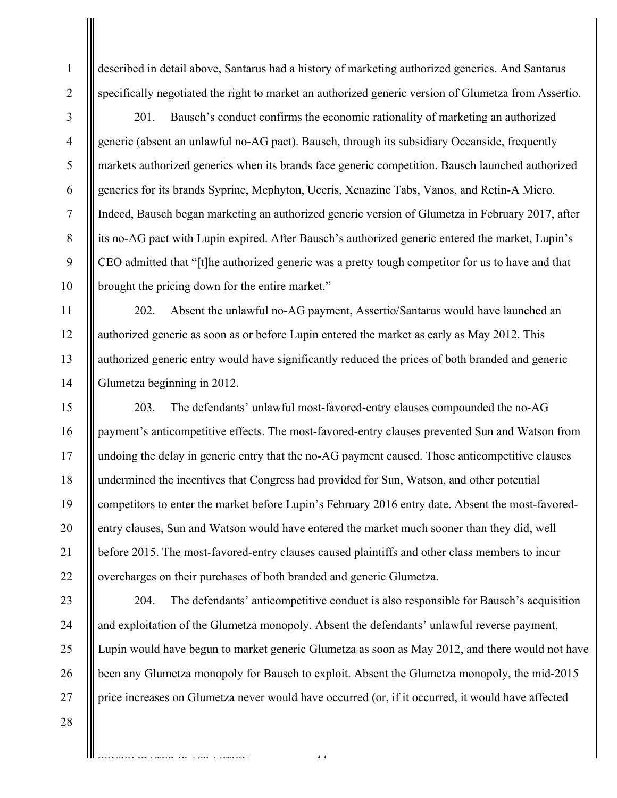described in detail above, Santarus had a history of marketing authorized generics. And Santarus specifically negotiated the right to market an authorized generic version of Glumetza from Assertio.

2 3

1

4

5

6

7

8

9

10

11

12

13

14

15

16

17

18

19

20

21

22

201. Bausch's conduct confirms the economic rationality of marketing an authorized generic (absent an unlawful no-AG pact). Bausch, through its subsidiary Oceanside, frequently markets authorized generics when its brands face generic competition. Bausch launched authorized generics for its brands Syprine, Mephyton, Uceris, Xenazine Tabs, Vanos, and Retin-A Micro. Indeed, Bausch began marketing an authorized generic version of Glumetza in February 2017, after its no-AG pact with Lupin expired. After Bausch's authorized generic entered the market, Lupin's CEO admitted that "[t]he authorized generic was a pretty tough competitor for us to have and that brought the pricing down for the entire market."

202. Absent the unlawful no-AG payment, Assertio/Santarus would have launched an authorized generic as soon as or before Lupin entered the market as early as May 2012. This authorized generic entry would have significantly reduced the prices of both branded and generic Glumetza beginning in 2012.

203. The defendants' unlawful most-favored-entry clauses compounded the no-AG payment's anticompetitive effects. The most-favored-entry clauses prevented Sun and Watson from undoing the delay in generic entry that the no-AG payment caused. Those anticompetitive clauses undermined the incentives that Congress had provided for Sun, Watson, and other potential competitors to enter the market before Lupin's February 2016 entry date. Absent the most-favoredentry clauses, Sun and Watson would have entered the market much sooner than they did, well before 2015. The most-favored-entry clauses caused plaintiffs and other class members to incur overcharges on their purchases of both branded and generic Glumetza.

23 24 25 26 27 204. The defendants' anticompetitive conduct is also responsible for Bausch's acquisition and exploitation of the Glumetza monopoly. Absent the defendants' unlawful reverse payment, Lupin would have begun to market generic Glumetza as soon as May 2012, and there would not have been any Glumetza monopoly for Bausch to exploit. Absent the Glumetza monopoly, the mid-2015 price increases on Glumetza never would have occurred (or, if it occurred, it would have affected

 $\frac{44}{4}$ 

CONSTRUCT CONSTRUCTS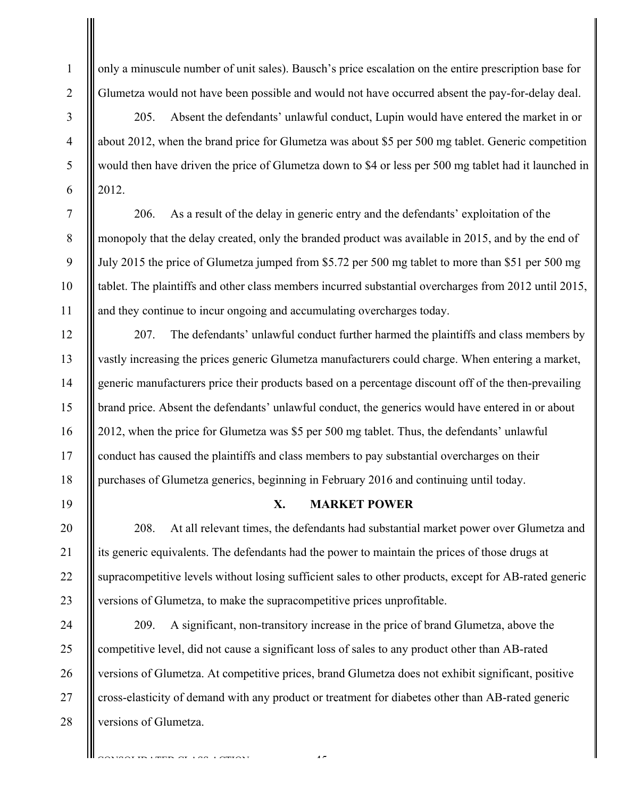only a minuscule number of unit sales). Bausch's price escalation on the entire prescription base for Glumetza would not have been possible and would not have occurred absent the pay-for-delay deal.

205. Absent the defendants' unlawful conduct, Lupin would have entered the market in or about 2012, when the brand price for Glumetza was about \$5 per 500 mg tablet. Generic competition would then have driven the price of Glumetza down to \$4 or less per 500 mg tablet had it launched in 2012.

206. As a result of the delay in generic entry and the defendants' exploitation of the monopoly that the delay created, only the branded product was available in 2015, and by the end of July 2015 the price of Glumetza jumped from \$5.72 per 500 mg tablet to more than \$51 per 500 mg tablet. The plaintiffs and other class members incurred substantial overcharges from 2012 until 2015, and they continue to incur ongoing and accumulating overcharges today.

207. The defendants' unlawful conduct further harmed the plaintiffs and class members by vastly increasing the prices generic Glumetza manufacturers could charge. When entering a market, generic manufacturers price their products based on a percentage discount off of the then-prevailing brand price. Absent the defendants' unlawful conduct, the generics would have entered in or about 2012, when the price for Glumetza was \$5 per 500 mg tablet. Thus, the defendants' unlawful conduct has caused the plaintiffs and class members to pay substantial overcharges on their purchases of Glumetza generics, beginning in February 2016 and continuing until today.

## **X. MARKET POWER**

208. At all relevant times, the defendants had substantial market power over Glumetza and its generic equivalents. The defendants had the power to maintain the prices of those drugs at supracompetitive levels without losing sufficient sales to other products, except for AB-rated generic versions of Glumetza, to make the supracompetitive prices unprofitable.

209. A significant, non-transitory increase in the price of brand Glumetza, above the competitive level, did not cause a significant loss of sales to any product other than AB-rated versions of Glumetza. At competitive prices, brand Glumetza does not exhibit significant, positive cross-elasticity of demand with any product or treatment for diabetes other than AB-rated generic versions of Glumetza.

 $\sim$ 

CONSTRUCT CONSTRUCTS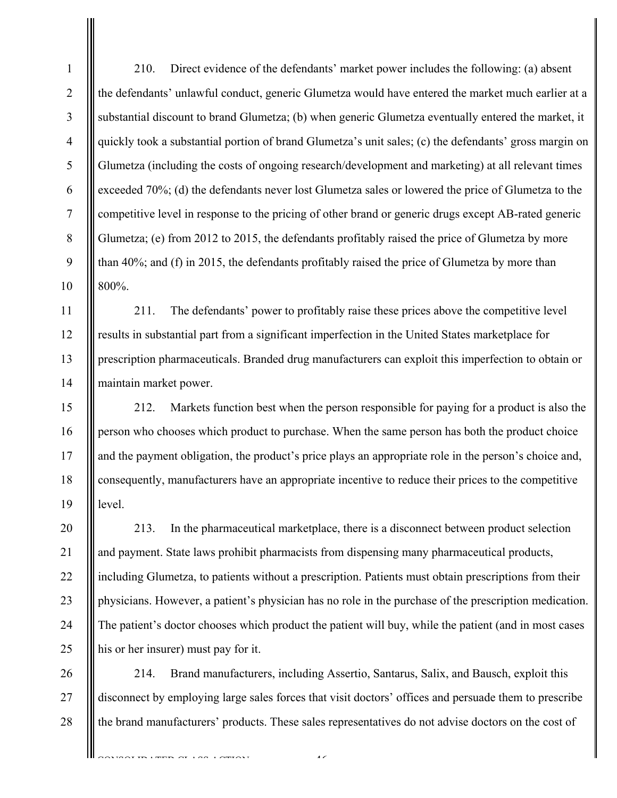210. Direct evidence of the defendants' market power includes the following: (a) absent the defendants' unlawful conduct, generic Glumetza would have entered the market much earlier at a substantial discount to brand Glumetza; (b) when generic Glumetza eventually entered the market, it quickly took a substantial portion of brand Glumetza's unit sales; (c) the defendants' gross margin on Glumetza (including the costs of ongoing research/development and marketing) at all relevant times exceeded 70%; (d) the defendants never lost Glumetza sales or lowered the price of Glumetza to the competitive level in response to the pricing of other brand or generic drugs except AB-rated generic Glumetza; (e) from 2012 to 2015, the defendants profitably raised the price of Glumetza by more than 40%; and (f) in 2015, the defendants profitably raised the price of Glumetza by more than 800%.

211. The defendants' power to profitably raise these prices above the competitive level results in substantial part from a significant imperfection in the United States marketplace for prescription pharmaceuticals. Branded drug manufacturers can exploit this imperfection to obtain or maintain market power.

212. Markets function best when the person responsible for paying for a product is also the person who chooses which product to purchase. When the same person has both the product choice and the payment obligation, the product's price plays an appropriate role in the person's choice and, consequently, manufacturers have an appropriate incentive to reduce their prices to the competitive level.

213. In the pharmaceutical marketplace, there is a disconnect between product selection and payment. State laws prohibit pharmacists from dispensing many pharmaceutical products, including Glumetza, to patients without a prescription. Patients must obtain prescriptions from their physicians. However, a patient's physician has no role in the purchase of the prescription medication. The patient's doctor chooses which product the patient will buy, while the patient (and in most cases his or her insurer) must pay for it.

214. Brand manufacturers, including Assertio, Santarus, Salix, and Bausch, exploit this disconnect by employing large sales forces that visit doctors' offices and persuade them to prescribe the brand manufacturers' products. These sales representatives do not advise doctors on the cost of

 $\overline{4}$ 

1

2

3

4

5

6

7

8

9

10

11

26

27

28

CONSTRUCTION CONTACT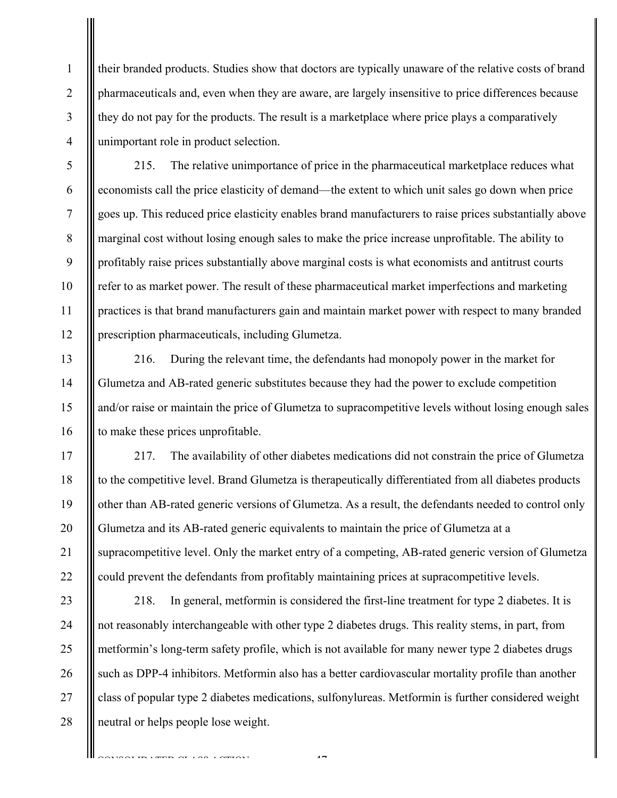their branded products. Studies show that doctors are typically unaware of the relative costs of brand pharmaceuticals and, even when they are aware, are largely insensitive to price differences because they do not pay for the products. The result is a marketplace where price plays a comparatively unimportant role in product selection.

1

2

3

4

5

6

7

8

9

10

11

12

13

14

15

16

17

18

19

20

21

22

215. The relative unimportance of price in the pharmaceutical marketplace reduces what economists call the price elasticity of demand—the extent to which unit sales go down when price goes up. This reduced price elasticity enables brand manufacturers to raise prices substantially above marginal cost without losing enough sales to make the price increase unprofitable. The ability to profitably raise prices substantially above marginal costs is what economists and antitrust courts refer to as market power. The result of these pharmaceutical market imperfections and marketing practices is that brand manufacturers gain and maintain market power with respect to many branded prescription pharmaceuticals, including Glumetza.

216. During the relevant time, the defendants had monopoly power in the market for Glumetza and AB-rated generic substitutes because they had the power to exclude competition and/or raise or maintain the price of Glumetza to supracompetitive levels without losing enough sales to make these prices unprofitable.

217. The availability of other diabetes medications did not constrain the price of Glumetza to the competitive level. Brand Glumetza is therapeutically differentiated from all diabetes products other than AB-rated generic versions of Glumetza. As a result, the defendants needed to control only Glumetza and its AB-rated generic equivalents to maintain the price of Glumetza at a supracompetitive level. Only the market entry of a competing, AB-rated generic version of Glumetza could prevent the defendants from profitably maintaining prices at supracompetitive levels.

23 24 25 26 27 28 218. In general, metformin is considered the first-line treatment for type 2 diabetes. It is not reasonably interchangeable with other type 2 diabetes drugs. This reality stems, in part, from metformin's long-term safety profile, which is not available for many newer type 2 diabetes drugs such as DPP-4 inhibitors. Metformin also has a better cardiovascular mortality profile than another class of popular type 2 diabetes medications, sulfonylureas. Metformin is further considered weight neutral or helps people lose weight.

 $\overline{47}$ 

TIN LATING CLASS LOTTON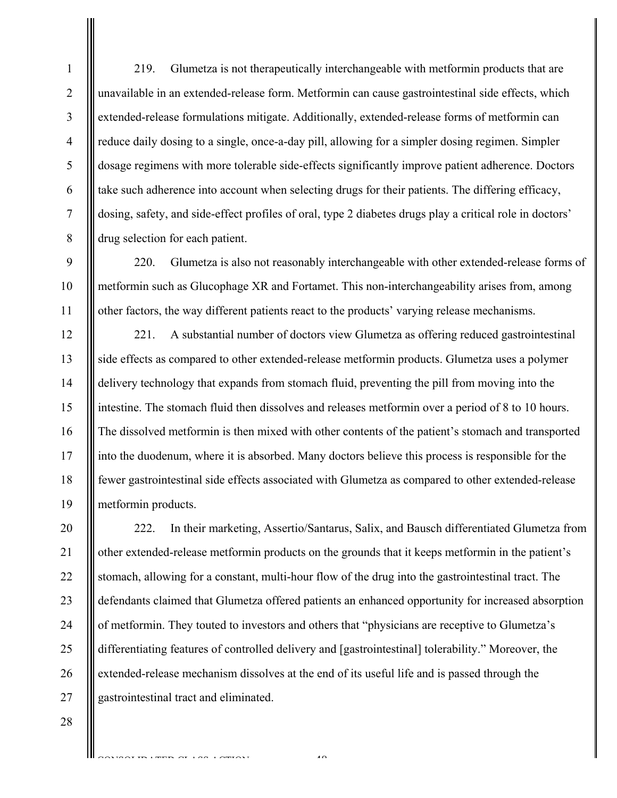219. Glumetza is not therapeutically interchangeable with metformin products that are unavailable in an extended-release form. Metformin can cause gastrointestinal side effects, which extended-release formulations mitigate. Additionally, extended-release forms of metformin can reduce daily dosing to a single, once-a-day pill, allowing for a simpler dosing regimen. Simpler dosage regimens with more tolerable side-effects significantly improve patient adherence. Doctors take such adherence into account when selecting drugs for their patients. The differing efficacy, dosing, safety, and side-effect profiles of oral, type 2 diabetes drugs play a critical role in doctors' drug selection for each patient.

220. Glumetza is also not reasonably interchangeable with other extended-release forms of metformin such as Glucophage XR and Fortamet. This non-interchangeability arises from, among other factors, the way different patients react to the products' varying release mechanisms.

221. A substantial number of doctors view Glumetza as offering reduced gastrointestinal side effects as compared to other extended-release metformin products. Glumetza uses a polymer delivery technology that expands from stomach fluid, preventing the pill from moving into the intestine. The stomach fluid then dissolves and releases metformin over a period of 8 to 10 hours. The dissolved metformin is then mixed with other contents of the patient's stomach and transported into the duodenum, where it is absorbed. Many doctors believe this process is responsible for the fewer gastrointestinal side effects associated with Glumetza as compared to other extended-release metformin products.

20 21 22 23 24 25 26 27 222. In their marketing, Assertio/Santarus, Salix, and Bausch differentiated Glumetza from other extended-release metformin products on the grounds that it keeps metformin in the patient's stomach, allowing for a constant, multi-hour flow of the drug into the gastrointestinal tract. The defendants claimed that Glumetza offered patients an enhanced opportunity for increased absorption of metformin. They touted to investors and others that "physicians are receptive to Glumetza's differentiating features of controlled delivery and [gastrointestinal] tolerability." Moreover, the extended-release mechanism dissolves at the end of its useful life and is passed through the gastrointestinal tract and eliminated.

28

1

2

3

4

5

6

7

8

9

10

11

12

13

14

15

16

17

18

19

 $-40$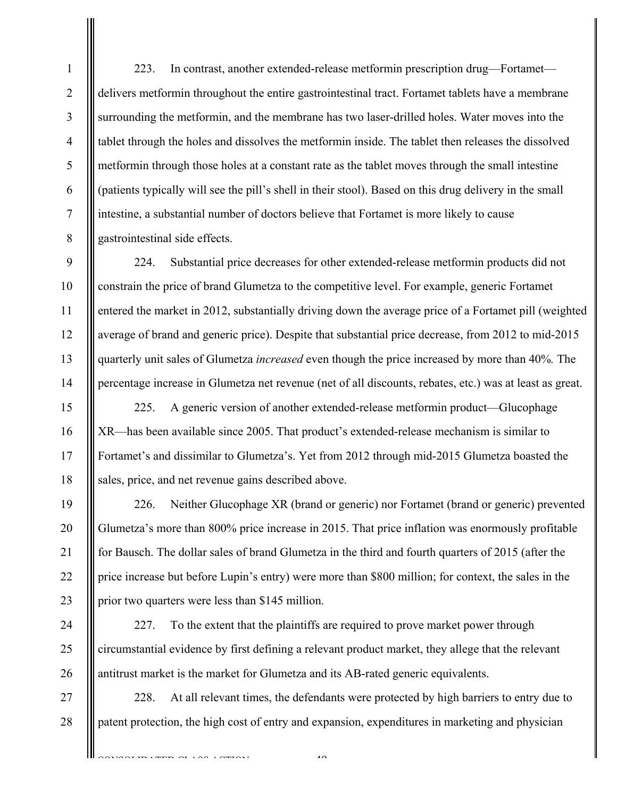223. In contrast, another extended-release metformin prescription drug—Fortamet delivers metformin throughout the entire gastrointestinal tract. Fortamet tablets have a membrane surrounding the metformin, and the membrane has two laser-drilled holes. Water moves into the tablet through the holes and dissolves the metformin inside. The tablet then releases the dissolved metformin through those holes at a constant rate as the tablet moves through the small intestine (patients typically will see the pill's shell in their stool). Based on this drug delivery in the small intestine, a substantial number of doctors believe that Fortamet is more likely to cause gastrointestinal side effects.

224. Substantial price decreases for other extended-release metformin products did not constrain the price of brand Glumetza to the competitive level. For example, generic Fortamet entered the market in 2012, substantially driving down the average price of a Fortamet pill (weighted average of brand and generic price). Despite that substantial price decrease, from 2012 to mid-2015 quarterly unit sales of Glumetza *increased* even though the price increased by more than 40%*.* The percentage increase in Glumetza net revenue (net of all discounts, rebates, etc.) was at least as great.

225. A generic version of another extended-release metformin product—Glucophage XR—has been available since 2005. That product's extended-release mechanism is similar to Fortamet's and dissimilar to Glumetza's. Yet from 2012 through mid-2015 Glumetza boasted the sales, price, and net revenue gains described above.

226. Neither Glucophage XR (brand or generic) nor Fortamet (brand or generic) prevented Glumetza's more than 800% price increase in 2015. That price inflation was enormously profitable for Bausch. The dollar sales of brand Glumetza in the third and fourth quarters of 2015 (after the price increase but before Lupin's entry) were more than \$800 million; for context, the sales in the prior two quarters were less than \$145 million.

227. To the extent that the plaintiffs are required to prove market power through circumstantial evidence by first defining a relevant product market, they allege that the relevant antitrust market is the market for Glumetza and its AB-rated generic equivalents.

228. At all relevant times, the defendants were protected by high barriers to entry due to patent protection, the high cost of entry and expansion, expenditures in marketing and physician

 $\overline{4}$ 

TRIMPROTIAN LASS LAMINAT

1

2

3

4

5

6

7

8

9

10

11

12

13

14

15

16

17

18

19

20

21

22

23

24

25

26

27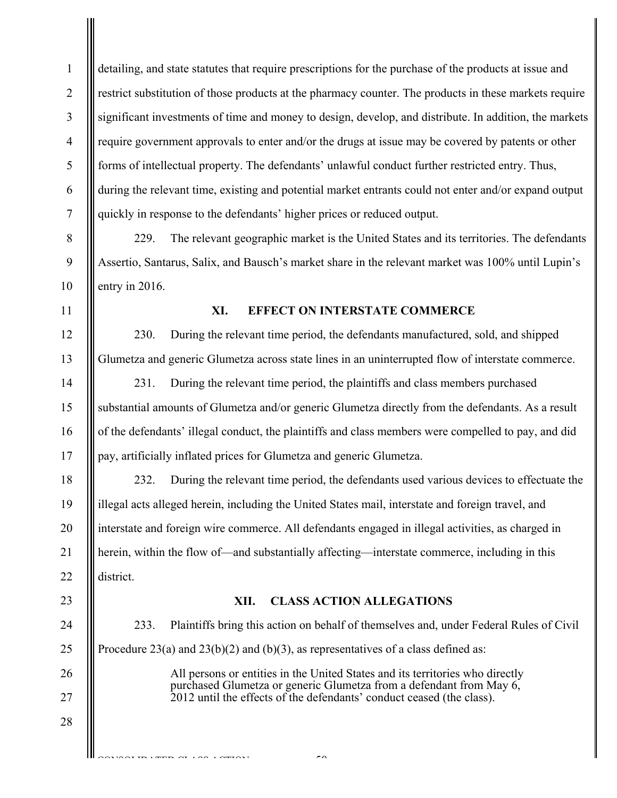2 3 4 5 6 7 8 detailing, and state statutes that require prescriptions for the purchase of the products at issue and restrict substitution of those products at the pharmacy counter. The products in these markets require significant investments of time and money to design, develop, and distribute. In addition, the markets require government approvals to enter and/or the drugs at issue may be covered by patents or other forms of intellectual property. The defendants' unlawful conduct further restricted entry. Thus, during the relevant time, existing and potential market entrants could not enter and/or expand output quickly in response to the defendants' higher prices or reduced output.

229. The relevant geographic market is the United States and its territories. The defendants Assertio, Santarus, Salix, and Bausch's market share in the relevant market was 100% until Lupin's entry in 2016.

11

9

10

12

13

14

15

16

17

18

19

20

21

22

23

24

25

26

27

28

CONSOLIDATED CLASS COMPONE

1

## **XI. EFFECT ON INTERSTATE COMMERCE**

230. During the relevant time period, the defendants manufactured, sold, and shipped Glumetza and generic Glumetza across state lines in an uninterrupted flow of interstate commerce.

231. During the relevant time period, the plaintiffs and class members purchased substantial amounts of Glumetza and/or generic Glumetza directly from the defendants. As a result of the defendants' illegal conduct, the plaintiffs and class members were compelled to pay, and did pay, artificially inflated prices for Glumetza and generic Glumetza.

232. During the relevant time period, the defendants used various devices to effectuate the illegal acts alleged herein, including the United States mail, interstate and foreign travel, and interstate and foreign wire commerce. All defendants engaged in illegal activities, as charged in herein, within the flow of—and substantially affecting—interstate commerce, including in this district.

## **XII. CLASS ACTION ALLEGATIONS**

233. Plaintiffs bring this action on behalf of themselves and, under Federal Rules of Civil Procedure 23(a) and 23(b)(2) and (b)(3), as representatives of a class defined as: All persons or entities in the United States and its territories who directly purchased Glumetza or generic Glumetza from a defendant from May 6,

2012 until the effects of the defendants' conduct ceased (the class).

-50-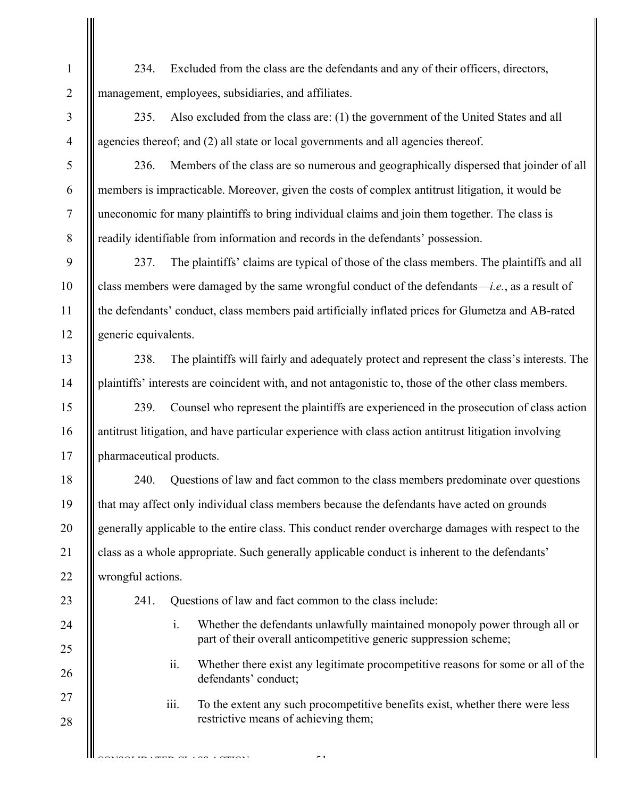234. Excluded from the class are the defendants and any of their officers, directors, management, employees, subsidiaries, and affiliates.

235. Also excluded from the class are: (1) the government of the United States and all agencies thereof; and (2) all state or local governments and all agencies thereof.

236. Members of the class are so numerous and geographically dispersed that joinder of all members is impracticable. Moreover, given the costs of complex antitrust litigation, it would be uneconomic for many plaintiffs to bring individual claims and join them together. The class is readily identifiable from information and records in the defendants' possession.

237. The plaintiffs' claims are typical of those of the class members. The plaintiffs and all class members were damaged by the same wrongful conduct of the defendants—*i.e.*, as a result of the defendants' conduct, class members paid artificially inflated prices for Glumetza and AB-rated generic equivalents.

238. The plaintiffs will fairly and adequately protect and represent the class's interests. The plaintiffs' interests are coincident with, and not antagonistic to, those of the other class members.

239. Counsel who represent the plaintiffs are experienced in the prosecution of class action antitrust litigation, and have particular experience with class action antitrust litigation involving pharmaceutical products.

240. Questions of law and fact common to the class members predominate over questions that may affect only individual class members because the defendants have acted on grounds generally applicable to the entire class. This conduct render overcharge damages with respect to the class as a whole appropriate. Such generally applicable conduct is inherent to the defendants' wrongful actions.

23

1

2

3

4

5

6

7

8

9

10

11

12

13

14

15

16

17

18

19

20

21

22

24

25

26

27

28

CONSOLIDATED CLASS COMPONE

- 241. Questions of law and fact common to the class include:
	- i. Whether the defendants unlawfully maintained monopoly power through all or part of their overall anticompetitive generic suppression scheme;
	- ii. Whether there exist any legitimate procompetitive reasons for some or all of the defendants' conduct;
	- iii. To the extent any such procompetitive benefits exist, whether there were less restrictive means of achieving them;

-51-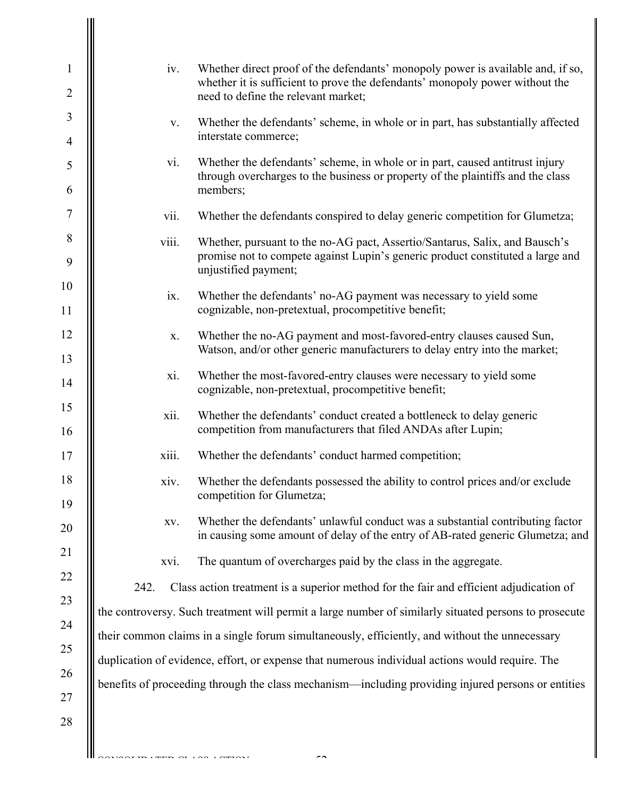| $\mathbf{1}$   | iv.   | Whether direct proof of the defendants' monopoly power is available and, if so,                                                                                                       |
|----------------|-------|---------------------------------------------------------------------------------------------------------------------------------------------------------------------------------------|
| $\overline{2}$ |       | whether it is sufficient to prove the defendants' monopoly power without the<br>need to define the relevant market;                                                                   |
| 3              | V.    | Whether the defendants' scheme, in whole or in part, has substantially affected                                                                                                       |
| $\overline{4}$ |       | interstate commerce;                                                                                                                                                                  |
| 5<br>6         | vi.   | Whether the defendants' scheme, in whole or in part, caused antitrust injury<br>through overcharges to the business or property of the plaintiffs and the class<br>members;           |
| 7              | vii.  | Whether the defendants conspired to delay generic competition for Glumetza;                                                                                                           |
| $\, 8$<br>9    | viii. | Whether, pursuant to the no-AG pact, Assertio/Santarus, Salix, and Bausch's<br>promise not to compete against Lupin's generic product constituted a large and<br>unjustified payment; |
| 10             | ix.   | Whether the defendants' no-AG payment was necessary to yield some                                                                                                                     |
| 11             |       | cognizable, non-pretextual, procompetitive benefit;                                                                                                                                   |
| 12<br>13       | X.    | Whether the no-AG payment and most-favored-entry clauses caused Sun,<br>Watson, and/or other generic manufacturers to delay entry into the market;                                    |
| 14             | xi.   | Whether the most-favored-entry clauses were necessary to yield some<br>cognizable, non-pretextual, procompetitive benefit;                                                            |
| 15<br>16       | xii.  | Whether the defendants' conduct created a bottleneck to delay generic<br>competition from manufacturers that filed ANDAs after Lupin;                                                 |
| 17             | xiii. | Whether the defendants' conduct harmed competition;                                                                                                                                   |
| 18<br>19       | xiv.  | Whether the defendants possessed the ability to control prices and/or exclude<br>competition for Glumetza;                                                                            |
| 20             | XV.   | Whether the defendants' unlawful conduct was a substantial contributing factor<br>in causing some amount of delay of the entry of AB-rated generic Glumetza; and                      |
| 21             | xvi.  | The quantum of overcharges paid by the class in the aggregate.                                                                                                                        |
| 22             | 242.  | Class action treatment is a superior method for the fair and efficient adjudication of                                                                                                |
| 23             |       | the controversy. Such treatment will permit a large number of similarly situated persons to prosecute                                                                                 |
| 24             |       | their common claims in a single forum simultaneously, efficiently, and without the unnecessary                                                                                        |
| 25<br>26       |       | duplication of evidence, effort, or expense that numerous individual actions would require. The                                                                                       |
| 27             |       | benefits of proceeding through the class mechanism—including providing injured persons or entities                                                                                    |
| 28             |       |                                                                                                                                                                                       |
|                |       |                                                                                                                                                                                       |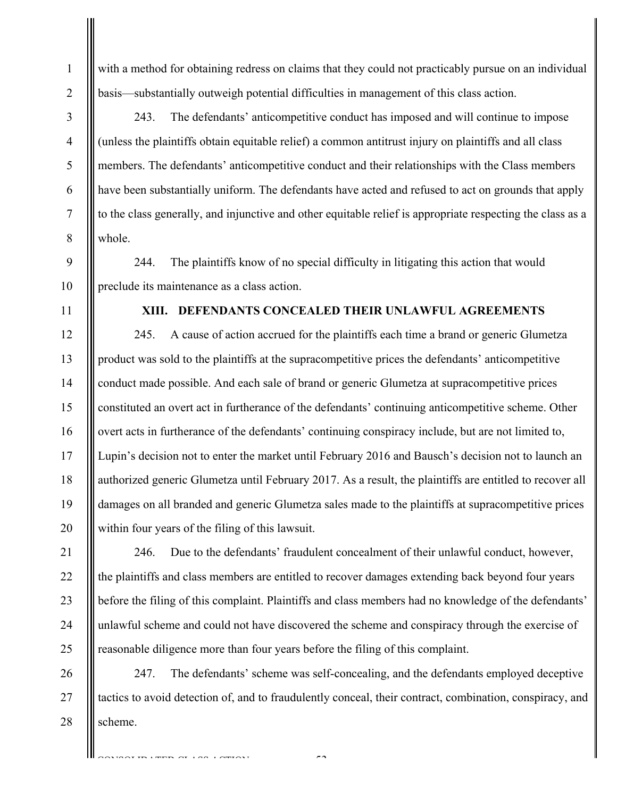with a method for obtaining redress on claims that they could not practicably pursue on an individual basis—substantially outweigh potential difficulties in management of this class action.

243. The defendants' anticompetitive conduct has imposed and will continue to impose (unless the plaintiffs obtain equitable relief) a common antitrust injury on plaintiffs and all class members. The defendants' anticompetitive conduct and their relationships with the Class members have been substantially uniform. The defendants have acted and refused to act on grounds that apply to the class generally, and injunctive and other equitable relief is appropriate respecting the class as a whole.

244. The plaintiffs know of no special difficulty in litigating this action that would preclude its maintenance as a class action.

# **XIII. DEFENDANTS CONCEALED THEIR UNLAWFUL AGREEMENTS**

245. A cause of action accrued for the plaintiffs each time a brand or generic Glumetza product was sold to the plaintiffs at the supracompetitive prices the defendants' anticompetitive conduct made possible. And each sale of brand or generic Glumetza at supracompetitive prices constituted an overt act in furtherance of the defendants' continuing anticompetitive scheme. Other overt acts in furtherance of the defendants' continuing conspiracy include, but are not limited to, Lupin's decision not to enter the market until February 2016 and Bausch's decision not to launch an authorized generic Glumetza until February 2017. As a result, the plaintiffs are entitled to recover all damages on all branded and generic Glumetza sales made to the plaintiffs at supracompetitive prices within four years of the filing of this lawsuit.

246. Due to the defendants' fraudulent concealment of their unlawful conduct, however, the plaintiffs and class members are entitled to recover damages extending back beyond four years before the filing of this complaint. Plaintiffs and class members had no knowledge of the defendants' unlawful scheme and could not have discovered the scheme and conspiracy through the exercise of reasonable diligence more than four years before the filing of this complaint.

26 27 28 247. The defendants' scheme was self-concealing, and the defendants employed deceptive tactics to avoid detection of, and to fraudulently conceal, their contract, combination, conspiracy, and scheme.

-53-

TRIMPROTION CONTON

18

19

20

21

22

23

24

25

1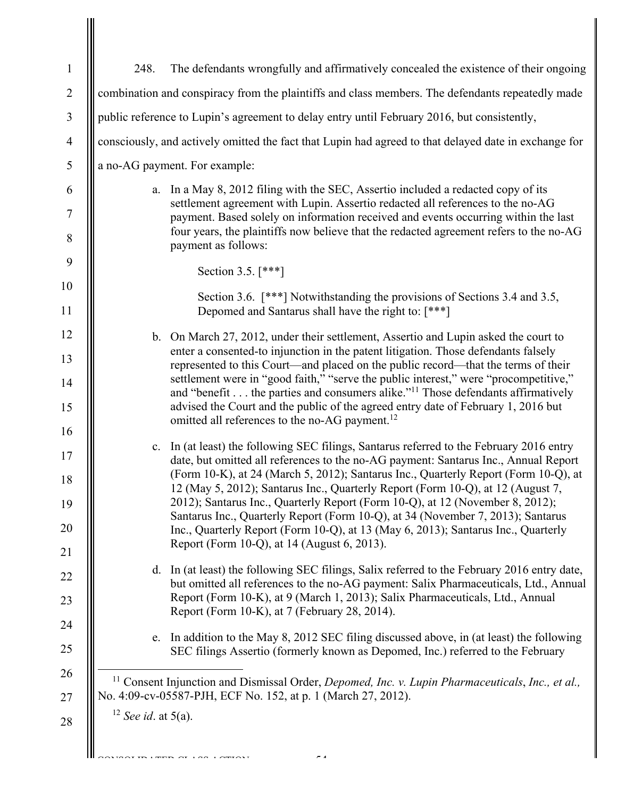| 248.                  | The defendants wrongfully and affirmatively concealed the existence of their ongoing                                                                                                                                                                                                                                                                                                                                                                                                                                                                                                                                                                              |
|-----------------------|-------------------------------------------------------------------------------------------------------------------------------------------------------------------------------------------------------------------------------------------------------------------------------------------------------------------------------------------------------------------------------------------------------------------------------------------------------------------------------------------------------------------------------------------------------------------------------------------------------------------------------------------------------------------|
|                       | combination and conspiracy from the plaintiffs and class members. The defendants repeatedly made                                                                                                                                                                                                                                                                                                                                                                                                                                                                                                                                                                  |
|                       | public reference to Lupin's agreement to delay entry until February 2016, but consistently,                                                                                                                                                                                                                                                                                                                                                                                                                                                                                                                                                                       |
|                       | consciously, and actively omitted the fact that Lupin had agreed to that delayed date in exchange for                                                                                                                                                                                                                                                                                                                                                                                                                                                                                                                                                             |
|                       | a no-AG payment. For example:                                                                                                                                                                                                                                                                                                                                                                                                                                                                                                                                                                                                                                     |
|                       | a. In a May 8, 2012 filing with the SEC, Assertio included a redacted copy of its<br>settlement agreement with Lupin. Assertio redacted all references to the no-AG<br>payment. Based solely on information received and events occurring within the last<br>four years, the plaintiffs now believe that the redacted agreement refers to the no-AG<br>payment as follows:                                                                                                                                                                                                                                                                                        |
|                       | Section 3.5. [***]                                                                                                                                                                                                                                                                                                                                                                                                                                                                                                                                                                                                                                                |
|                       | Section 3.6. [***] Notwithstanding the provisions of Sections 3.4 and 3.5,<br>Depomed and Santarus shall have the right to: [***]                                                                                                                                                                                                                                                                                                                                                                                                                                                                                                                                 |
|                       | b. On March 27, 2012, under their settlement, Assertio and Lupin asked the court to<br>enter a consented-to injunction in the patent litigation. Those defendants falsely<br>represented to this Court—and placed on the public record—that the terms of their<br>settlement were in "good faith," "serve the public interest," were "procompetitive,"<br>and "benefit the parties and consumers alike." <sup>11</sup> Those defendants affirmatively<br>advised the Court and the public of the agreed entry date of February 1, 2016 but<br>omitted all references to the no-AG payment. <sup>12</sup>                                                          |
|                       | c. In (at least) the following SEC filings, Santarus referred to the February 2016 entry<br>date, but omitted all references to the no-AG payment: Santarus Inc., Annual Report<br>(Form 10-K), at 24 (March 5, 2012); Santarus Inc., Quarterly Report (Form 10-Q), at<br>12 (May 5, 2012); Santarus Inc., Quarterly Report (Form 10-Q), at 12 (August 7,<br>2012); Santarus Inc., Quarterly Report (Form 10-Q), at 12 (November 8, 2012);<br>Santarus Inc., Quarterly Report (Form 10-Q), at 34 (November 7, 2013); Santarus<br>Inc., Quarterly Report (Form 10-Q), at 13 (May 6, 2013); Santarus Inc., Quarterly<br>Report (Form 10-Q), at 14 (August 6, 2013). |
|                       | d. In (at least) the following SEC filings, Salix referred to the February 2016 entry date,<br>but omitted all references to the no-AG payment: Salix Pharmaceuticals, Ltd., Annual<br>Report (Form 10-K), at 9 (March 1, 2013); Salix Pharmaceuticals, Ltd., Annual<br>Report (Form 10-K), at 7 (February 28, 2014).                                                                                                                                                                                                                                                                                                                                             |
|                       | e. In addition to the May 8, 2012 SEC filing discussed above, in (at least) the following<br>SEC filings Assertio (formerly known as Depomed, Inc.) referred to the February                                                                                                                                                                                                                                                                                                                                                                                                                                                                                      |
|                       | <sup>11</sup> Consent Injunction and Dismissal Order, Depomed, Inc. v. Lupin Pharmaceuticals, Inc., et al.,<br>No. 4:09-cv-05587-PJH, ECF No. 152, at p. 1 (March 27, 2012).                                                                                                                                                                                                                                                                                                                                                                                                                                                                                      |
| $12$ See id. at 5(a). |                                                                                                                                                                                                                                                                                                                                                                                                                                                                                                                                                                                                                                                                   |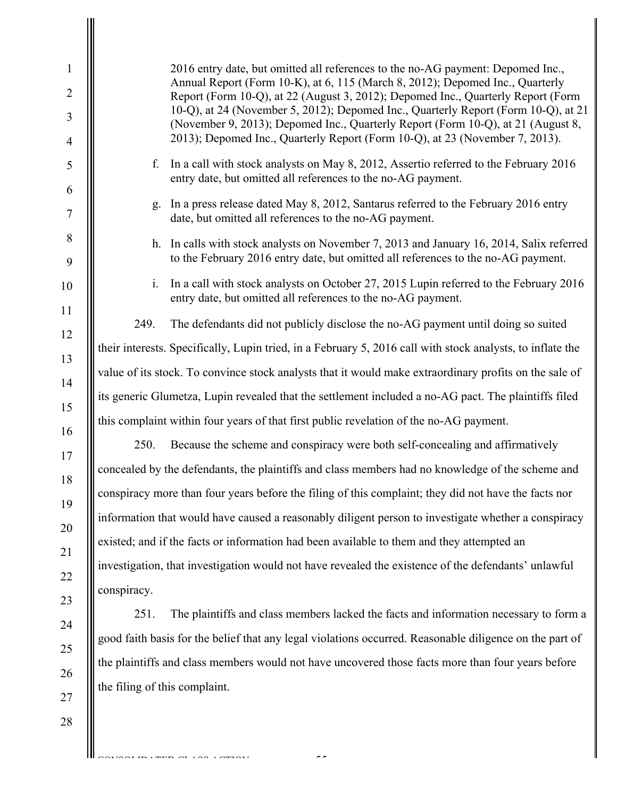1 2 3 4 5 6 7 8 9 10 11 12 13 14 15 16 17 18 19 20 21 22 23 24 25 26 27 28 2016 entry date, but omitted all references to the no-AG payment: Depomed Inc., Annual Report (Form 10-K), at 6, 115 (March 8, 2012); Depomed Inc., Quarterly Report (Form 10-Q), at 22 (August 3, 2012); Depomed Inc., Quarterly Report (Form 10-Q), at 24 (November 5, 2012); Depomed Inc., Quarterly Report (Form 10-Q), at 21 (November 9, 2013); Depomed Inc., Quarterly Report (Form 10-Q), at 21 (August 8, 2013); Depomed Inc., Quarterly Report (Form 10-Q), at 23 (November 7, 2013). f. In a call with stock analysts on May 8, 2012, Assertio referred to the February 2016 entry date, but omitted all references to the no-AG payment. g. In a press release dated May 8, 2012, Santarus referred to the February 2016 entry date, but omitted all references to the no-AG payment. h. In calls with stock analysts on November 7, 2013 and January 16, 2014, Salix referred to the February 2016 entry date, but omitted all references to the no-AG payment. i. In a call with stock analysts on October 27, 2015 Lupin referred to the February 2016 entry date, but omitted all references to the no-AG payment. 249. The defendants did not publicly disclose the no-AG payment until doing so suited their interests. Specifically, Lupin tried, in a February 5, 2016 call with stock analysts, to inflate the value of its stock. To convince stock analysts that it would make extraordinary profits on the sale of its generic Glumetza, Lupin revealed that the settlement included a no-AG pact. The plaintiffs filed this complaint within four years of that first public revelation of the no-AG payment. 250. Because the scheme and conspiracy were both self-concealing and affirmatively concealed by the defendants, the plaintiffs and class members had no knowledge of the scheme and conspiracy more than four years before the filing of this complaint; they did not have the facts nor information that would have caused a reasonably diligent person to investigate whether a conspiracy existed; and if the facts or information had been available to them and they attempted an investigation, that investigation would not have revealed the existence of the defendants' unlawful conspiracy. 251. The plaintiffs and class members lacked the facts and information necessary to form a good faith basis for the belief that any legal violations occurred. Reasonable diligence on the part of the plaintiffs and class members would not have uncovered those facts more than four years before the filing of this complaint.

 $-5$ 

 $\overline{CD}$  ( $\overline{CD}$   $\overline{CD}$   $\overline{CD}$   $\overline{CD}$   $\overline{CD}$   $\overline{CD}$ )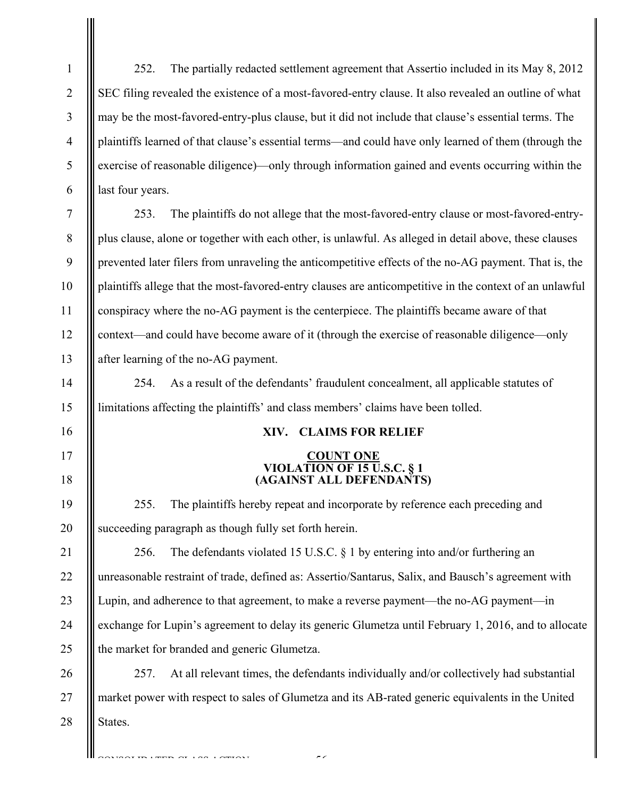1 2 3 4 5 6 7 8 9 10 11 12 13 14 15 16 17 18 19 20 21 22 23 24 25 26 27 28 252. The partially redacted settlement agreement that Assertio included in its May 8, 2012 SEC filing revealed the existence of a most-favored-entry clause. It also revealed an outline of what may be the most-favored-entry-plus clause, but it did not include that clause's essential terms. The plaintiffs learned of that clause's essential terms—and could have only learned of them (through the exercise of reasonable diligence)—only through information gained and events occurring within the last four years. 253. The plaintiffs do not allege that the most-favored-entry clause or most-favored-entryplus clause, alone or together with each other, is unlawful. As alleged in detail above, these clauses prevented later filers from unraveling the anticompetitive effects of the no-AG payment. That is, the plaintiffs allege that the most-favored-entry clauses are anticompetitive in the context of an unlawful conspiracy where the no-AG payment is the centerpiece. The plaintiffs became aware of that context—and could have become aware of it (through the exercise of reasonable diligence—only after learning of the no-AG payment. 254. As a result of the defendants' fraudulent concealment, all applicable statutes of limitations affecting the plaintiffs' and class members' claims have been tolled. **XIV. CLAIMS FOR RELIEF COUNT ONE VIOLATION OF 15 U.S.C. § 1 (AGAINST ALL DEFENDANTS)**  255. The plaintiffs hereby repeat and incorporate by reference each preceding and succeeding paragraph as though fully set forth herein. 256. The defendants violated 15 U.S.C. § 1 by entering into and/or furthering an unreasonable restraint of trade, defined as: Assertio/Santarus, Salix, and Bausch's agreement with Lupin, and adherence to that agreement, to make a reverse payment—the no-AG payment—in exchange for Lupin's agreement to delay its generic Glumetza until February 1, 2016, and to allocate the market for branded and generic Glumetza. 257. At all relevant times, the defendants individually and/or collectively had substantial market power with respect to sales of Glumetza and its AB-rated generic equivalents in the United States.

-56-

 $\overline{CD}$  ( $\overline{CD}$   $\overline{CD}$   $\overline{CD}$   $\overline{CD}$   $\overline{CD}$   $\overline{CD}$ )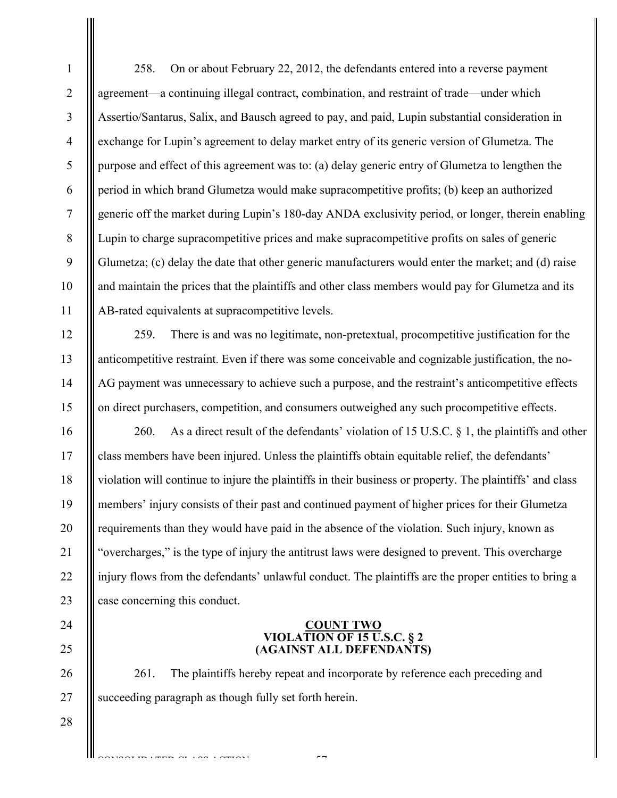2 3 4 5 6 7 8 9 10 11 258. On or about February 22, 2012, the defendants entered into a reverse payment agreement—a continuing illegal contract, combination, and restraint of trade—under which Assertio/Santarus, Salix, and Bausch agreed to pay, and paid, Lupin substantial consideration in exchange for Lupin's agreement to delay market entry of its generic version of Glumetza. The purpose and effect of this agreement was to: (a) delay generic entry of Glumetza to lengthen the period in which brand Glumetza would make supracompetitive profits; (b) keep an authorized generic off the market during Lupin's 180-day ANDA exclusivity period, or longer, therein enabling Lupin to charge supracompetitive prices and make supracompetitive profits on sales of generic Glumetza; (c) delay the date that other generic manufacturers would enter the market; and (d) raise and maintain the prices that the plaintiffs and other class members would pay for Glumetza and its AB-rated equivalents at supracompetitive levels.

259. There is and was no legitimate, non-pretextual, procompetitive justification for the anticompetitive restraint. Even if there was some conceivable and cognizable justification, the no-AG payment was unnecessary to achieve such a purpose, and the restraint's anticompetitive effects on direct purchasers, competition, and consumers outweighed any such procompetitive effects.

16 17 18 19 20 21 22 23 260. As a direct result of the defendants' violation of 15 U.S.C. § 1, the plaintiffs and other class members have been injured. Unless the plaintiffs obtain equitable relief, the defendants' violation will continue to injure the plaintiffs in their business or property. The plaintiffs' and class members' injury consists of their past and continued payment of higher prices for their Glumetza requirements than they would have paid in the absence of the violation. Such injury, known as "overcharges," is the type of injury the antitrust laws were designed to prevent. This overcharge injury flows from the defendants' unlawful conduct. The plaintiffs are the proper entities to bring a case concerning this conduct.

#### **COUNT TWO VIOLATION OF 15 U.S.C. § 2 (AGAINST ALL DEFENDANTS)**

261. The plaintiffs hereby repeat and incorporate by reference each preceding and succeeding paragraph as though fully set forth herein.

-57-

27 28

CONSOLIDATED CLASS COMPONE

24

25

26

1

12

13

14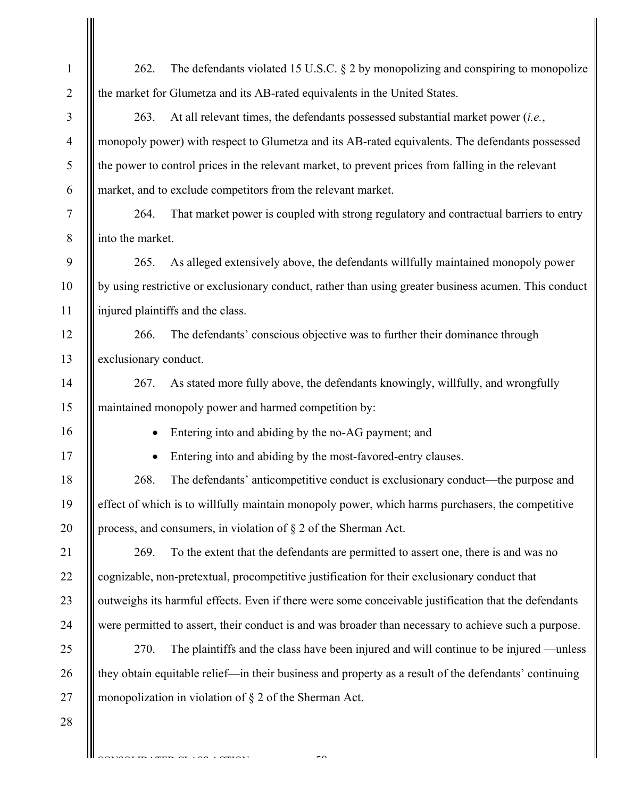| 1              | The defendants violated 15 U.S.C. $\S$ 2 by monopolizing and conspiring to monopolize<br>262.         |
|----------------|-------------------------------------------------------------------------------------------------------|
| $\overline{2}$ | the market for Glumetza and its AB-rated equivalents in the United States.                            |
| 3              | 263.<br>At all relevant times, the defendants possessed substantial market power (i.e.,               |
| $\overline{4}$ | monopoly power) with respect to Glumetza and its AB-rated equivalents. The defendants possessed       |
| 5              | the power to control prices in the relevant market, to prevent prices from falling in the relevant    |
| 6              | market, and to exclude competitors from the relevant market.                                          |
| 7              | 264.<br>That market power is coupled with strong regulatory and contractual barriers to entry         |
| 8              | into the market.                                                                                      |
| 9              | As alleged extensively above, the defendants willfully maintained monopoly power<br>265.              |
| 10             | by using restrictive or exclusionary conduct, rather than using greater business acumen. This conduct |
| 11             | injured plaintiffs and the class.                                                                     |
| 12             | 266.<br>The defendants' conscious objective was to further their dominance through                    |
| 13             | exclusionary conduct.                                                                                 |
| 14             | 267.<br>As stated more fully above, the defendants knowingly, willfully, and wrongfully               |
| 15             | maintained monopoly power and harmed competition by:                                                  |
| 16             | Entering into and abiding by the no-AG payment; and                                                   |
| 17             | Entering into and abiding by the most-favored-entry clauses.                                          |
| 18             | The defendants' anticompetitive conduct is exclusionary conduct—the purpose and<br>268.               |
| 19             | effect of which is to willfully maintain monopoly power, which harms purchasers, the competitive      |
| 20             | process, and consumers, in violation of $\S 2$ of the Sherman Act.                                    |
| 21             | 269.<br>To the extent that the defendants are permitted to assert one, there is and was no            |
| 22             | cognizable, non-pretextual, procompetitive justification for their exclusionary conduct that          |
| 23             | outweighs its harmful effects. Even if there were some conceivable justification that the defendants  |
| 24             | were permitted to assert, their conduct is and was broader than necessary to achieve such a purpose.  |
| 25             | The plaintiffs and the class have been injured and will continue to be injured —unless<br>270.        |
| 26             | they obtain equitable relief—in their business and property as a result of the defendants' continuing |
| 27             | monopolization in violation of $\S 2$ of the Sherman Act.                                             |
| 28             |                                                                                                       |
|                | $\sim$ $\sim$                                                                                         |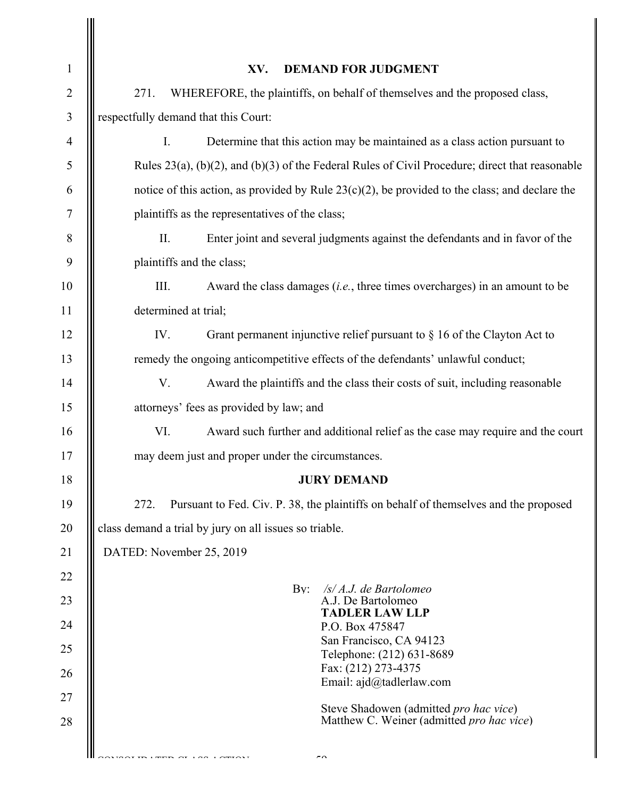| $\mathbf{1}$   | <b>DEMAND FOR JUDGMENT</b><br>XV.                                                                       |  |
|----------------|---------------------------------------------------------------------------------------------------------|--|
| $\overline{2}$ | WHEREFORE, the plaintiffs, on behalf of themselves and the proposed class,<br>271.                      |  |
| $\mathfrak{Z}$ | respectfully demand that this Court:                                                                    |  |
| $\overline{4}$ | I.<br>Determine that this action may be maintained as a class action pursuant to                        |  |
| 5              | Rules $23(a)$ , $(b)(2)$ , and $(b)(3)$ of the Federal Rules of Civil Procedure; direct that reasonable |  |
| 6              | notice of this action, as provided by Rule $23(c)(2)$ , be provided to the class; and declare the       |  |
| 7              | plaintiffs as the representatives of the class;                                                         |  |
| 8              | II.<br>Enter joint and several judgments against the defendants and in favor of the                     |  |
| 9              | plaintiffs and the class;                                                                               |  |
| 10             | III.<br>Award the class damages $(i.e.,$ three times overcharges) in an amount to be                    |  |
| 11             | determined at trial;                                                                                    |  |
| 12             | IV.<br>Grant permanent injunctive relief pursuant to $\S$ 16 of the Clayton Act to                      |  |
| 13             | remedy the ongoing anticompetitive effects of the defendants' unlawful conduct;                         |  |
| 14             | V.<br>Award the plaintiffs and the class their costs of suit, including reasonable                      |  |
| 15             | attorneys' fees as provided by law; and                                                                 |  |
| 16             | Award such further and additional relief as the case may require and the court<br>VI.                   |  |
| 17             | may deem just and proper under the circumstances.                                                       |  |
| 18             | <b>JURY DEMAND</b>                                                                                      |  |
| 19             | Pursuant to Fed. Civ. P. 38, the plaintiffs on behalf of themselves and the proposed<br>272.            |  |
| 20             | class demand a trial by jury on all issues so triable.                                                  |  |
| 21             | DATED: November 25, 2019                                                                                |  |
| 22             | $\mathbf{B} \mathbf{v}$ :<br>$\sqrt{s}/A.J$ . de Bartolomeo                                             |  |
| 23             | A.J. De Bartolomeo<br><b>TADLER LAW LLP</b>                                                             |  |
| 24             | P.O. Box 475847<br>San Francisco, CA 94123                                                              |  |
| 25             | Telephone: (212) 631-8689                                                                               |  |
| 26             | Fax: (212) 273-4375<br>Email: ajd@tadlerlaw.com                                                         |  |
| 27             | Steve Shadowen (admitted pro hac vice)                                                                  |  |
| 28             | Matthew C. Weiner (admitted pro hac vice)                                                               |  |
|                | $\overline{\phantom{a}}$                                                                                |  |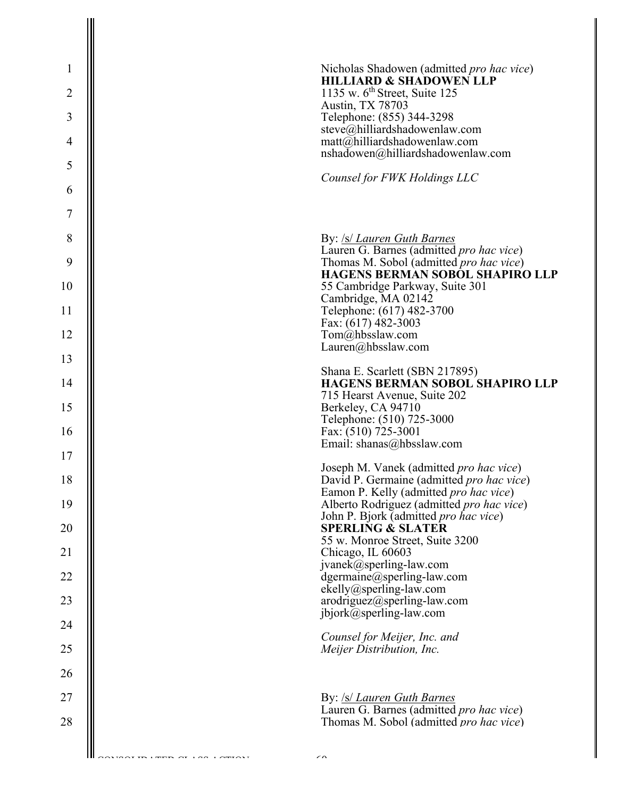| $\mathbf{1}$   | Nicholas Shadowen (admitted <i>pro hac vice</i> )                                                                      |
|----------------|------------------------------------------------------------------------------------------------------------------------|
| $\overline{2}$ | <b>HILLIARD &amp; SHADOWEN LLP</b><br>1135 w. $6th$ Street, Suite 125                                                  |
| 3              | Austin, TX 78703<br>Telephone: (855) 344-3298                                                                          |
| $\overline{4}$ | steve@hilliardshadowenlaw.com<br>matt@hilliardshadowenlaw.com                                                          |
| 5              | nshadowen@hilliardshadowenlaw.com                                                                                      |
| 6              | Counsel for FWK Holdings LLC                                                                                           |
| $\tau$         |                                                                                                                        |
| 8              | By: <i>/s/ Lauren Guth Barnes</i>                                                                                      |
| 9              | Lauren G. Barnes (admitted pro hac vice)<br>Thomas M. Sobol (admitted pro hac vice)<br>HAGENS BERMAN SOBOL SHAPIRO LLP |
| 10             | 55 Cambridge Parkway, Suite 301<br>Cambridge, MA 02142                                                                 |
| 11             | Telephone: (617) 482-3700<br>Fax: (617) 482-3003                                                                       |
| 12             | Tom@hbsslaw.com<br>Lauren@hbsslaw.com                                                                                  |
| 13             | Shana E. Scarlett (SBN 217895)                                                                                         |
| 14             | <b>HAGENS BERMAN SOBOL SHAPIRO LLP</b><br>715 Hearst Avenue, Suite 202                                                 |
| 15             | Berkeley, CA 94710<br>Telephone: (510) 725-3000                                                                        |
| 16             | Fax: (510) 725-3001<br>Email: shanas@hbsslaw.com                                                                       |
| 17             | Joseph M. Vanek (admitted pro hac vice)                                                                                |
| 18             | David P. Germaine (admitted <i>pro hac vice</i> )<br>Eamon P. Kelly (admitted <i>pro hac vice</i> )                    |
| 19             | Alberto Rodriguez (admitted pro hac vice)<br>John P. Bjork (admitted <i>pro hac vice</i> )                             |
| 20             | <b>SPERLING &amp; SLATER</b><br>55 w. Monroe Street, Suite 3200                                                        |
| 21<br>22       | Chicago, IL 60603<br>jvanek@sperling-law.com                                                                           |
| 23             | dgermaine@sperling-law.com<br>$ekelly@sperling-law.com$<br>arodriguez@sperling-law.com                                 |
| 24             | jbjork@sperling-law.com                                                                                                |
| 25             | Counsel for Meijer, Inc. and<br>Meijer Distribution, Inc.                                                              |
| 26             |                                                                                                                        |
| 27             | By: /s/ Lauren Guth Barnes                                                                                             |
| 28             | Lauren G. Barnes (admitted pro hac vice)<br>Thomas M. Sobol (admitted <i>pro hac vice</i> )                            |
|                |                                                                                                                        |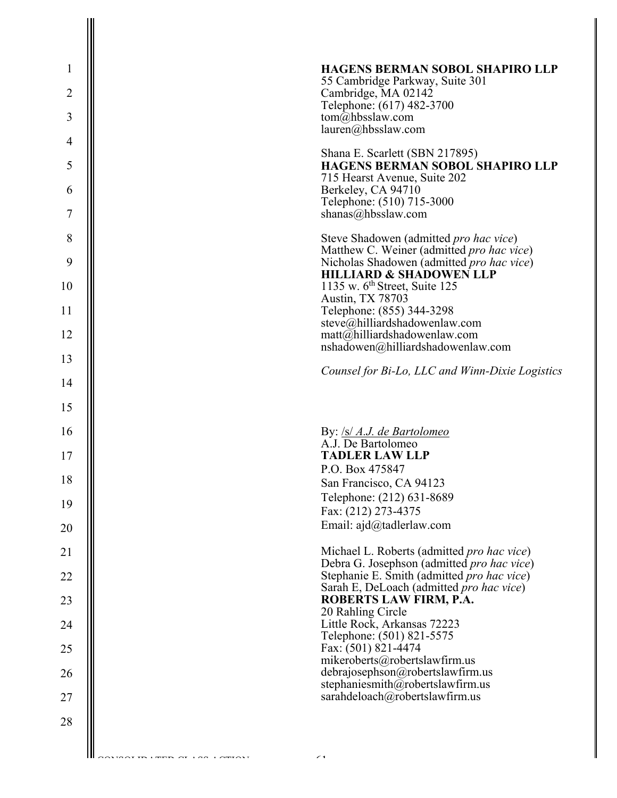| $\mathbf{1}$   | <b>HAGENS BERMAN SOBOL SHAPIRO LLP</b>                                                   |
|----------------|------------------------------------------------------------------------------------------|
| $\overline{2}$ | 55 Cambridge Parkway, Suite 301<br>Cambridge, MA 02142                                   |
| 3              | Telephone: (617) 482-3700<br>tom@hbsslaw.com                                             |
| $\overline{4}$ | lauren@hbsslaw.com                                                                       |
| 5              | Shana E. Scarlett (SBN 217895)<br><b>HAGENS BERMAN SOBOL SHAPIRO LLP</b>                 |
| 6              | 715 Hearst Avenue, Suite 202<br>Berkeley, CA 94710                                       |
| 7              | Telephone: (510) 715-3000<br>shanas@hbsslaw.com                                          |
| 8              | Steve Shadowen (admitted <i>pro hac vice</i> )                                           |
| 9              | Matthew C. Weiner (admitted pro hac vice)<br>Nicholas Shadowen (admitted pro hac vice)   |
| 10             | <b>HILLIARD &amp; SHADOWEN LLP</b><br>1135 w. $6th$ Street, Suite 125                    |
| 11             | Austin, TX 78703<br>Telephone: (855) 344-3298                                            |
| 12             | steve@hilliardshadowenlaw.com<br>matt@hilliardshadowenlaw.com                            |
| 13             | nshadowen@hilliardshadowenlaw.com                                                        |
| 14             | Counsel for Bi-Lo, LLC and Winn-Dixie Logistics                                          |
| 15             |                                                                                          |
| 16             | By: /s/ A.J. de Bartolomeo<br>A.J. De Bartolomeo                                         |
| 17             | <b>TADLER LAW LLP</b>                                                                    |
| 18             | P.O. Box 475847<br>San Francisco, CA 94123                                               |
| 19             | Telephone: (212) 631-8689<br>Fax: (212) 273-4375                                         |
| 20             | Email: ajd@tadlerlaw.com                                                                 |
| 21             | Michael L. Roberts (admitted pro hac vice)<br>Debra G. Josephson (admitted pro hac vice) |
| 22             | Stephanie E. Smith (admitted pro hac vice)<br>Sarah E, DeLoach (admitted pro hac vice)   |
| 23             | ROBERTS LAW FIRM, P.A.<br>20 Rahling Circle                                              |
| 24             | Little Rock, Arkansas 72223<br>Telephone: (501) 821-5575                                 |
| 25             | Fax: (501) 821-4474<br>mikeroberts@robertslawfirm.us                                     |
| 26             | debrajosephson@robertslawfirm.us<br>stephaniesmith@robertslawfirm.us                     |
| 27             | sarahdeloach@robertslawfirm.us                                                           |
| 28             |                                                                                          |
|                |                                                                                          |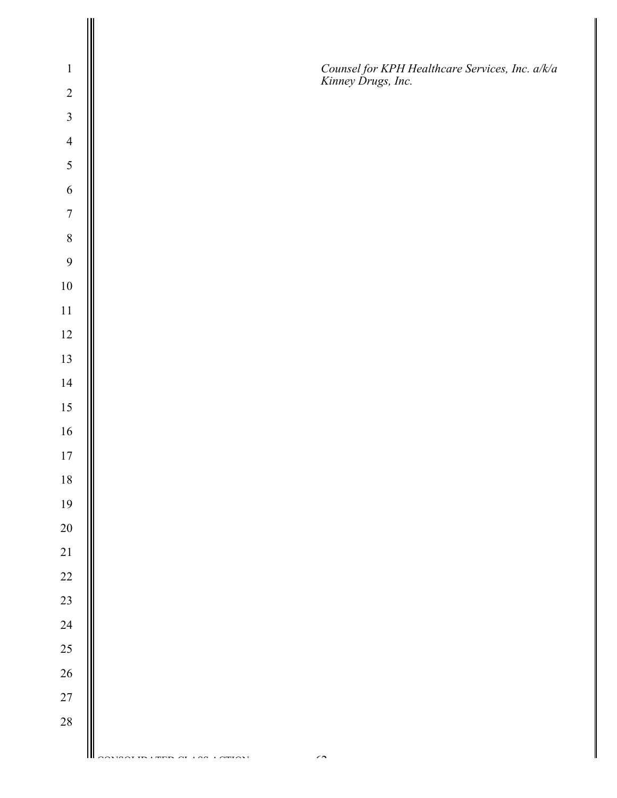